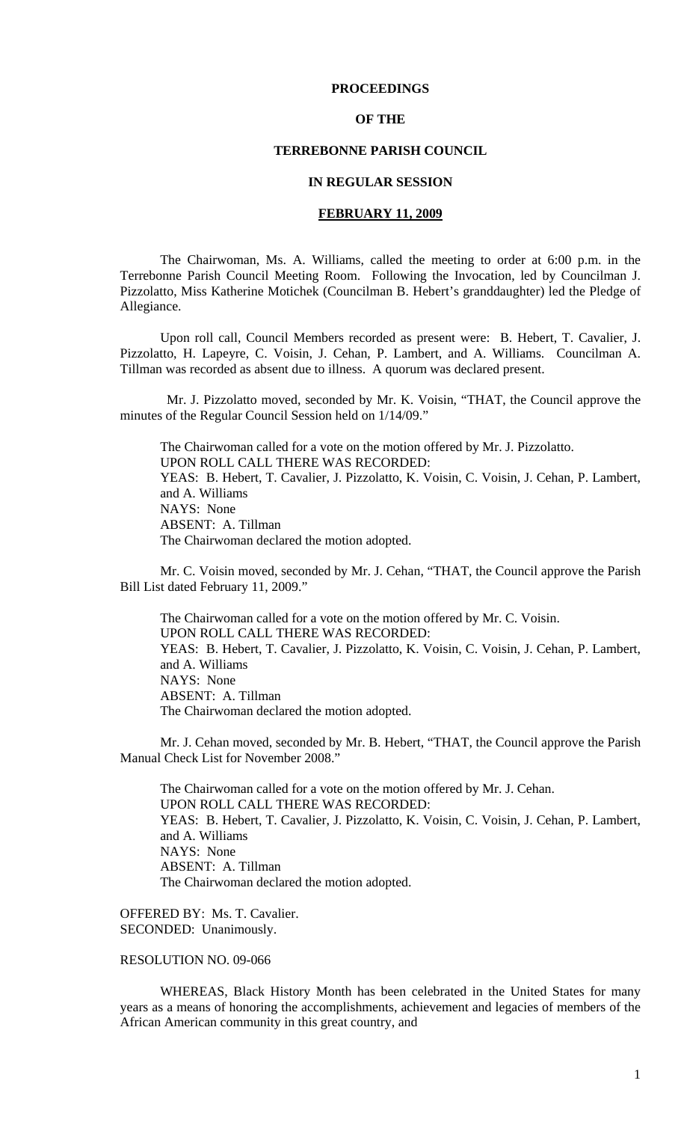# **PROCEEDINGS**

# **OF THE**

# **TERREBONNE PARISH COUNCIL**

### **IN REGULAR SESSION**

# **FEBRUARY 11, 2009**

 The Chairwoman, Ms. A. Williams, called the meeting to order at 6:00 p.m. in the Terrebonne Parish Council Meeting Room. Following the Invocation, led by Councilman J. Pizzolatto, Miss Katherine Motichek (Councilman B. Hebert's granddaughter) led the Pledge of Allegiance.

Upon roll call, Council Members recorded as present were: B. Hebert, T. Cavalier, J. Pizzolatto, H. Lapeyre, C. Voisin, J. Cehan, P. Lambert, and A. Williams. Councilman A. Tillman was recorded as absent due to illness. A quorum was declared present.

 Mr. J. Pizzolatto moved, seconded by Mr. K. Voisin, "THAT, the Council approve the minutes of the Regular Council Session held on 1/14/09."

The Chairwoman called for a vote on the motion offered by Mr. J. Pizzolatto. UPON ROLL CALL THERE WAS RECORDED: YEAS: B. Hebert, T. Cavalier, J. Pizzolatto, K. Voisin, C. Voisin, J. Cehan, P. Lambert, and A. Williams NAYS: None ABSENT: A. Tillman The Chairwoman declared the motion adopted.

Mr. C. Voisin moved, seconded by Mr. J. Cehan, "THAT, the Council approve the Parish Bill List dated February 11, 2009."

The Chairwoman called for a vote on the motion offered by Mr. C. Voisin. UPON ROLL CALL THERE WAS RECORDED: YEAS: B. Hebert, T. Cavalier, J. Pizzolatto, K. Voisin, C. Voisin, J. Cehan, P. Lambert, and A. Williams NAYS: None ABSENT: A. Tillman The Chairwoman declared the motion adopted.

Mr. J. Cehan moved, seconded by Mr. B. Hebert, "THAT, the Council approve the Parish Manual Check List for November 2008."

The Chairwoman called for a vote on the motion offered by Mr. J. Cehan. UPON ROLL CALL THERE WAS RECORDED: YEAS: B. Hebert, T. Cavalier, J. Pizzolatto, K. Voisin, C. Voisin, J. Cehan, P. Lambert, and A. Williams NAYS: None ABSENT: A. Tillman The Chairwoman declared the motion adopted.

OFFERED BY: Ms. T. Cavalier. SECONDED: Unanimously.

RESOLUTION NO. 09-066

 WHEREAS, Black History Month has been celebrated in the United States for many years as a means of honoring the accomplishments, achievement and legacies of members of the African American community in this great country, and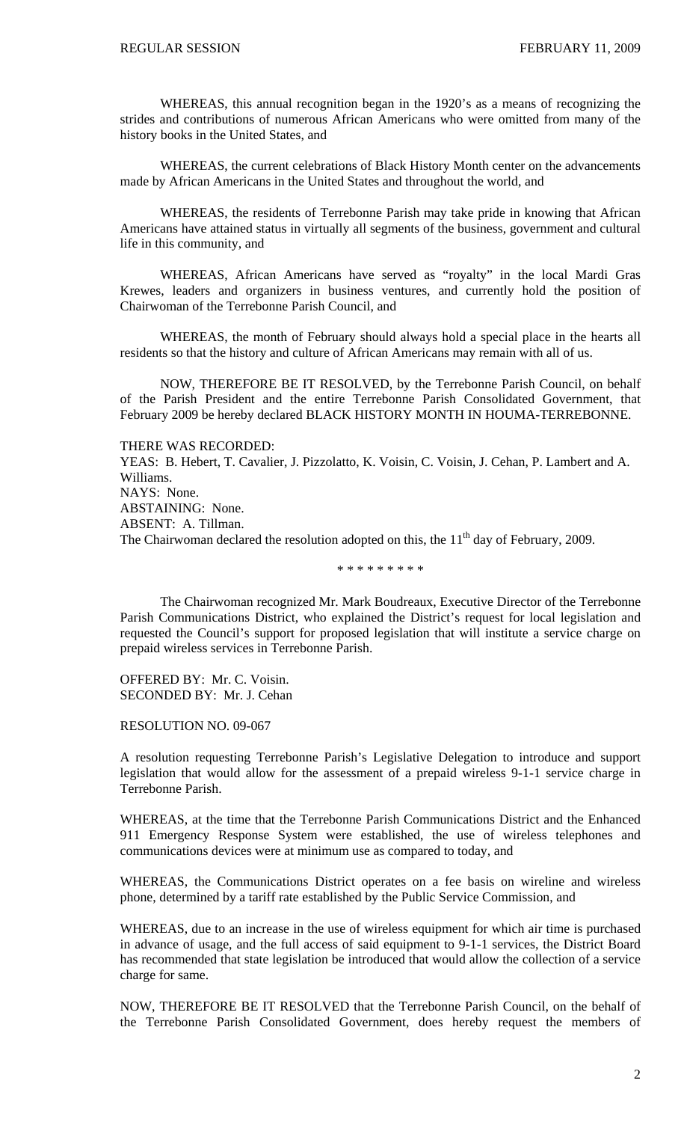WHEREAS, this annual recognition began in the 1920's as a means of recognizing the strides and contributions of numerous African Americans who were omitted from many of the history books in the United States, and

 WHEREAS, the current celebrations of Black History Month center on the advancements made by African Americans in the United States and throughout the world, and

 WHEREAS, the residents of Terrebonne Parish may take pride in knowing that African Americans have attained status in virtually all segments of the business, government and cultural life in this community, and

 WHEREAS, African Americans have served as "royalty" in the local Mardi Gras Krewes, leaders and organizers in business ventures, and currently hold the position of Chairwoman of the Terrebonne Parish Council, and

 WHEREAS, the month of February should always hold a special place in the hearts all residents so that the history and culture of African Americans may remain with all of us.

NOW, THEREFORE BE IT RESOLVED, by the Terrebonne Parish Council, on behalf of the Parish President and the entire Terrebonne Parish Consolidated Government, that February 2009 be hereby declared BLACK HISTORY MONTH IN HOUMA-TERREBONNE.

THERE WAS RECORDED: YEAS: B. Hebert, T. Cavalier, J. Pizzolatto, K. Voisin, C. Voisin, J. Cehan, P. Lambert and A. Williams. NAYS: None. ABSTAINING: None. ABSENT: A. Tillman. The Chairwoman declared the resolution adopted on this, the  $11<sup>th</sup>$  day of February, 2009.

\* \* \* \* \* \* \* \* \*

The Chairwoman recognized Mr. Mark Boudreaux, Executive Director of the Terrebonne Parish Communications District, who explained the District's request for local legislation and requested the Council's support for proposed legislation that will institute a service charge on prepaid wireless services in Terrebonne Parish.

OFFERED BY: Mr. C. Voisin. SECONDED BY: Mr. J. Cehan

RESOLUTION NO. 09-067

A resolution requesting Terrebonne Parish's Legislative Delegation to introduce and support legislation that would allow for the assessment of a prepaid wireless 9-1-1 service charge in Terrebonne Parish.

WHEREAS, at the time that the Terrebonne Parish Communications District and the Enhanced 911 Emergency Response System were established, the use of wireless telephones and communications devices were at minimum use as compared to today, and

WHEREAS, the Communications District operates on a fee basis on wireline and wireless phone, determined by a tariff rate established by the Public Service Commission, and

WHEREAS, due to an increase in the use of wireless equipment for which air time is purchased in advance of usage, and the full access of said equipment to 9-1-1 services, the District Board has recommended that state legislation be introduced that would allow the collection of a service charge for same.

NOW, THEREFORE BE IT RESOLVED that the Terrebonne Parish Council, on the behalf of the Terrebonne Parish Consolidated Government, does hereby request the members of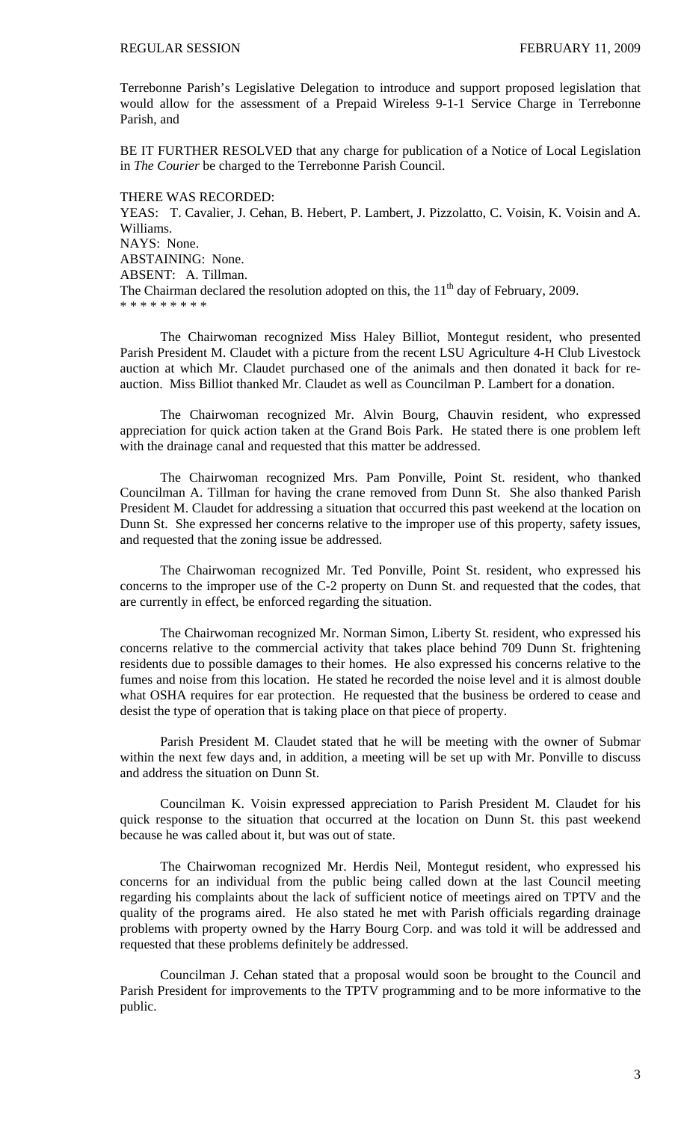Terrebonne Parish's Legislative Delegation to introduce and support proposed legislation that would allow for the assessment of a Prepaid Wireless 9-1-1 Service Charge in Terrebonne Parish, and

BE IT FURTHER RESOLVED that any charge for publication of a Notice of Local Legislation in *The Courier* be charged to the Terrebonne Parish Council.

THERE WAS RECORDED: YEAS: T. Cavalier, J. Cehan, B. Hebert, P. Lambert, J. Pizzolatto, C. Voisin, K. Voisin and A. Williams. NAYS: None. ABSTAINING: None. ABSENT: A. Tillman. The Chairman declared the resolution adopted on this, the  $11<sup>th</sup>$  day of February, 2009. \* \* \* \* \* \* \* \* \*

The Chairwoman recognized Miss Haley Billiot, Montegut resident, who presented Parish President M. Claudet with a picture from the recent LSU Agriculture 4-H Club Livestock auction at which Mr. Claudet purchased one of the animals and then donated it back for reauction. Miss Billiot thanked Mr. Claudet as well as Councilman P. Lambert for a donation.

The Chairwoman recognized Mr. Alvin Bourg, Chauvin resident, who expressed appreciation for quick action taken at the Grand Bois Park. He stated there is one problem left with the drainage canal and requested that this matter be addressed.

The Chairwoman recognized Mrs. Pam Ponville, Point St. resident, who thanked Councilman A. Tillman for having the crane removed from Dunn St. She also thanked Parish President M. Claudet for addressing a situation that occurred this past weekend at the location on Dunn St. She expressed her concerns relative to the improper use of this property, safety issues, and requested that the zoning issue be addressed.

The Chairwoman recognized Mr. Ted Ponville, Point St. resident, who expressed his concerns to the improper use of the C-2 property on Dunn St. and requested that the codes, that are currently in effect, be enforced regarding the situation.

The Chairwoman recognized Mr. Norman Simon, Liberty St. resident, who expressed his concerns relative to the commercial activity that takes place behind 709 Dunn St. frightening residents due to possible damages to their homes. He also expressed his concerns relative to the fumes and noise from this location. He stated he recorded the noise level and it is almost double what OSHA requires for ear protection. He requested that the business be ordered to cease and desist the type of operation that is taking place on that piece of property.

Parish President M. Claudet stated that he will be meeting with the owner of Submar within the next few days and, in addition, a meeting will be set up with Mr. Ponville to discuss and address the situation on Dunn St.

Councilman K. Voisin expressed appreciation to Parish President M. Claudet for his quick response to the situation that occurred at the location on Dunn St. this past weekend because he was called about it, but was out of state.

The Chairwoman recognized Mr. Herdis Neil, Montegut resident, who expressed his concerns for an individual from the public being called down at the last Council meeting regarding his complaints about the lack of sufficient notice of meetings aired on TPTV and the quality of the programs aired. He also stated he met with Parish officials regarding drainage problems with property owned by the Harry Bourg Corp. and was told it will be addressed and requested that these problems definitely be addressed.

Councilman J. Cehan stated that a proposal would soon be brought to the Council and Parish President for improvements to the TPTV programming and to be more informative to the public.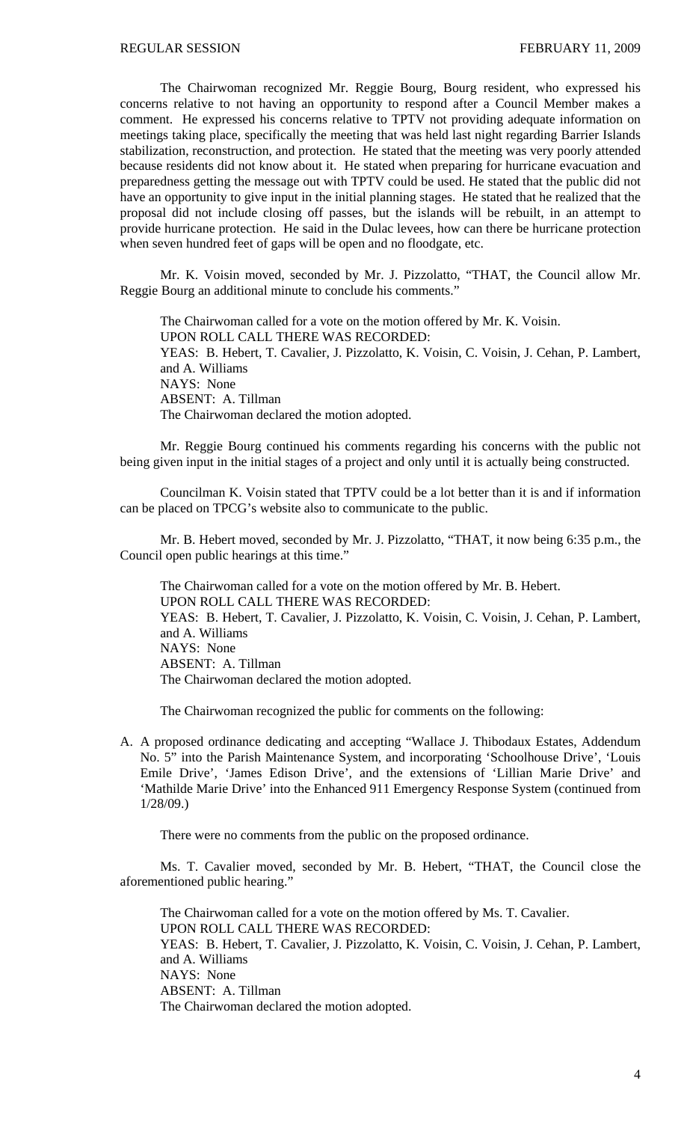The Chairwoman recognized Mr. Reggie Bourg, Bourg resident, who expressed his concerns relative to not having an opportunity to respond after a Council Member makes a comment. He expressed his concerns relative to TPTV not providing adequate information on meetings taking place, specifically the meeting that was held last night regarding Barrier Islands stabilization, reconstruction, and protection. He stated that the meeting was very poorly attended because residents did not know about it. He stated when preparing for hurricane evacuation and preparedness getting the message out with TPTV could be used. He stated that the public did not have an opportunity to give input in the initial planning stages. He stated that he realized that the proposal did not include closing off passes, but the islands will be rebuilt, in an attempt to provide hurricane protection. He said in the Dulac levees, how can there be hurricane protection when seven hundred feet of gaps will be open and no floodgate, etc.

Mr. K. Voisin moved, seconded by Mr. J. Pizzolatto, "THAT, the Council allow Mr. Reggie Bourg an additional minute to conclude his comments."

The Chairwoman called for a vote on the motion offered by Mr. K. Voisin. UPON ROLL CALL THERE WAS RECORDED: YEAS: B. Hebert, T. Cavalier, J. Pizzolatto, K. Voisin, C. Voisin, J. Cehan, P. Lambert, and A. Williams NAYS: None ABSENT: A. Tillman The Chairwoman declared the motion adopted.

Mr. Reggie Bourg continued his comments regarding his concerns with the public not being given input in the initial stages of a project and only until it is actually being constructed.

Councilman K. Voisin stated that TPTV could be a lot better than it is and if information can be placed on TPCG's website also to communicate to the public.

Mr. B. Hebert moved, seconded by Mr. J. Pizzolatto, "THAT, it now being 6:35 p.m., the Council open public hearings at this time."

 The Chairwoman called for a vote on the motion offered by Mr. B. Hebert. UPON ROLL CALL THERE WAS RECORDED: YEAS: B. Hebert, T. Cavalier, J. Pizzolatto, K. Voisin, C. Voisin, J. Cehan, P. Lambert, and A. Williams NAYS: None ABSENT: A. Tillman The Chairwoman declared the motion adopted.

The Chairwoman recognized the public for comments on the following:

A. A proposed ordinance dedicating and accepting "Wallace J. Thibodaux Estates, Addendum No. 5" into the Parish Maintenance System, and incorporating 'Schoolhouse Drive', 'Louis Emile Drive', 'James Edison Drive', and the extensions of 'Lillian Marie Drive' and 'Mathilde Marie Drive' into the Enhanced 911 Emergency Response System (continued from 1/28/09.)

There were no comments from the public on the proposed ordinance.

 Ms. T. Cavalier moved, seconded by Mr. B. Hebert, "THAT, the Council close the aforementioned public hearing."

 The Chairwoman called for a vote on the motion offered by Ms. T. Cavalier. UPON ROLL CALL THERE WAS RECORDED: YEAS: B. Hebert, T. Cavalier, J. Pizzolatto, K. Voisin, C. Voisin, J. Cehan, P. Lambert, and A. Williams NAYS: None ABSENT: A. Tillman The Chairwoman declared the motion adopted.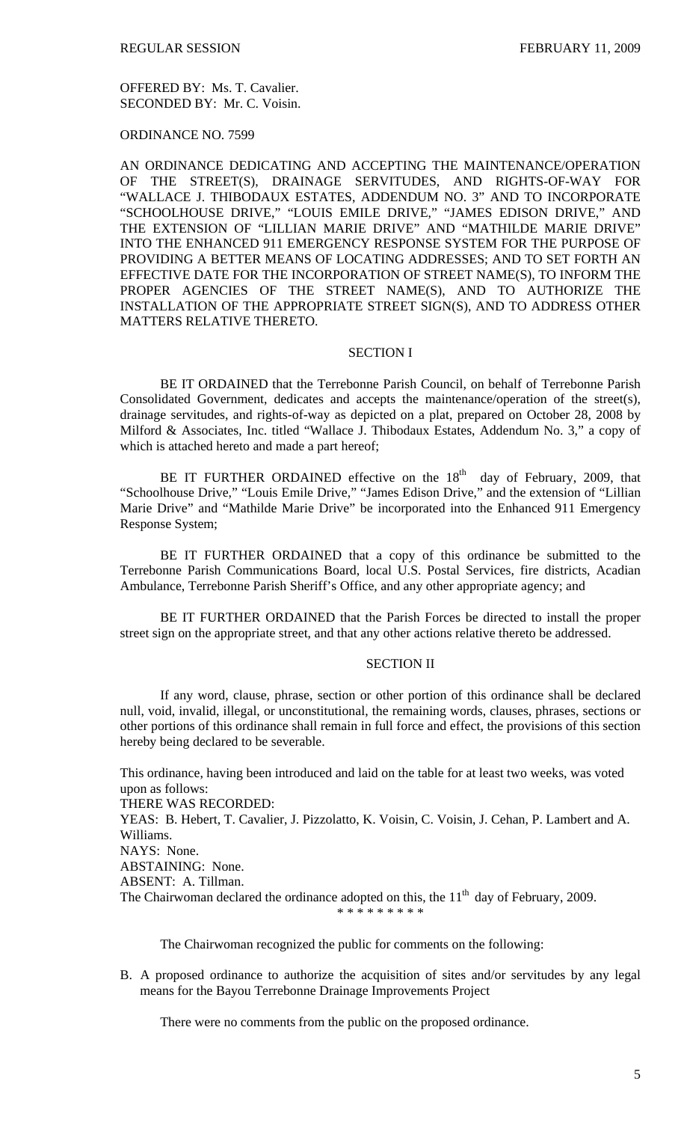OFFERED BY: Ms. T. Cavalier. SECONDED BY: Mr. C. Voisin.

ORDINANCE NO. 7599

AN ORDINANCE DEDICATING AND ACCEPTING THE MAINTENANCE/OPERATION OF THE STREET(S), DRAINAGE SERVITUDES, AND RIGHTS-OF-WAY FOR "WALLACE J. THIBODAUX ESTATES, ADDENDUM NO. 3" AND TO INCORPORATE "SCHOOLHOUSE DRIVE," "LOUIS EMILE DRIVE," "JAMES EDISON DRIVE," AND THE EXTENSION OF "LILLIAN MARIE DRIVE" AND "MATHILDE MARIE DRIVE" INTO THE ENHANCED 911 EMERGENCY RESPONSE SYSTEM FOR THE PURPOSE OF PROVIDING A BETTER MEANS OF LOCATING ADDRESSES; AND TO SET FORTH AN EFFECTIVE DATE FOR THE INCORPORATION OF STREET NAME(S), TO INFORM THE PROPER AGENCIES OF THE STREET NAME(S), AND TO AUTHORIZE THE INSTALLATION OF THE APPROPRIATE STREET SIGN(S), AND TO ADDRESS OTHER MATTERS RELATIVE THERETO.

# SECTION I

BE IT ORDAINED that the Terrebonne Parish Council, on behalf of Terrebonne Parish Consolidated Government, dedicates and accepts the maintenance/operation of the street(s), drainage servitudes, and rights-of-way as depicted on a plat, prepared on October 28, 2008 by Milford & Associates, Inc. titled "Wallace J. Thibodaux Estates, Addendum No. 3," a copy of which is attached hereto and made a part hereof;

BE IT FURTHER ORDAINED effective on the  $18<sup>th</sup>$  day of February, 2009, that "Schoolhouse Drive," "Louis Emile Drive," "James Edison Drive," and the extension of "Lillian Marie Drive" and "Mathilde Marie Drive" be incorporated into the Enhanced 911 Emergency Response System;

BE IT FURTHER ORDAINED that a copy of this ordinance be submitted to the Terrebonne Parish Communications Board, local U.S. Postal Services, fire districts, Acadian Ambulance, Terrebonne Parish Sheriff's Office, and any other appropriate agency; and

BE IT FURTHER ORDAINED that the Parish Forces be directed to install the proper street sign on the appropriate street, and that any other actions relative thereto be addressed.

# SECTION II

If any word, clause, phrase, section or other portion of this ordinance shall be declared null, void, invalid, illegal, or unconstitutional, the remaining words, clauses, phrases, sections or other portions of this ordinance shall remain in full force and effect, the provisions of this section hereby being declared to be severable.

This ordinance, having been introduced and laid on the table for at least two weeks, was voted upon as follows:

THERE WAS RECORDED:

YEAS: B. Hebert, T. Cavalier, J. Pizzolatto, K. Voisin, C. Voisin, J. Cehan, P. Lambert and A. Williams.

NAYS: None.

ABSTAINING: None.

ABSENT: A. Tillman.

The Chairwoman declared the ordinance adopted on this, the  $11<sup>th</sup>$  day of February, 2009.

\* \* \* \* \* \* \* \* \*

The Chairwoman recognized the public for comments on the following:

B. A proposed ordinance to authorize the acquisition of sites and/or servitudes by any legal means for the Bayou Terrebonne Drainage Improvements Project

There were no comments from the public on the proposed ordinance.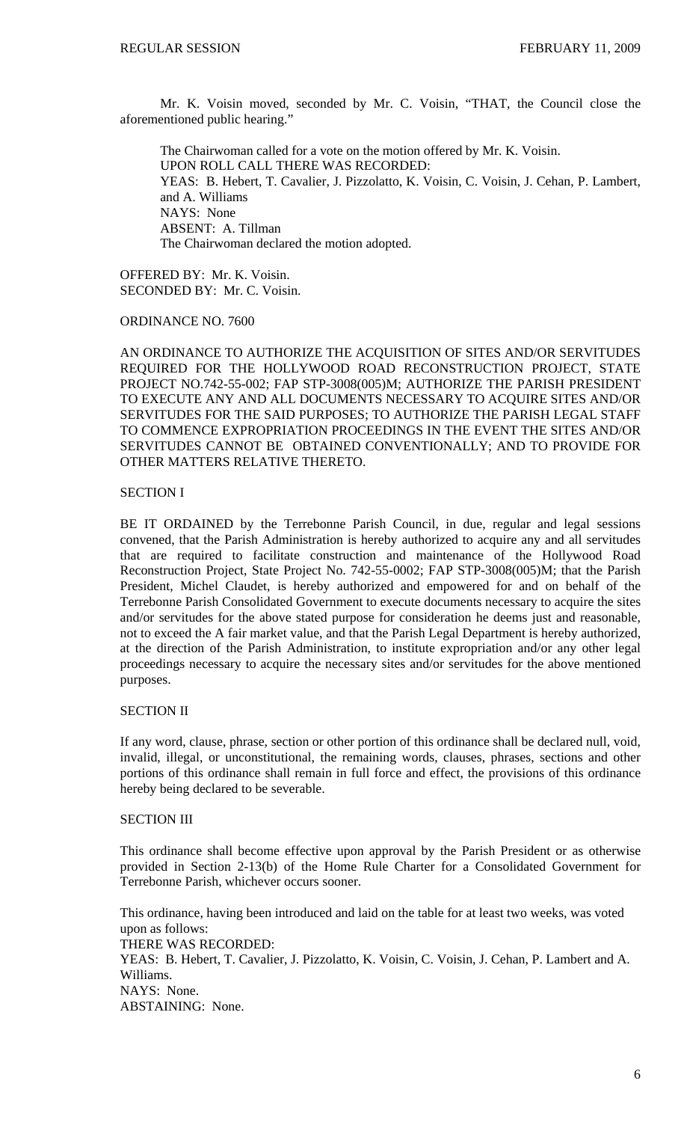Mr. K. Voisin moved, seconded by Mr. C. Voisin, "THAT, the Council close the aforementioned public hearing."

 The Chairwoman called for a vote on the motion offered by Mr. K. Voisin. UPON ROLL CALL THERE WAS RECORDED: YEAS: B. Hebert, T. Cavalier, J. Pizzolatto, K. Voisin, C. Voisin, J. Cehan, P. Lambert, and A. Williams NAYS: None ABSENT: A. Tillman The Chairwoman declared the motion adopted.

OFFERED BY: Mr. K. Voisin. SECONDED BY: Mr. C. Voisin.

ORDINANCE NO. 7600

AN ORDINANCE TO AUTHORIZE THE ACQUISITION OF SITES AND/OR SERVITUDES REQUIRED FOR THE HOLLYWOOD ROAD RECONSTRUCTION PROJECT, STATE PROJECT NO.742-55-002; FAP STP-3008(005)M; AUTHORIZE THE PARISH PRESIDENT TO EXECUTE ANY AND ALL DOCUMENTS NECESSARY TO ACQUIRE SITES AND/OR SERVITUDES FOR THE SAID PURPOSES; TO AUTHORIZE THE PARISH LEGAL STAFF TO COMMENCE EXPROPRIATION PROCEEDINGS IN THE EVENT THE SITES AND/OR SERVITUDES CANNOT BE OBTAINED CONVENTIONALLY; AND TO PROVIDE FOR OTHER MATTERS RELATIVE THERETO.

# SECTION I

BE IT ORDAINED by the Terrebonne Parish Council, in due, regular and legal sessions convened, that the Parish Administration is hereby authorized to acquire any and all servitudes that are required to facilitate construction and maintenance of the Hollywood Road Reconstruction Project, State Project No. 742-55-0002; FAP STP-3008(005)M; that the Parish President, Michel Claudet, is hereby authorized and empowered for and on behalf of the Terrebonne Parish Consolidated Government to execute documents necessary to acquire the sites and/or servitudes for the above stated purpose for consideration he deems just and reasonable, not to exceed the A fair market value, and that the Parish Legal Department is hereby authorized, at the direction of the Parish Administration, to institute expropriation and/or any other legal proceedings necessary to acquire the necessary sites and/or servitudes for the above mentioned purposes.

# SECTION II

If any word, clause, phrase, section or other portion of this ordinance shall be declared null, void, invalid, illegal, or unconstitutional, the remaining words, clauses, phrases, sections and other portions of this ordinance shall remain in full force and effect, the provisions of this ordinance hereby being declared to be severable.

# SECTION III

This ordinance shall become effective upon approval by the Parish President or as otherwise provided in Section 2-13(b) of the Home Rule Charter for a Consolidated Government for Terrebonne Parish, whichever occurs sooner.

This ordinance, having been introduced and laid on the table for at least two weeks, was voted upon as follows: THERE WAS RECORDED: YEAS: B. Hebert, T. Cavalier, J. Pizzolatto, K. Voisin, C. Voisin, J. Cehan, P. Lambert and A. Williams. NAYS: None. ABSTAINING: None.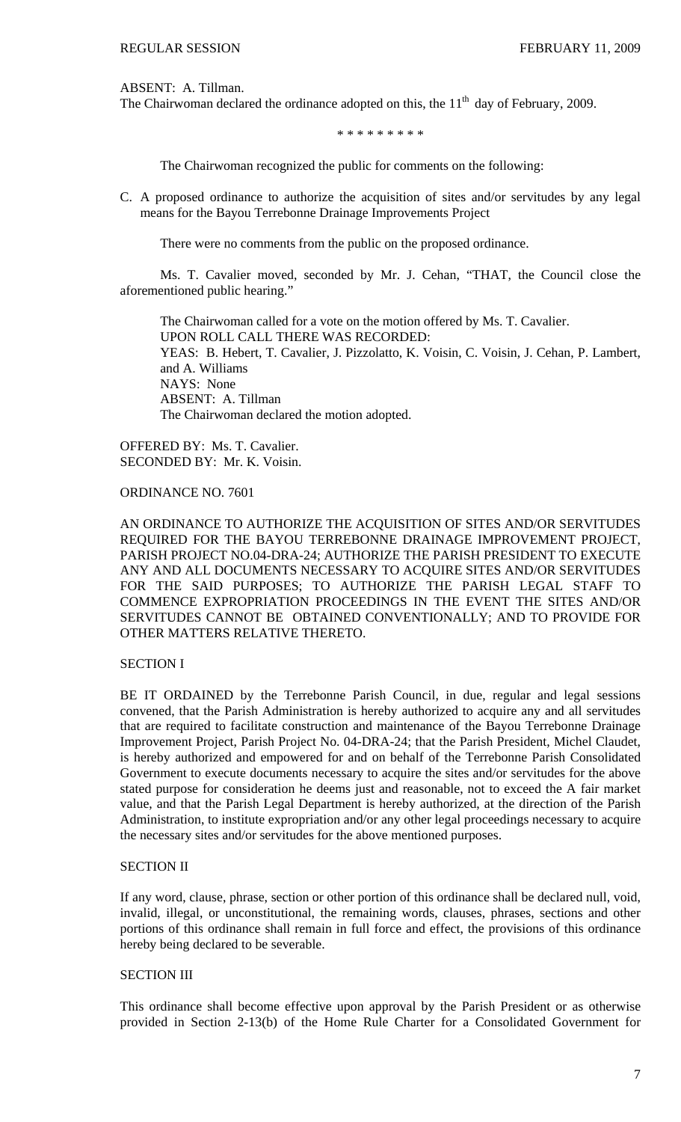ABSENT: A. Tillman.

The Chairwoman declared the ordinance adopted on this, the  $11<sup>th</sup>$  day of February, 2009.

\* \* \* \* \* \* \* \* \*

The Chairwoman recognized the public for comments on the following:

C. A proposed ordinance to authorize the acquisition of sites and/or servitudes by any legal means for the Bayou Terrebonne Drainage Improvements Project

There were no comments from the public on the proposed ordinance.

 Ms. T. Cavalier moved, seconded by Mr. J. Cehan, "THAT, the Council close the aforementioned public hearing."

 The Chairwoman called for a vote on the motion offered by Ms. T. Cavalier. UPON ROLL CALL THERE WAS RECORDED: YEAS: B. Hebert, T. Cavalier, J. Pizzolatto, K. Voisin, C. Voisin, J. Cehan, P. Lambert, and A. Williams NAYS: None ABSENT: A. Tillman The Chairwoman declared the motion adopted.

OFFERED BY: Ms. T. Cavalier. SECONDED BY: Mr. K. Voisin.

ORDINANCE NO. 7601

AN ORDINANCE TO AUTHORIZE THE ACQUISITION OF SITES AND/OR SERVITUDES REQUIRED FOR THE BAYOU TERREBONNE DRAINAGE IMPROVEMENT PROJECT, PARISH PROJECT NO.04-DRA-24; AUTHORIZE THE PARISH PRESIDENT TO EXECUTE ANY AND ALL DOCUMENTS NECESSARY TO ACQUIRE SITES AND/OR SERVITUDES FOR THE SAID PURPOSES; TO AUTHORIZE THE PARISH LEGAL STAFF TO COMMENCE EXPROPRIATION PROCEEDINGS IN THE EVENT THE SITES AND/OR SERVITUDES CANNOT BE OBTAINED CONVENTIONALLY; AND TO PROVIDE FOR OTHER MATTERS RELATIVE THERETO.

# SECTION I

BE IT ORDAINED by the Terrebonne Parish Council, in due, regular and legal sessions convened, that the Parish Administration is hereby authorized to acquire any and all servitudes that are required to facilitate construction and maintenance of the Bayou Terrebonne Drainage Improvement Project, Parish Project No. 04-DRA-24; that the Parish President, Michel Claudet, is hereby authorized and empowered for and on behalf of the Terrebonne Parish Consolidated Government to execute documents necessary to acquire the sites and/or servitudes for the above stated purpose for consideration he deems just and reasonable, not to exceed the A fair market value, and that the Parish Legal Department is hereby authorized, at the direction of the Parish Administration, to institute expropriation and/or any other legal proceedings necessary to acquire the necessary sites and/or servitudes for the above mentioned purposes.

## SECTION II

If any word, clause, phrase, section or other portion of this ordinance shall be declared null, void, invalid, illegal, or unconstitutional, the remaining words, clauses, phrases, sections and other portions of this ordinance shall remain in full force and effect, the provisions of this ordinance hereby being declared to be severable.

# SECTION III

This ordinance shall become effective upon approval by the Parish President or as otherwise provided in Section 2-13(b) of the Home Rule Charter for a Consolidated Government for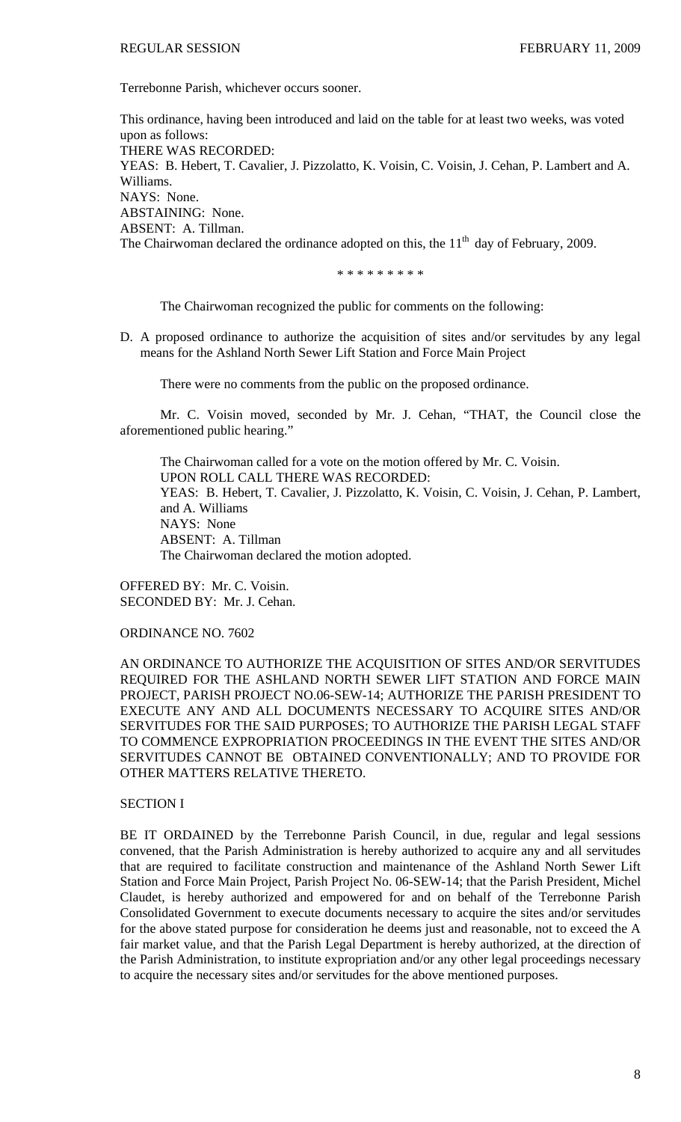Terrebonne Parish, whichever occurs sooner.

This ordinance, having been introduced and laid on the table for at least two weeks, was voted upon as follows: THERE WAS RECORDED: YEAS: B. Hebert, T. Cavalier, J. Pizzolatto, K. Voisin, C. Voisin, J. Cehan, P. Lambert and A. Williams. NAYS: None. ABSTAINING: None. ABSENT: A. Tillman. The Chairwoman declared the ordinance adopted on this, the  $11<sup>th</sup>$  day of February, 2009.

\* \* \* \* \* \* \* \* \*

The Chairwoman recognized the public for comments on the following:

D. A proposed ordinance to authorize the acquisition of sites and/or servitudes by any legal means for the Ashland North Sewer Lift Station and Force Main Project

There were no comments from the public on the proposed ordinance.

 Mr. C. Voisin moved, seconded by Mr. J. Cehan, "THAT, the Council close the aforementioned public hearing."

 The Chairwoman called for a vote on the motion offered by Mr. C. Voisin. UPON ROLL CALL THERE WAS RECORDED: YEAS: B. Hebert, T. Cavalier, J. Pizzolatto, K. Voisin, C. Voisin, J. Cehan, P. Lambert, and A. Williams NAYS: None ABSENT: A. Tillman The Chairwoman declared the motion adopted.

OFFERED BY: Mr. C. Voisin. SECONDED BY: Mr. J. Cehan.

ORDINANCE NO. 7602

AN ORDINANCE TO AUTHORIZE THE ACQUISITION OF SITES AND/OR SERVITUDES REQUIRED FOR THE ASHLAND NORTH SEWER LIFT STATION AND FORCE MAIN PROJECT, PARISH PROJECT NO.06-SEW-14; AUTHORIZE THE PARISH PRESIDENT TO EXECUTE ANY AND ALL DOCUMENTS NECESSARY TO ACQUIRE SITES AND/OR SERVITUDES FOR THE SAID PURPOSES; TO AUTHORIZE THE PARISH LEGAL STAFF TO COMMENCE EXPROPRIATION PROCEEDINGS IN THE EVENT THE SITES AND/OR SERVITUDES CANNOT BE OBTAINED CONVENTIONALLY; AND TO PROVIDE FOR OTHER MATTERS RELATIVE THERETO.

# SECTION I

BE IT ORDAINED by the Terrebonne Parish Council, in due, regular and legal sessions convened, that the Parish Administration is hereby authorized to acquire any and all servitudes that are required to facilitate construction and maintenance of the Ashland North Sewer Lift Station and Force Main Project, Parish Project No. 06-SEW-14; that the Parish President, Michel Claudet, is hereby authorized and empowered for and on behalf of the Terrebonne Parish Consolidated Government to execute documents necessary to acquire the sites and/or servitudes for the above stated purpose for consideration he deems just and reasonable, not to exceed the A fair market value, and that the Parish Legal Department is hereby authorized, at the direction of the Parish Administration, to institute expropriation and/or any other legal proceedings necessary to acquire the necessary sites and/or servitudes for the above mentioned purposes.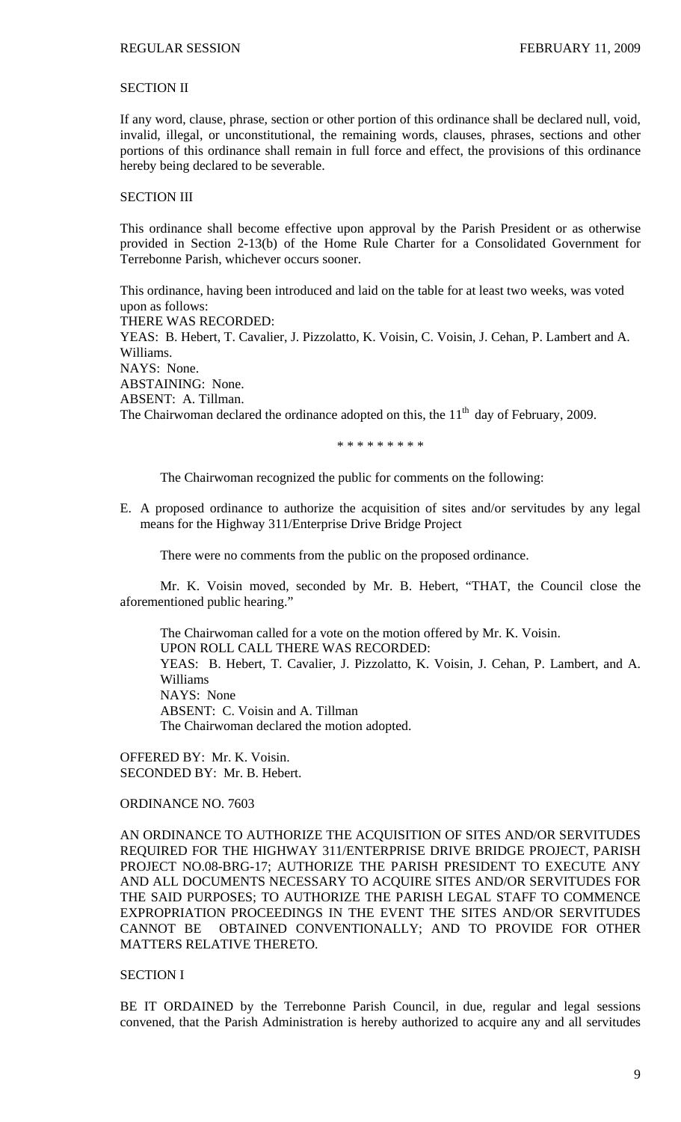# SECTION II

If any word, clause, phrase, section or other portion of this ordinance shall be declared null, void, invalid, illegal, or unconstitutional, the remaining words, clauses, phrases, sections and other portions of this ordinance shall remain in full force and effect, the provisions of this ordinance hereby being declared to be severable.

# SECTION III

This ordinance shall become effective upon approval by the Parish President or as otherwise provided in Section 2-13(b) of the Home Rule Charter for a Consolidated Government for Terrebonne Parish, whichever occurs sooner.

This ordinance, having been introduced and laid on the table for at least two weeks, was voted upon as follows: THERE WAS RECORDED: YEAS: B. Hebert, T. Cavalier, J. Pizzolatto, K. Voisin, C. Voisin, J. Cehan, P. Lambert and A. Williams. NAYS: None. ABSTAINING: None. ABSENT: A. Tillman. The Chairwoman declared the ordinance adopted on this, the  $11<sup>th</sup>$  day of February, 2009.

\* \* \* \* \* \* \* \* \*

The Chairwoman recognized the public for comments on the following:

E. A proposed ordinance to authorize the acquisition of sites and/or servitudes by any legal means for the Highway 311/Enterprise Drive Bridge Project

There were no comments from the public on the proposed ordinance.

 Mr. K. Voisin moved, seconded by Mr. B. Hebert, "THAT, the Council close the aforementioned public hearing."

 The Chairwoman called for a vote on the motion offered by Mr. K. Voisin. UPON ROLL CALL THERE WAS RECORDED: YEAS: B. Hebert, T. Cavalier, J. Pizzolatto, K. Voisin, J. Cehan, P. Lambert, and A. Williams NAYS: None ABSENT: C. Voisin and A. Tillman The Chairwoman declared the motion adopted.

OFFERED BY: Mr. K. Voisin. SECONDED BY: Mr. B. Hebert.

ORDINANCE NO. 7603

AN ORDINANCE TO AUTHORIZE THE ACQUISITION OF SITES AND/OR SERVITUDES REQUIRED FOR THE HIGHWAY 311/ENTERPRISE DRIVE BRIDGE PROJECT, PARISH PROJECT NO.08-BRG-17; AUTHORIZE THE PARISH PRESIDENT TO EXECUTE ANY AND ALL DOCUMENTS NECESSARY TO ACQUIRE SITES AND/OR SERVITUDES FOR THE SAID PURPOSES; TO AUTHORIZE THE PARISH LEGAL STAFF TO COMMENCE EXPROPRIATION PROCEEDINGS IN THE EVENT THE SITES AND/OR SERVITUDES CANNOT BE OBTAINED CONVENTIONALLY; AND TO PROVIDE FOR OTHER MATTERS RELATIVE THERETO.

### SECTION I

BE IT ORDAINED by the Terrebonne Parish Council, in due, regular and legal sessions convened, that the Parish Administration is hereby authorized to acquire any and all servitudes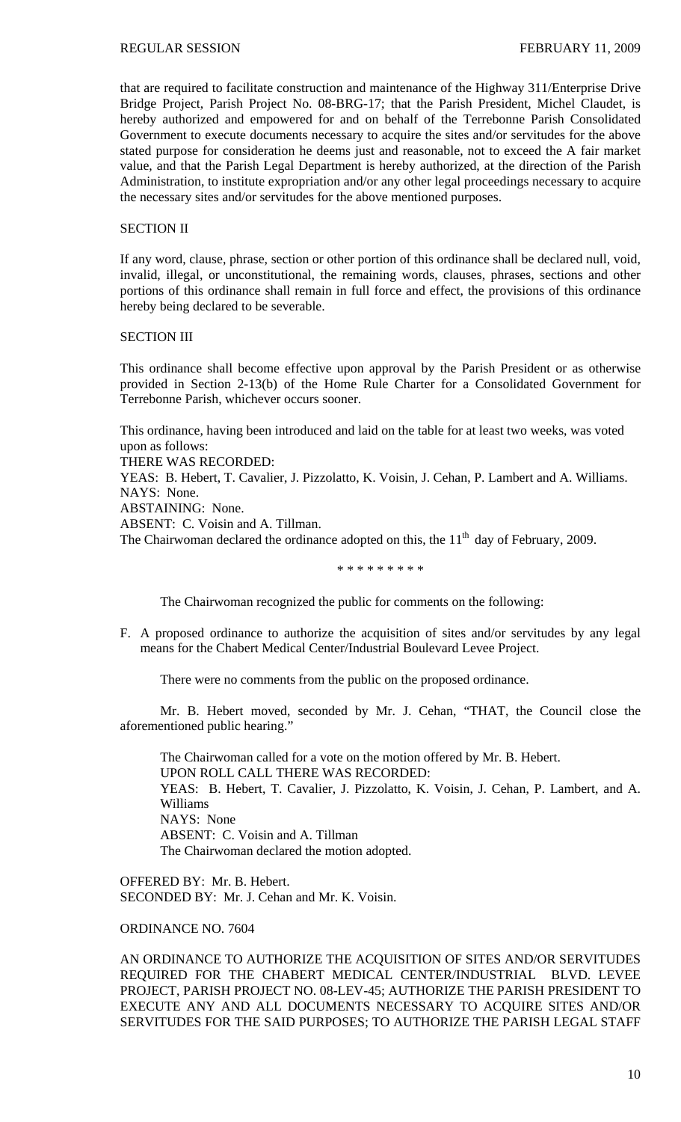that are required to facilitate construction and maintenance of the Highway 311/Enterprise Drive Bridge Project, Parish Project No. 08-BRG-17; that the Parish President, Michel Claudet, is hereby authorized and empowered for and on behalf of the Terrebonne Parish Consolidated Government to execute documents necessary to acquire the sites and/or servitudes for the above stated purpose for consideration he deems just and reasonable, not to exceed the A fair market value, and that the Parish Legal Department is hereby authorized, at the direction of the Parish Administration, to institute expropriation and/or any other legal proceedings necessary to acquire the necessary sites and/or servitudes for the above mentioned purposes.

### SECTION II

If any word, clause, phrase, section or other portion of this ordinance shall be declared null, void, invalid, illegal, or unconstitutional, the remaining words, clauses, phrases, sections and other portions of this ordinance shall remain in full force and effect, the provisions of this ordinance hereby being declared to be severable.

# SECTION III

This ordinance shall become effective upon approval by the Parish President or as otherwise provided in Section 2-13(b) of the Home Rule Charter for a Consolidated Government for Terrebonne Parish, whichever occurs sooner.

This ordinance, having been introduced and laid on the table for at least two weeks, was voted upon as follows:

THERE WAS RECORDED:

YEAS: B. Hebert, T. Cavalier, J. Pizzolatto, K. Voisin, J. Cehan, P. Lambert and A. Williams. NAYS: None.

ABSTAINING: None.

ABSENT: C. Voisin and A. Tillman.

The Chairwoman declared the ordinance adopted on this, the  $11<sup>th</sup>$  day of February, 2009.

\* \* \* \* \* \* \* \* \*

The Chairwoman recognized the public for comments on the following:

F. A proposed ordinance to authorize the acquisition of sites and/or servitudes by any legal means for the Chabert Medical Center/Industrial Boulevard Levee Project.

There were no comments from the public on the proposed ordinance.

 Mr. B. Hebert moved, seconded by Mr. J. Cehan, "THAT, the Council close the aforementioned public hearing."

 The Chairwoman called for a vote on the motion offered by Mr. B. Hebert. UPON ROLL CALL THERE WAS RECORDED: YEAS: B. Hebert, T. Cavalier, J. Pizzolatto, K. Voisin, J. Cehan, P. Lambert, and A. Williams NAYS: None ABSENT: C. Voisin and A. Tillman The Chairwoman declared the motion adopted.

OFFERED BY: Mr. B. Hebert. SECONDED BY: Mr. J. Cehan and Mr. K. Voisin.

ORDINANCE NO. 7604

AN ORDINANCE TO AUTHORIZE THE ACQUISITION OF SITES AND/OR SERVITUDES REQUIRED FOR THE CHABERT MEDICAL CENTER/INDUSTRIAL BLVD. LEVEE PROJECT, PARISH PROJECT NO. 08-LEV-45; AUTHORIZE THE PARISH PRESIDENT TO EXECUTE ANY AND ALL DOCUMENTS NECESSARY TO ACQUIRE SITES AND/OR SERVITUDES FOR THE SAID PURPOSES; TO AUTHORIZE THE PARISH LEGAL STAFF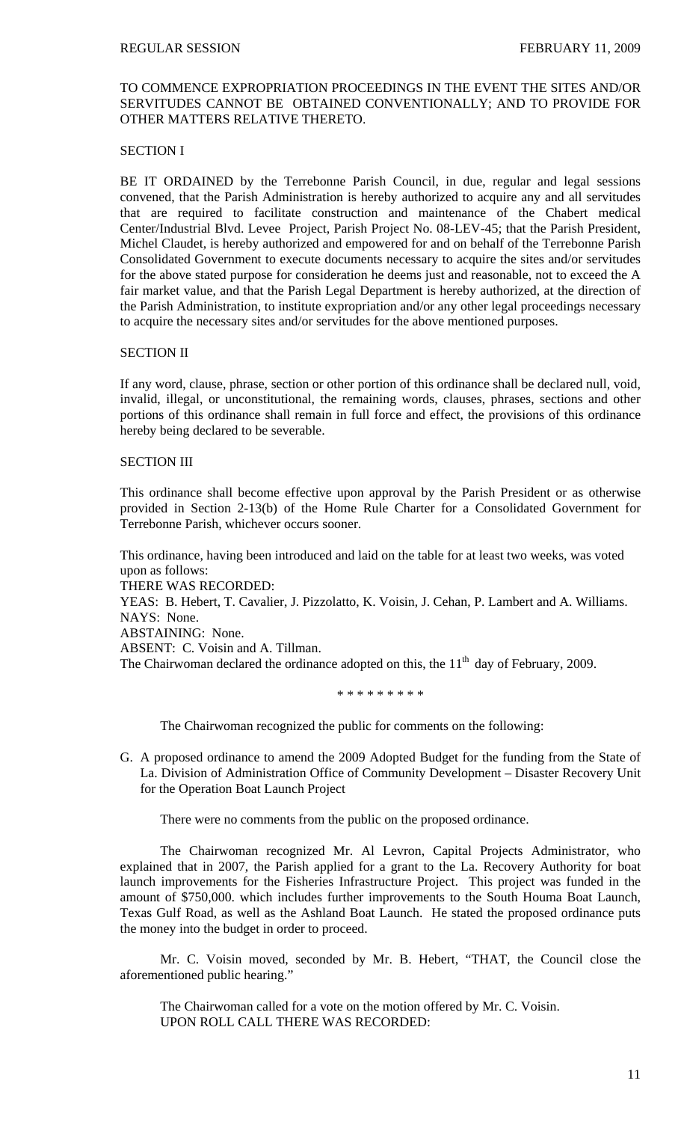# TO COMMENCE EXPROPRIATION PROCEEDINGS IN THE EVENT THE SITES AND/OR SERVITUDES CANNOT BE OBTAINED CONVENTIONALLY; AND TO PROVIDE FOR OTHER MATTERS RELATIVE THERETO.

# SECTION I

BE IT ORDAINED by the Terrebonne Parish Council, in due, regular and legal sessions convened, that the Parish Administration is hereby authorized to acquire any and all servitudes that are required to facilitate construction and maintenance of the Chabert medical Center/Industrial Blvd. Levee Project, Parish Project No. 08-LEV-45; that the Parish President, Michel Claudet, is hereby authorized and empowered for and on behalf of the Terrebonne Parish Consolidated Government to execute documents necessary to acquire the sites and/or servitudes for the above stated purpose for consideration he deems just and reasonable, not to exceed the A fair market value, and that the Parish Legal Department is hereby authorized, at the direction of the Parish Administration, to institute expropriation and/or any other legal proceedings necessary to acquire the necessary sites and/or servitudes for the above mentioned purposes.

## SECTION II

If any word, clause, phrase, section or other portion of this ordinance shall be declared null, void, invalid, illegal, or unconstitutional, the remaining words, clauses, phrases, sections and other portions of this ordinance shall remain in full force and effect, the provisions of this ordinance hereby being declared to be severable.

## SECTION III

This ordinance shall become effective upon approval by the Parish President or as otherwise provided in Section 2-13(b) of the Home Rule Charter for a Consolidated Government for Terrebonne Parish, whichever occurs sooner.

This ordinance, having been introduced and laid on the table for at least two weeks, was voted upon as follows:

THERE WAS RECORDED:

YEAS: B. Hebert, T. Cavalier, J. Pizzolatto, K. Voisin, J. Cehan, P. Lambert and A. Williams. NAYS: None.

ABSTAINING: None.

ABSENT: C. Voisin and A. Tillman.

The Chairwoman declared the ordinance adopted on this, the  $11<sup>th</sup>$  day of February, 2009.

\* \* \* \* \* \* \* \* \*

The Chairwoman recognized the public for comments on the following:

G. A proposed ordinance to amend the 2009 Adopted Budget for the funding from the State of La. Division of Administration Office of Community Development – Disaster Recovery Unit for the Operation Boat Launch Project

There were no comments from the public on the proposed ordinance.

 The Chairwoman recognized Mr. Al Levron, Capital Projects Administrator, who explained that in 2007, the Parish applied for a grant to the La. Recovery Authority for boat launch improvements for the Fisheries Infrastructure Project. This project was funded in the amount of \$750,000. which includes further improvements to the South Houma Boat Launch, Texas Gulf Road, as well as the Ashland Boat Launch. He stated the proposed ordinance puts the money into the budget in order to proceed.

 Mr. C. Voisin moved, seconded by Mr. B. Hebert, "THAT, the Council close the aforementioned public hearing."

 The Chairwoman called for a vote on the motion offered by Mr. C. Voisin. UPON ROLL CALL THERE WAS RECORDED: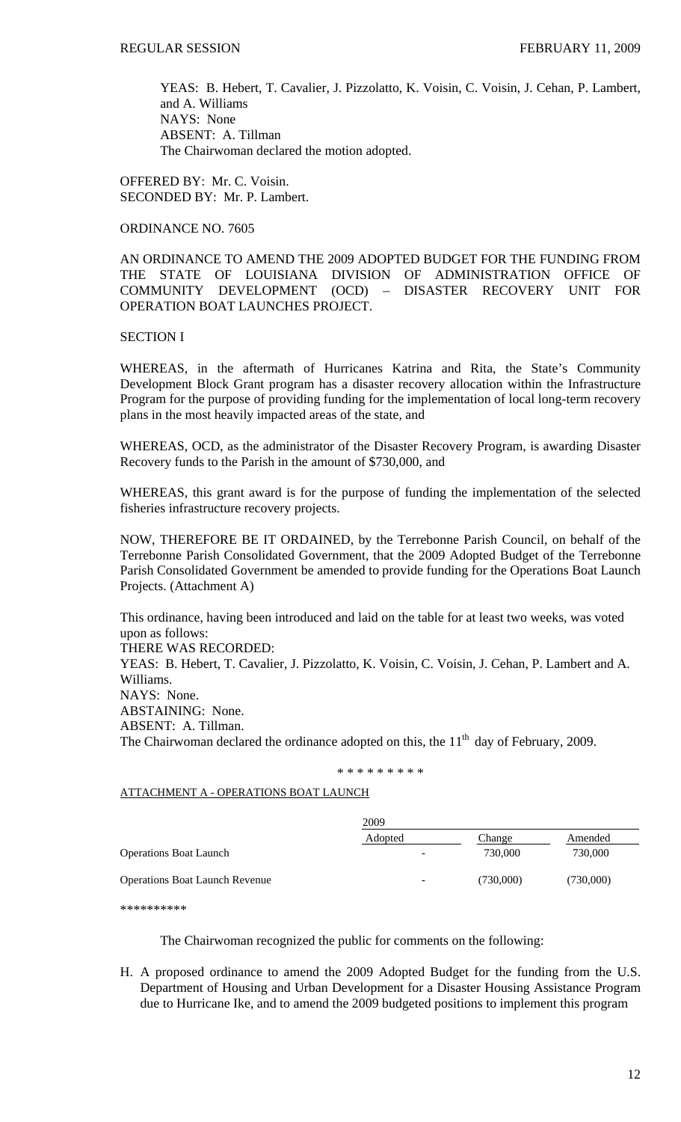YEAS: B. Hebert, T. Cavalier, J. Pizzolatto, K. Voisin, C. Voisin, J. Cehan, P. Lambert, and A. Williams NAYS: None ABSENT: A. Tillman The Chairwoman declared the motion adopted.

OFFERED BY: Mr. C. Voisin. SECONDED BY: Mr. P. Lambert.

ORDINANCE NO. 7605

AN ORDINANCE TO AMEND THE 2009 ADOPTED BUDGET FOR THE FUNDING FROM THE STATE OF LOUISIANA DIVISION OF ADMINISTRATION OFFICE OF COMMUNITY DEVELOPMENT (OCD) – DISASTER RECOVERY UNIT FOR OPERATION BOAT LAUNCHES PROJECT.

# SECTION I

WHEREAS, in the aftermath of Hurricanes Katrina and Rita, the State's Community Development Block Grant program has a disaster recovery allocation within the Infrastructure Program for the purpose of providing funding for the implementation of local long-term recovery plans in the most heavily impacted areas of the state, and

WHEREAS, OCD, as the administrator of the Disaster Recovery Program, is awarding Disaster Recovery funds to the Parish in the amount of \$730,000, and

WHEREAS, this grant award is for the purpose of funding the implementation of the selected fisheries infrastructure recovery projects.

NOW, THEREFORE BE IT ORDAINED, by the Terrebonne Parish Council, on behalf of the Terrebonne Parish Consolidated Government, that the 2009 Adopted Budget of the Terrebonne Parish Consolidated Government be amended to provide funding for the Operations Boat Launch Projects. (Attachment A)

This ordinance, having been introduced and laid on the table for at least two weeks, was voted upon as follows:

THERE WAS RECORDED:

YEAS: B. Hebert, T. Cavalier, J. Pizzolatto, K. Voisin, C. Voisin, J. Cehan, P. Lambert and A. Williams.

NAYS: None.

ABSTAINING: None.

ABSENT: A. Tillman.

The Chairwoman declared the ordinance adopted on this, the  $11<sup>th</sup>$  day of February, 2009.

\* \* \* \* \* \* \* \* \*

ATTACHMENT A - OPERATIONS BOAT LAUNCH

|                                       | 2009    |           |           |
|---------------------------------------|---------|-----------|-----------|
|                                       | Adopted | Change    | Amended   |
| <b>Operations Boat Launch</b>         |         | 730,000   | 730,000   |
| <b>Operations Boat Launch Revenue</b> | ۰       | (730,000) | (730,000) |

\*\*\*\*\*\*\*\*\*\*

The Chairwoman recognized the public for comments on the following:

H. A proposed ordinance to amend the 2009 Adopted Budget for the funding from the U.S. Department of Housing and Urban Development for a Disaster Housing Assistance Program due to Hurricane Ike, and to amend the 2009 budgeted positions to implement this program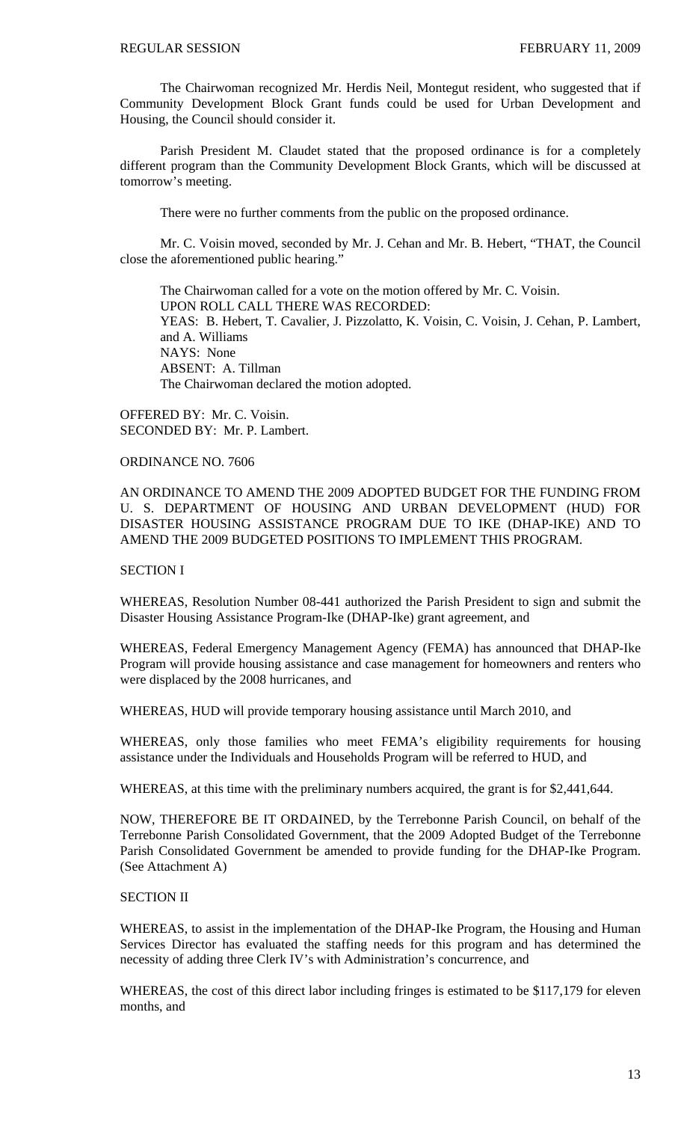The Chairwoman recognized Mr. Herdis Neil, Montegut resident, who suggested that if Community Development Block Grant funds could be used for Urban Development and Housing, the Council should consider it.

 Parish President M. Claudet stated that the proposed ordinance is for a completely different program than the Community Development Block Grants, which will be discussed at tomorrow's meeting.

There were no further comments from the public on the proposed ordinance.

 Mr. C. Voisin moved, seconded by Mr. J. Cehan and Mr. B. Hebert, "THAT, the Council close the aforementioned public hearing."

 The Chairwoman called for a vote on the motion offered by Mr. C. Voisin. UPON ROLL CALL THERE WAS RECORDED: YEAS: B. Hebert, T. Cavalier, J. Pizzolatto, K. Voisin, C. Voisin, J. Cehan, P. Lambert, and A. Williams NAYS: None ABSENT: A. Tillman The Chairwoman declared the motion adopted.

OFFERED BY: Mr. C. Voisin. SECONDED BY: Mr. P. Lambert.

# ORDINANCE NO. 7606

AN ORDINANCE TO AMEND THE 2009 ADOPTED BUDGET FOR THE FUNDING FROM U. S. DEPARTMENT OF HOUSING AND URBAN DEVELOPMENT (HUD) FOR DISASTER HOUSING ASSISTANCE PROGRAM DUE TO IKE (DHAP-IKE) AND TO AMEND THE 2009 BUDGETED POSITIONS TO IMPLEMENT THIS PROGRAM.

# SECTION I

WHEREAS, Resolution Number 08-441 authorized the Parish President to sign and submit the Disaster Housing Assistance Program-Ike (DHAP-Ike) grant agreement, and

WHEREAS, Federal Emergency Management Agency (FEMA) has announced that DHAP-Ike Program will provide housing assistance and case management for homeowners and renters who were displaced by the 2008 hurricanes, and

WHEREAS, HUD will provide temporary housing assistance until March 2010, and

WHEREAS, only those families who meet FEMA's eligibility requirements for housing assistance under the Individuals and Households Program will be referred to HUD, and

WHEREAS, at this time with the preliminary numbers acquired, the grant is for \$2,441,644.

NOW, THEREFORE BE IT ORDAINED, by the Terrebonne Parish Council, on behalf of the Terrebonne Parish Consolidated Government, that the 2009 Adopted Budget of the Terrebonne Parish Consolidated Government be amended to provide funding for the DHAP-Ike Program. (See Attachment A)

# SECTION II

WHEREAS, to assist in the implementation of the DHAP-Ike Program, the Housing and Human Services Director has evaluated the staffing needs for this program and has determined the necessity of adding three Clerk IV's with Administration's concurrence, and

WHEREAS, the cost of this direct labor including fringes is estimated to be \$117,179 for eleven months, and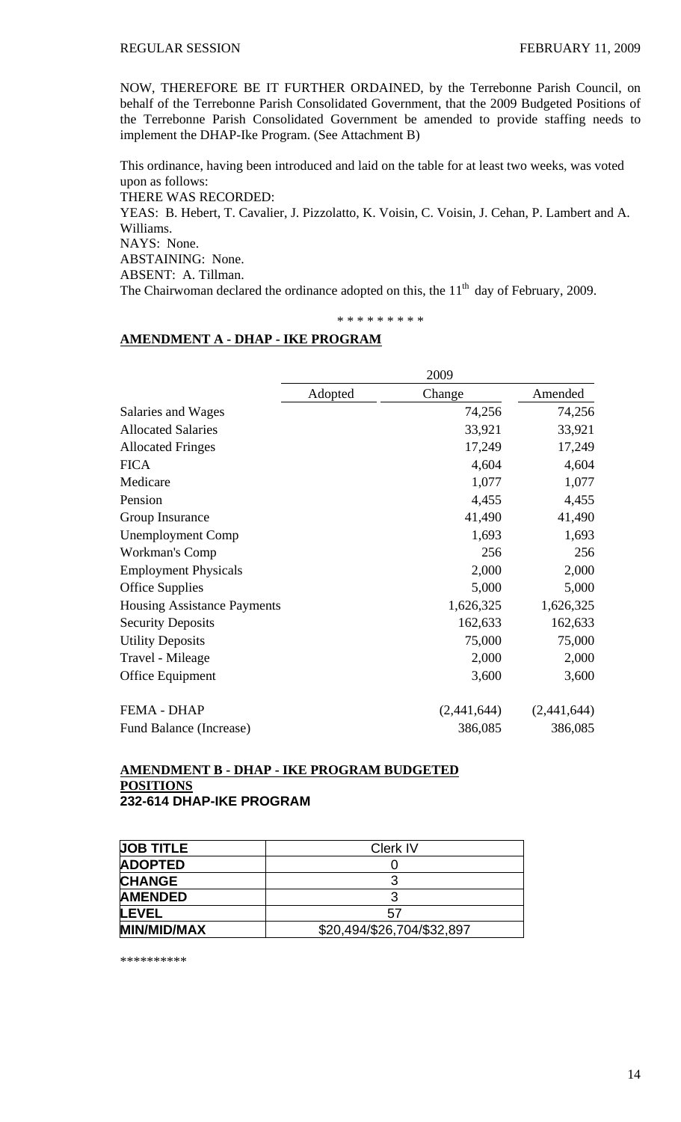NOW, THEREFORE BE IT FURTHER ORDAINED, by the Terrebonne Parish Council, on behalf of the Terrebonne Parish Consolidated Government, that the 2009 Budgeted Positions of the Terrebonne Parish Consolidated Government be amended to provide staffing needs to implement the DHAP-Ike Program. (See Attachment B)

This ordinance, having been introduced and laid on the table for at least two weeks, was voted upon as follows: THERE WAS RECORDED: YEAS: B. Hebert, T. Cavalier, J. Pizzolatto, K. Voisin, C. Voisin, J. Cehan, P. Lambert and A. Williams. NAYS: None. ABSTAINING: None. ABSENT: A. Tillman. The Chairwoman declared the ordinance adopted on this, the  $11<sup>th</sup>$  day of February, 2009.

# \* \* \* \* \* \* \* \* \*

# **AMENDMENT A - DHAP - IKE PROGRAM**

|                                    | 2009    |             |             |
|------------------------------------|---------|-------------|-------------|
|                                    | Adopted | Change      | Amended     |
| Salaries and Wages                 |         | 74,256      | 74,256      |
| <b>Allocated Salaries</b>          |         | 33,921      | 33,921      |
| <b>Allocated Fringes</b>           |         | 17,249      | 17,249      |
| <b>FICA</b>                        |         | 4,604       | 4,604       |
| Medicare                           |         | 1,077       | 1,077       |
| Pension                            |         | 4,455       | 4,455       |
| Group Insurance                    |         | 41,490      | 41,490      |
| <b>Unemployment Comp</b>           |         | 1,693       | 1,693       |
| Workman's Comp                     |         | 256         | 256         |
| <b>Employment Physicals</b>        |         | 2,000       | 2,000       |
| <b>Office Supplies</b>             |         | 5,000       | 5,000       |
| <b>Housing Assistance Payments</b> |         | 1,626,325   | 1,626,325   |
| <b>Security Deposits</b>           |         | 162,633     | 162,633     |
| <b>Utility Deposits</b>            |         | 75,000      | 75,000      |
| Travel - Mileage                   |         | 2,000       | 2,000       |
| Office Equipment                   |         | 3,600       | 3,600       |
| <b>FEMA - DHAP</b>                 |         | (2,441,644) | (2,441,644) |
| Fund Balance (Increase)            |         | 386,085     | 386,085     |

# **AMENDMENT B - DHAP - IKE PROGRAM BUDGETED POSITIONS 232-614 DHAP-IKE PROGRAM**

| <b>JOB TITLE</b>   | <b>Clerk IV</b>            |
|--------------------|----------------------------|
| <b>ADOPTED</b>     |                            |
| <b>CHANGE</b>      |                            |
| <b>AMENDED</b>     |                            |
| LEVEL              | 57                         |
| <b>MIN/MID/MAX</b> | \$20,494/\$26,704/\$32,897 |

\*\*\*\*\*\*\*\*\*\*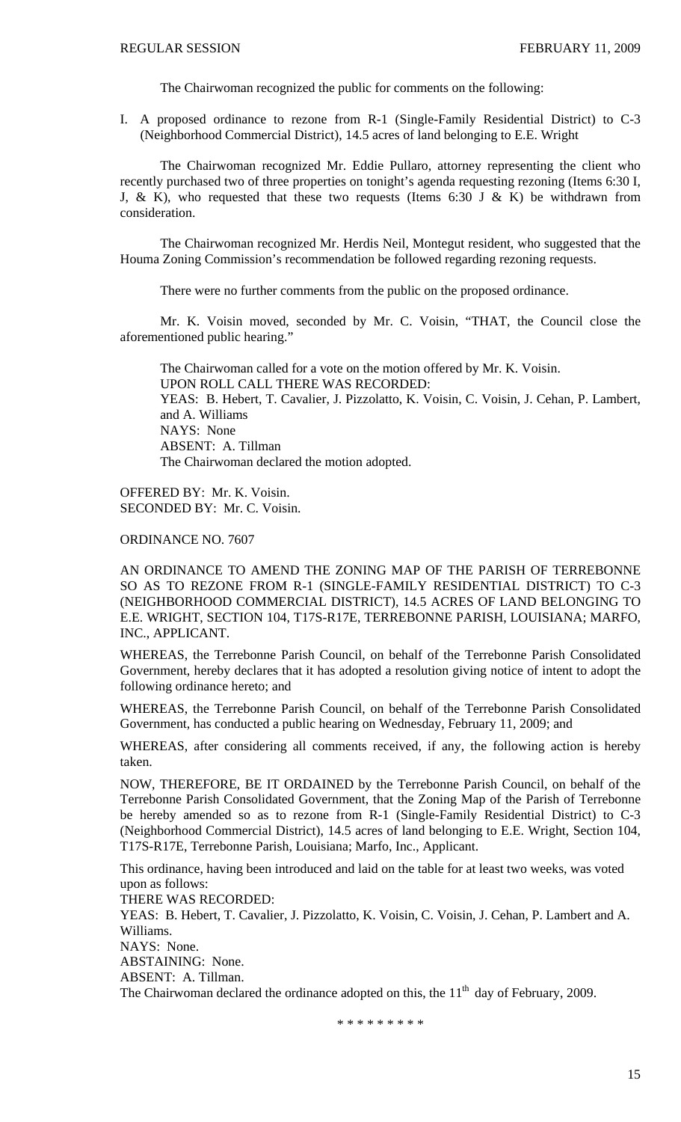The Chairwoman recognized the public for comments on the following:

I. A proposed ordinance to rezone from R-1 (Single-Family Residential District) to C-3 (Neighborhood Commercial District), 14.5 acres of land belonging to E.E. Wright

 The Chairwoman recognized Mr. Eddie Pullaro, attorney representing the client who recently purchased two of three properties on tonight's agenda requesting rezoning (Items 6:30 I, J, & K), who requested that these two requests (Items 6:30 J & K) be withdrawn from consideration.

 The Chairwoman recognized Mr. Herdis Neil, Montegut resident, who suggested that the Houma Zoning Commission's recommendation be followed regarding rezoning requests.

There were no further comments from the public on the proposed ordinance.

 Mr. K. Voisin moved, seconded by Mr. C. Voisin, "THAT, the Council close the aforementioned public hearing."

 The Chairwoman called for a vote on the motion offered by Mr. K. Voisin. UPON ROLL CALL THERE WAS RECORDED: YEAS: B. Hebert, T. Cavalier, J. Pizzolatto, K. Voisin, C. Voisin, J. Cehan, P. Lambert, and A. Williams NAYS: None ABSENT: A. Tillman The Chairwoman declared the motion adopted.

OFFERED BY: Mr. K. Voisin. SECONDED BY: Mr. C. Voisin.

ORDINANCE NO. 7607

AN ORDINANCE TO AMEND THE ZONING MAP OF THE PARISH OF TERREBONNE SO AS TO REZONE FROM R-1 (SINGLE-FAMILY RESIDENTIAL DISTRICT) TO C-3 (NEIGHBORHOOD COMMERCIAL DISTRICT), 14.5 ACRES OF LAND BELONGING TO E.E. WRIGHT, SECTION 104, T17S-R17E, TERREBONNE PARISH, LOUISIANA; MARFO, INC., APPLICANT.

WHEREAS, the Terrebonne Parish Council, on behalf of the Terrebonne Parish Consolidated Government, hereby declares that it has adopted a resolution giving notice of intent to adopt the following ordinance hereto; and

WHEREAS, the Terrebonne Parish Council, on behalf of the Terrebonne Parish Consolidated Government, has conducted a public hearing on Wednesday, February 11, 2009; and

WHEREAS, after considering all comments received, if any, the following action is hereby taken.

NOW, THEREFORE, BE IT ORDAINED by the Terrebonne Parish Council, on behalf of the Terrebonne Parish Consolidated Government, that the Zoning Map of the Parish of Terrebonne be hereby amended so as to rezone from R-1 (Single-Family Residential District) to C-3 (Neighborhood Commercial District), 14.5 acres of land belonging to E.E. Wright, Section 104, T17S-R17E, Terrebonne Parish, Louisiana; Marfo, Inc., Applicant.

This ordinance, having been introduced and laid on the table for at least two weeks, was voted upon as follows:

THERE WAS RECORDED:

YEAS: B. Hebert, T. Cavalier, J. Pizzolatto, K. Voisin, C. Voisin, J. Cehan, P. Lambert and A. Williams.

NAYS: None.

ABSTAINING: None.

ABSENT: A. Tillman.

The Chairwoman declared the ordinance adopted on this, the  $11<sup>th</sup>$  day of February, 2009.

\* \* \* \* \* \* \* \* \*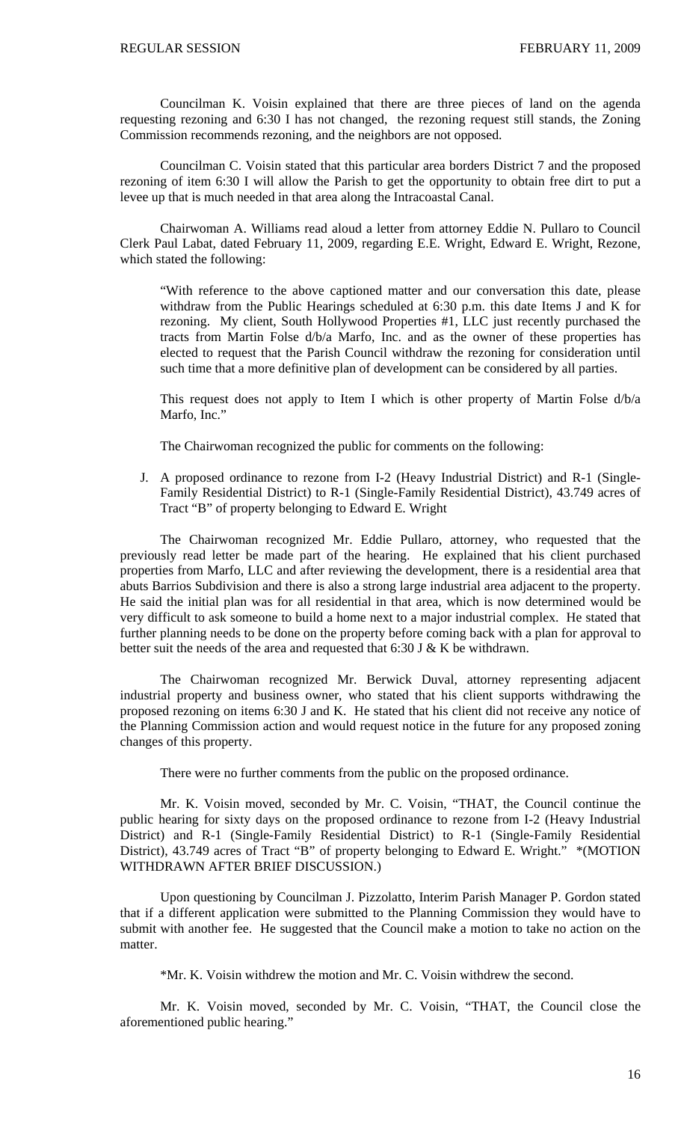Councilman K. Voisin explained that there are three pieces of land on the agenda requesting rezoning and 6:30 I has not changed, the rezoning request still stands, the Zoning Commission recommends rezoning, and the neighbors are not opposed.

 Councilman C. Voisin stated that this particular area borders District 7 and the proposed rezoning of item 6:30 I will allow the Parish to get the opportunity to obtain free dirt to put a levee up that is much needed in that area along the Intracoastal Canal.

 Chairwoman A. Williams read aloud a letter from attorney Eddie N. Pullaro to Council Clerk Paul Labat, dated February 11, 2009, regarding E.E. Wright, Edward E. Wright, Rezone, which stated the following:

"With reference to the above captioned matter and our conversation this date, please withdraw from the Public Hearings scheduled at 6:30 p.m. this date Items J and K for rezoning. My client, South Hollywood Properties #1, LLC just recently purchased the tracts from Martin Folse d/b/a Marfo, Inc. and as the owner of these properties has elected to request that the Parish Council withdraw the rezoning for consideration until such time that a more definitive plan of development can be considered by all parties.

This request does not apply to Item I which is other property of Martin Folse d/b/a Marfo, Inc."

The Chairwoman recognized the public for comments on the following:

J. A proposed ordinance to rezone from I-2 (Heavy Industrial District) and R-1 (Single-Family Residential District) to R-1 (Single-Family Residential District), 43.749 acres of Tract "B" of property belonging to Edward E. Wright

 The Chairwoman recognized Mr. Eddie Pullaro, attorney, who requested that the previously read letter be made part of the hearing. He explained that his client purchased properties from Marfo, LLC and after reviewing the development, there is a residential area that abuts Barrios Subdivision and there is also a strong large industrial area adjacent to the property. He said the initial plan was for all residential in that area, which is now determined would be very difficult to ask someone to build a home next to a major industrial complex. He stated that further planning needs to be done on the property before coming back with a plan for approval to better suit the needs of the area and requested that 6:30 J  $&$  K be withdrawn.

 The Chairwoman recognized Mr. Berwick Duval, attorney representing adjacent industrial property and business owner, who stated that his client supports withdrawing the proposed rezoning on items 6:30 J and K. He stated that his client did not receive any notice of the Planning Commission action and would request notice in the future for any proposed zoning changes of this property.

There were no further comments from the public on the proposed ordinance.

 Mr. K. Voisin moved, seconded by Mr. C. Voisin, "THAT, the Council continue the public hearing for sixty days on the proposed ordinance to rezone from I-2 (Heavy Industrial District) and R-1 (Single-Family Residential District) to R-1 (Single-Family Residential District), 43.749 acres of Tract "B" of property belonging to Edward E. Wright." \*(MOTION WITHDRAWN AFTER BRIEF DISCUSSION.)

 Upon questioning by Councilman J. Pizzolatto, Interim Parish Manager P. Gordon stated that if a different application were submitted to the Planning Commission they would have to submit with another fee. He suggested that the Council make a motion to take no action on the matter.

\*Mr. K. Voisin withdrew the motion and Mr. C. Voisin withdrew the second.

 Mr. K. Voisin moved, seconded by Mr. C. Voisin, "THAT, the Council close the aforementioned public hearing."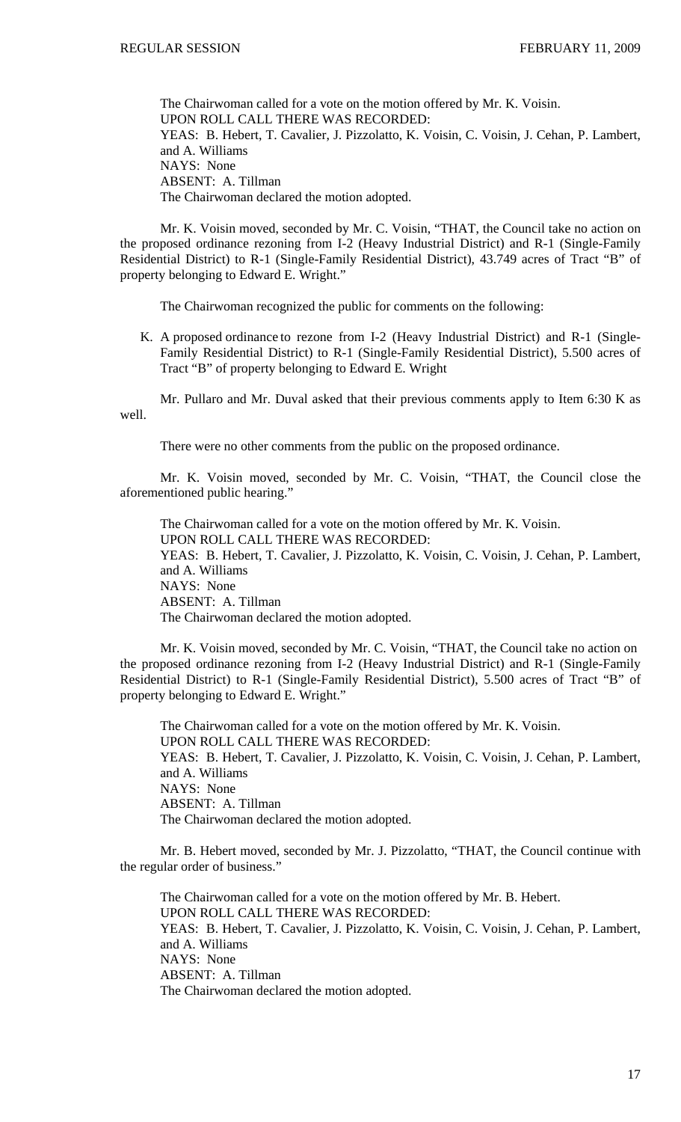The Chairwoman called for a vote on the motion offered by Mr. K. Voisin. UPON ROLL CALL THERE WAS RECORDED: YEAS: B. Hebert, T. Cavalier, J. Pizzolatto, K. Voisin, C. Voisin, J. Cehan, P. Lambert, and A. Williams NAYS: None ABSENT: A. Tillman The Chairwoman declared the motion adopted.

 Mr. K. Voisin moved, seconded by Mr. C. Voisin, "THAT, the Council take no action on the proposed ordinance rezoning from I-2 (Heavy Industrial District) and R-1 (Single-Family Residential District) to R-1 (Single-Family Residential District), 43.749 acres of Tract "B" of property belonging to Edward E. Wright."

The Chairwoman recognized the public for comments on the following:

K. A proposed ordinance to rezone from I-2 (Heavy Industrial District) and R-1 (Single-Family Residential District) to R-1 (Single-Family Residential District), 5.500 acres of Tract "B" of property belonging to Edward E. Wright

 Mr. Pullaro and Mr. Duval asked that their previous comments apply to Item 6:30 K as well.

There were no other comments from the public on the proposed ordinance.

 Mr. K. Voisin moved, seconded by Mr. C. Voisin, "THAT, the Council close the aforementioned public hearing."

The Chairwoman called for a vote on the motion offered by Mr. K. Voisin. UPON ROLL CALL THERE WAS RECORDED: YEAS: B. Hebert, T. Cavalier, J. Pizzolatto, K. Voisin, C. Voisin, J. Cehan, P. Lambert, and A. Williams NAYS: None ABSENT: A. Tillman The Chairwoman declared the motion adopted.

Mr. K. Voisin moved, seconded by Mr. C. Voisin, "THAT, the Council take no action on the proposed ordinance rezoning from I-2 (Heavy Industrial District) and R-1 (Single-Family Residential District) to R-1 (Single-Family Residential District), 5.500 acres of Tract "B" of property belonging to Edward E. Wright."

 The Chairwoman called for a vote on the motion offered by Mr. K. Voisin. UPON ROLL CALL THERE WAS RECORDED: YEAS: B. Hebert, T. Cavalier, J. Pizzolatto, K. Voisin, C. Voisin, J. Cehan, P. Lambert, and A. Williams NAYS: None ABSENT: A. Tillman The Chairwoman declared the motion adopted.

Mr. B. Hebert moved, seconded by Mr. J. Pizzolatto, "THAT, the Council continue with the regular order of business."

 The Chairwoman called for a vote on the motion offered by Mr. B. Hebert. UPON ROLL CALL THERE WAS RECORDED: YEAS: B. Hebert, T. Cavalier, J. Pizzolatto, K. Voisin, C. Voisin, J. Cehan, P. Lambert, and A. Williams NAYS: None ABSENT: A. Tillman The Chairwoman declared the motion adopted.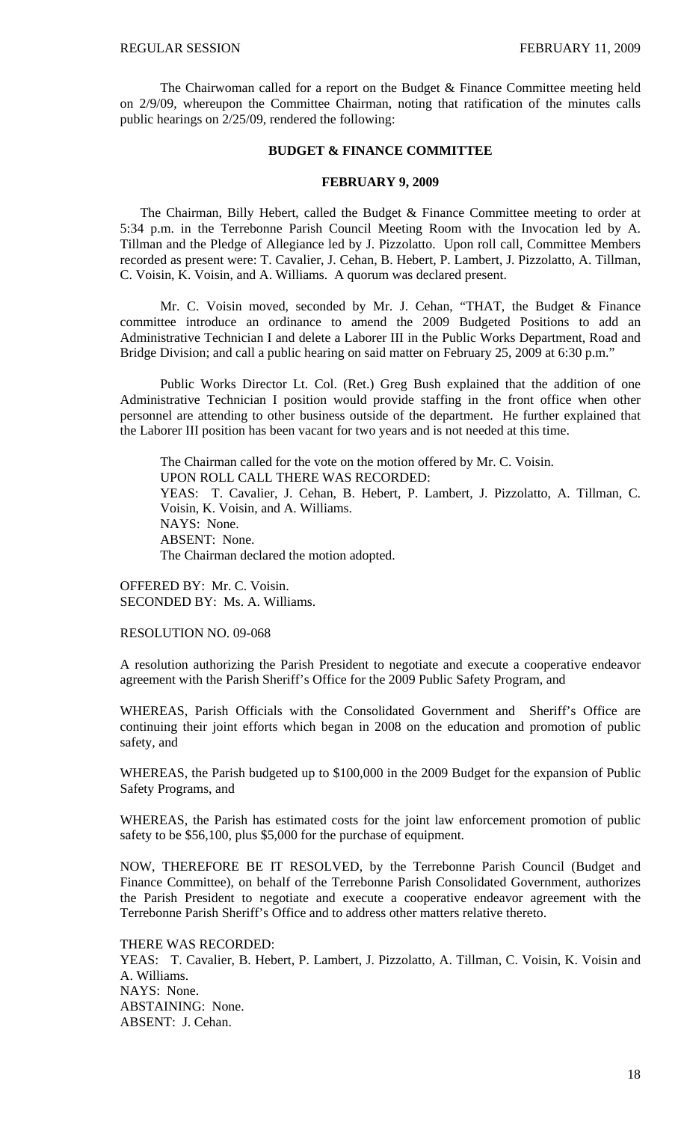The Chairwoman called for a report on the Budget & Finance Committee meeting held on 2/9/09, whereupon the Committee Chairman, noting that ratification of the minutes calls public hearings on 2/25/09, rendered the following:

# **BUDGET & FINANCE COMMITTEE**

# **FEBRUARY 9, 2009**

 The Chairman, Billy Hebert, called the Budget & Finance Committee meeting to order at 5:34 p.m. in the Terrebonne Parish Council Meeting Room with the Invocation led by A. Tillman and the Pledge of Allegiance led by J. Pizzolatto. Upon roll call, Committee Members recorded as present were: T. Cavalier, J. Cehan, B. Hebert, P. Lambert, J. Pizzolatto, A. Tillman, C. Voisin, K. Voisin, and A. Williams. A quorum was declared present.

 Mr. C. Voisin moved, seconded by Mr. J. Cehan, "THAT, the Budget & Finance committee introduce an ordinance to amend the 2009 Budgeted Positions to add an Administrative Technician I and delete a Laborer III in the Public Works Department, Road and Bridge Division; and call a public hearing on said matter on February 25, 2009 at 6:30 p.m."

 Public Works Director Lt. Col. (Ret.) Greg Bush explained that the addition of one Administrative Technician I position would provide staffing in the front office when other personnel are attending to other business outside of the department. He further explained that the Laborer III position has been vacant for two years and is not needed at this time.

 The Chairman called for the vote on the motion offered by Mr. C. Voisin. UPON ROLL CALL THERE WAS RECORDED: YEAS: T. Cavalier, J. Cehan, B. Hebert, P. Lambert, J. Pizzolatto, A. Tillman, C. Voisin, K. Voisin, and A. Williams. NAYS: None. ABSENT: None. The Chairman declared the motion adopted.

OFFERED BY: Mr. C. Voisin. SECONDED BY: Ms. A. Williams.

RESOLUTION NO. 09-068

A resolution authorizing the Parish President to negotiate and execute a cooperative endeavor agreement with the Parish Sheriff's Office for the 2009 Public Safety Program, and

WHEREAS, Parish Officials with the Consolidated Government and Sheriff's Office are continuing their joint efforts which began in 2008 on the education and promotion of public safety, and

WHEREAS, the Parish budgeted up to \$100,000 in the 2009 Budget for the expansion of Public Safety Programs, and

WHEREAS, the Parish has estimated costs for the joint law enforcement promotion of public safety to be \$56,100, plus \$5,000 for the purchase of equipment.

NOW, THEREFORE BE IT RESOLVED, by the Terrebonne Parish Council (Budget and Finance Committee), on behalf of the Terrebonne Parish Consolidated Government, authorizes the Parish President to negotiate and execute a cooperative endeavor agreement with the Terrebonne Parish Sheriff's Office and to address other matters relative thereto.

THERE WAS RECORDED: YEAS: T. Cavalier, B. Hebert, P. Lambert, J. Pizzolatto, A. Tillman, C. Voisin, K. Voisin and A. Williams. NAYS: None. ABSTAINING: None. ABSENT: J. Cehan.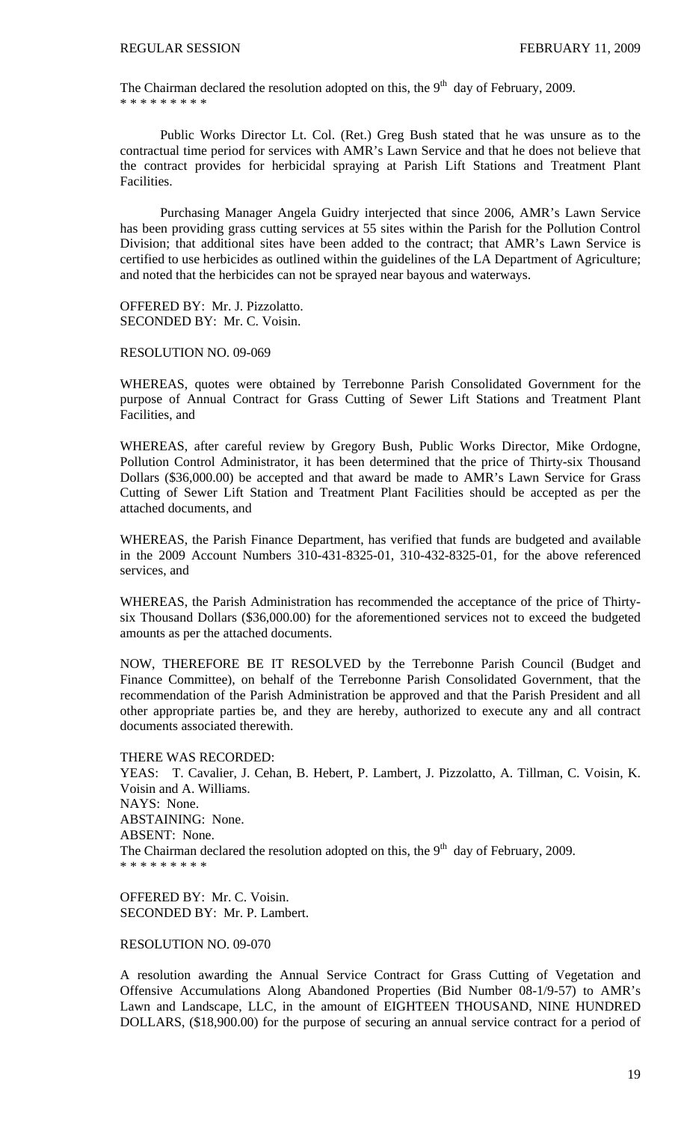The Chairman declared the resolution adopted on this, the  $9<sup>th</sup>$  day of February, 2009. \* \* \* \* \* \* \* \* \*

 Public Works Director Lt. Col. (Ret.) Greg Bush stated that he was unsure as to the contractual time period for services with AMR's Lawn Service and that he does not believe that the contract provides for herbicidal spraying at Parish Lift Stations and Treatment Plant Facilities.

 Purchasing Manager Angela Guidry interjected that since 2006, AMR's Lawn Service has been providing grass cutting services at 55 sites within the Parish for the Pollution Control Division; that additional sites have been added to the contract; that AMR's Lawn Service is certified to use herbicides as outlined within the guidelines of the LA Department of Agriculture; and noted that the herbicides can not be sprayed near bayous and waterways.

OFFERED BY: Mr. J. Pizzolatto. SECONDED BY: Mr. C. Voisin.

# RESOLUTION NO. 09-069

WHEREAS, quotes were obtained by Terrebonne Parish Consolidated Government for the purpose of Annual Contract for Grass Cutting of Sewer Lift Stations and Treatment Plant Facilities, and

WHEREAS, after careful review by Gregory Bush, Public Works Director, Mike Ordogne, Pollution Control Administrator, it has been determined that the price of Thirty-six Thousand Dollars (\$36,000.00) be accepted and that award be made to AMR's Lawn Service for Grass Cutting of Sewer Lift Station and Treatment Plant Facilities should be accepted as per the attached documents, and

WHEREAS, the Parish Finance Department, has verified that funds are budgeted and available in the 2009 Account Numbers 310-431-8325-01, 310-432-8325-01, for the above referenced services, and

WHEREAS, the Parish Administration has recommended the acceptance of the price of Thirtysix Thousand Dollars (\$36,000.00) for the aforementioned services not to exceed the budgeted amounts as per the attached documents.

NOW, THEREFORE BE IT RESOLVED by the Terrebonne Parish Council (Budget and Finance Committee), on behalf of the Terrebonne Parish Consolidated Government, that the recommendation of the Parish Administration be approved and that the Parish President and all other appropriate parties be, and they are hereby, authorized to execute any and all contract documents associated therewith.

THERE WAS RECORDED: YEAS: T. Cavalier, J. Cehan, B. Hebert, P. Lambert, J. Pizzolatto, A. Tillman, C. Voisin, K. Voisin and A. Williams. NAYS: None. ABSTAINING: None. ABSENT: None. The Chairman declared the resolution adopted on this, the  $9<sup>th</sup>$  day of February, 2009. \* \* \* \* \* \* \* \* \*

OFFERED BY: Mr. C. Voisin. SECONDED BY: Mr. P. Lambert.

RESOLUTION NO. 09-070

A resolution awarding the Annual Service Contract for Grass Cutting of Vegetation and Offensive Accumulations Along Abandoned Properties (Bid Number 08-1/9-57) to AMR's Lawn and Landscape, LLC, in the amount of EIGHTEEN THOUSAND, NINE HUNDRED DOLLARS, (\$18,900.00) for the purpose of securing an annual service contract for a period of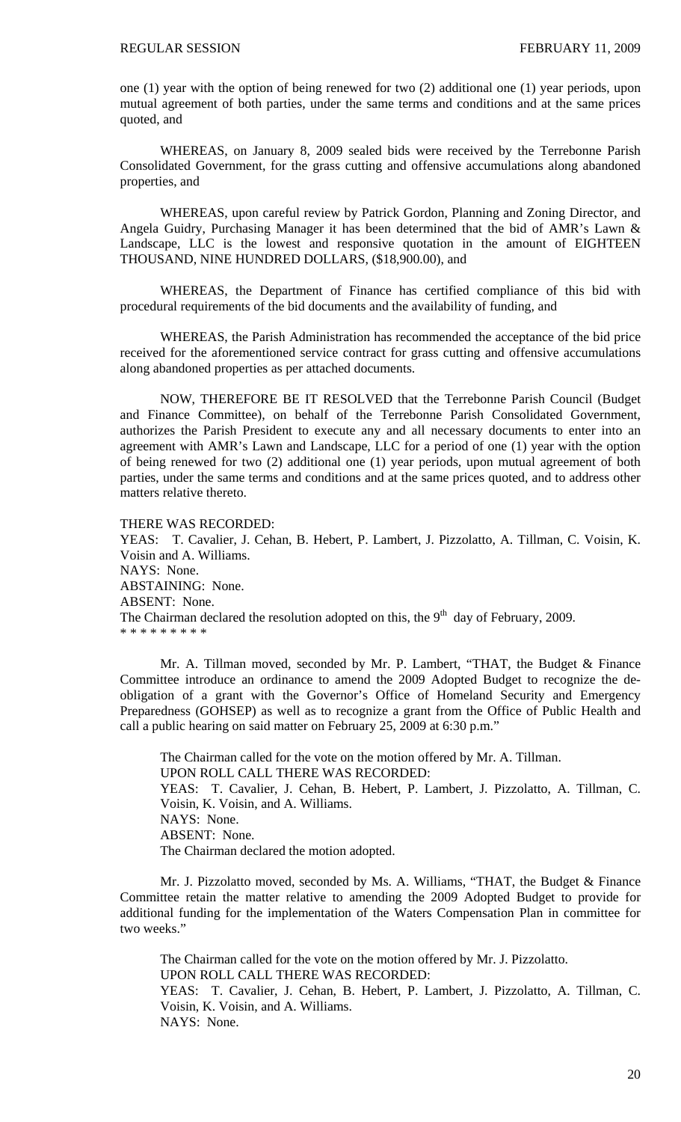one (1) year with the option of being renewed for two (2) additional one (1) year periods, upon mutual agreement of both parties, under the same terms and conditions and at the same prices quoted, and

WHEREAS, on January 8, 2009 sealed bids were received by the Terrebonne Parish Consolidated Government, for the grass cutting and offensive accumulations along abandoned properties, and

WHEREAS, upon careful review by Patrick Gordon, Planning and Zoning Director, and Angela Guidry, Purchasing Manager it has been determined that the bid of AMR's Lawn & Landscape, LLC is the lowest and responsive quotation in the amount of EIGHTEEN THOUSAND, NINE HUNDRED DOLLARS, (\$18,900.00), and

WHEREAS, the Department of Finance has certified compliance of this bid with procedural requirements of the bid documents and the availability of funding, and

WHEREAS, the Parish Administration has recommended the acceptance of the bid price received for the aforementioned service contract for grass cutting and offensive accumulations along abandoned properties as per attached documents.

NOW, THEREFORE BE IT RESOLVED that the Terrebonne Parish Council (Budget and Finance Committee), on behalf of the Terrebonne Parish Consolidated Government, authorizes the Parish President to execute any and all necessary documents to enter into an agreement with AMR's Lawn and Landscape, LLC for a period of one (1) year with the option of being renewed for two (2) additional one (1) year periods, upon mutual agreement of both parties, under the same terms and conditions and at the same prices quoted, and to address other matters relative thereto.

# THERE WAS RECORDED:

YEAS: T. Cavalier, J. Cehan, B. Hebert, P. Lambert, J. Pizzolatto, A. Tillman, C. Voisin, K. Voisin and A. Williams. NAYS: None. ABSTAINING: None. ABSENT: None. The Chairman declared the resolution adopted on this, the  $9<sup>th</sup>$  day of February, 2009. \* \* \* \* \* \* \* \* \*

 Mr. A. Tillman moved, seconded by Mr. P. Lambert, "THAT, the Budget & Finance Committee introduce an ordinance to amend the 2009 Adopted Budget to recognize the deobligation of a grant with the Governor's Office of Homeland Security and Emergency Preparedness (GOHSEP) as well as to recognize a grant from the Office of Public Health and call a public hearing on said matter on February 25, 2009 at 6:30 p.m."

 The Chairman called for the vote on the motion offered by Mr. A. Tillman. UPON ROLL CALL THERE WAS RECORDED: YEAS: T. Cavalier, J. Cehan, B. Hebert, P. Lambert, J. Pizzolatto, A. Tillman, C. Voisin, K. Voisin, and A. Williams. NAYS: None. ABSENT: None. The Chairman declared the motion adopted.

 Mr. J. Pizzolatto moved, seconded by Ms. A. Williams, "THAT, the Budget & Finance Committee retain the matter relative to amending the 2009 Adopted Budget to provide for additional funding for the implementation of the Waters Compensation Plan in committee for two weeks."

 The Chairman called for the vote on the motion offered by Mr. J. Pizzolatto. UPON ROLL CALL THERE WAS RECORDED: YEAS: T. Cavalier, J. Cehan, B. Hebert, P. Lambert, J. Pizzolatto, A. Tillman, C. Voisin, K. Voisin, and A. Williams. NAYS: None.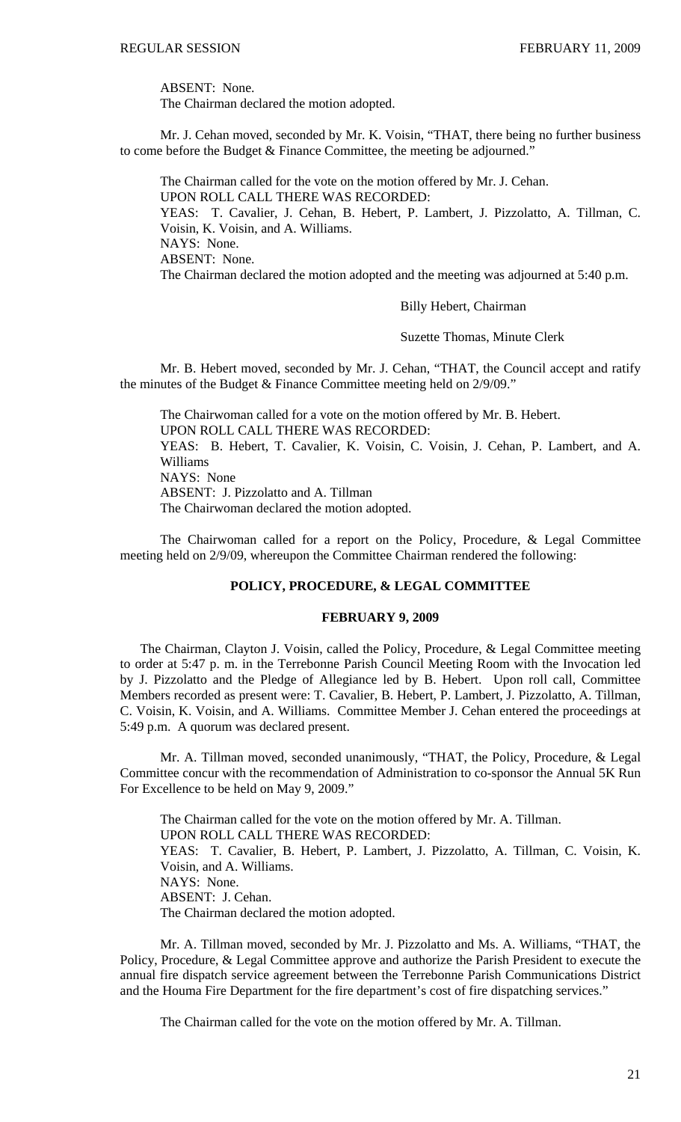ABSENT: None.

The Chairman declared the motion adopted.

 Mr. J. Cehan moved, seconded by Mr. K. Voisin, "THAT, there being no further business to come before the Budget & Finance Committee, the meeting be adjourned."

 The Chairman called for the vote on the motion offered by Mr. J. Cehan. UPON ROLL CALL THERE WAS RECORDED: YEAS: T. Cavalier, J. Cehan, B. Hebert, P. Lambert, J. Pizzolatto, A. Tillman, C. Voisin, K. Voisin, and A. Williams. NAYS: None. ABSENT: None. The Chairman declared the motion adopted and the meeting was adjourned at 5:40 p.m.

Billy Hebert, Chairman

Suzette Thomas, Minute Clerk

 Mr. B. Hebert moved, seconded by Mr. J. Cehan, "THAT, the Council accept and ratify the minutes of the Budget & Finance Committee meeting held on 2/9/09."

 The Chairwoman called for a vote on the motion offered by Mr. B. Hebert. UPON ROLL CALL THERE WAS RECORDED: YEAS: B. Hebert, T. Cavalier, K. Voisin, C. Voisin, J. Cehan, P. Lambert, and A. Williams NAYS: None ABSENT: J. Pizzolatto and A. Tillman The Chairwoman declared the motion adopted.

 The Chairwoman called for a report on the Policy, Procedure, & Legal Committee meeting held on 2/9/09, whereupon the Committee Chairman rendered the following:

# **POLICY, PROCEDURE, & LEGAL COMMITTEE**

# **FEBRUARY 9, 2009**

 The Chairman, Clayton J. Voisin, called the Policy, Procedure, & Legal Committee meeting to order at 5:47 p. m. in the Terrebonne Parish Council Meeting Room with the Invocation led by J. Pizzolatto and the Pledge of Allegiance led by B. Hebert. Upon roll call, Committee Members recorded as present were: T. Cavalier, B. Hebert, P. Lambert, J. Pizzolatto, A. Tillman, C. Voisin, K. Voisin, and A. Williams. Committee Member J. Cehan entered the proceedings at 5:49 p.m. A quorum was declared present.

 Mr. A. Tillman moved, seconded unanimously, "THAT, the Policy, Procedure, & Legal Committee concur with the recommendation of Administration to co-sponsor the Annual 5K Run For Excellence to be held on May 9, 2009."

 The Chairman called for the vote on the motion offered by Mr. A. Tillman. UPON ROLL CALL THERE WAS RECORDED: YEAS: T. Cavalier, B. Hebert, P. Lambert, J. Pizzolatto, A. Tillman, C. Voisin, K. Voisin, and A. Williams. NAYS: None. ABSENT: J. Cehan. The Chairman declared the motion adopted.

 Mr. A. Tillman moved, seconded by Mr. J. Pizzolatto and Ms. A. Williams, "THAT, the Policy, Procedure, & Legal Committee approve and authorize the Parish President to execute the annual fire dispatch service agreement between the Terrebonne Parish Communications District and the Houma Fire Department for the fire department's cost of fire dispatching services."

The Chairman called for the vote on the motion offered by Mr. A. Tillman.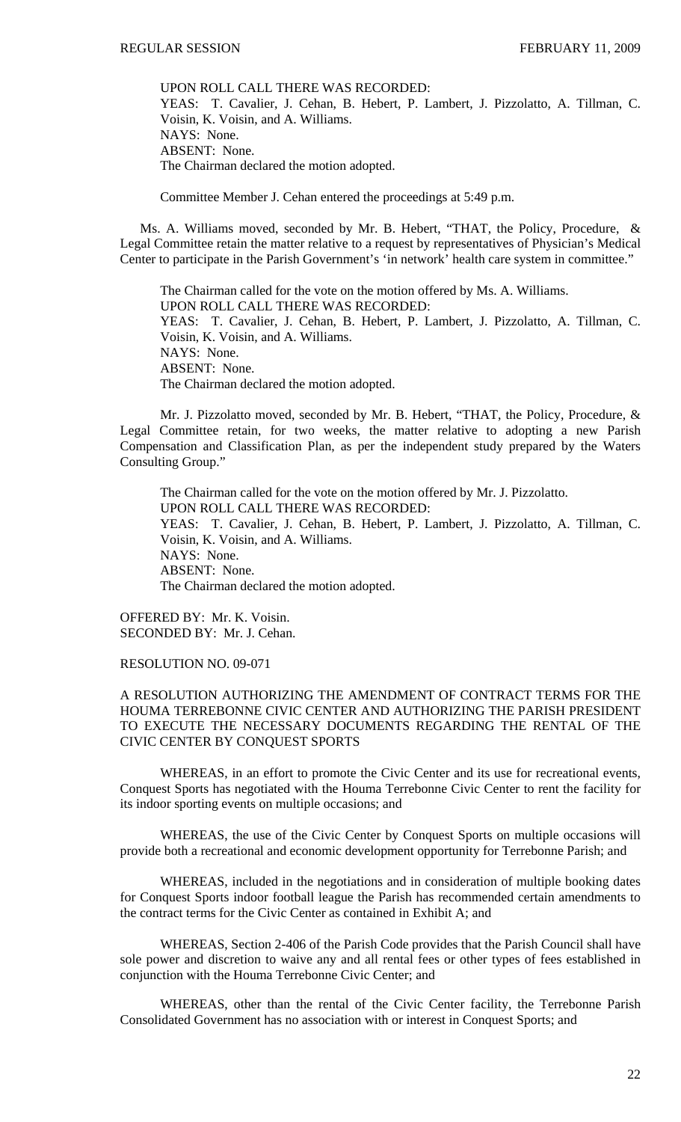UPON ROLL CALL THERE WAS RECORDED: YEAS: T. Cavalier, J. Cehan, B. Hebert, P. Lambert, J. Pizzolatto, A. Tillman, C. Voisin, K. Voisin, and A. Williams. NAYS: None. ABSENT: None. The Chairman declared the motion adopted.

Committee Member J. Cehan entered the proceedings at 5:49 p.m.

 Ms. A. Williams moved, seconded by Mr. B. Hebert, "THAT, the Policy, Procedure, & Legal Committee retain the matter relative to a request by representatives of Physician's Medical Center to participate in the Parish Government's 'in network' health care system in committee."

 The Chairman called for the vote on the motion offered by Ms. A. Williams. UPON ROLL CALL THERE WAS RECORDED: YEAS: T. Cavalier, J. Cehan, B. Hebert, P. Lambert, J. Pizzolatto, A. Tillman, C. Voisin, K. Voisin, and A. Williams. NAYS: None. ABSENT: None. The Chairman declared the motion adopted.

 Mr. J. Pizzolatto moved, seconded by Mr. B. Hebert, "THAT, the Policy, Procedure, & Legal Committee retain, for two weeks, the matter relative to adopting a new Parish Compensation and Classification Plan, as per the independent study prepared by the Waters Consulting Group."

 The Chairman called for the vote on the motion offered by Mr. J. Pizzolatto. UPON ROLL CALL THERE WAS RECORDED: YEAS: T. Cavalier, J. Cehan, B. Hebert, P. Lambert, J. Pizzolatto, A. Tillman, C. Voisin, K. Voisin, and A. Williams. NAYS: None. ABSENT: None. The Chairman declared the motion adopted.

OFFERED BY: Mr. K. Voisin. SECONDED BY: Mr. J. Cehan.

# RESOLUTION NO. 09-071

# A RESOLUTION AUTHORIZING THE AMENDMENT OF CONTRACT TERMS FOR THE HOUMA TERREBONNE CIVIC CENTER AND AUTHORIZING THE PARISH PRESIDENT TO EXECUTE THE NECESSARY DOCUMENTS REGARDING THE RENTAL OF THE CIVIC CENTER BY CONQUEST SPORTS

WHEREAS, in an effort to promote the Civic Center and its use for recreational events, Conquest Sports has negotiated with the Houma Terrebonne Civic Center to rent the facility for its indoor sporting events on multiple occasions; and

WHEREAS, the use of the Civic Center by Conquest Sports on multiple occasions will provide both a recreational and economic development opportunity for Terrebonne Parish; and

WHEREAS, included in the negotiations and in consideration of multiple booking dates for Conquest Sports indoor football league the Parish has recommended certain amendments to the contract terms for the Civic Center as contained in Exhibit A; and

WHEREAS, Section 2-406 of the Parish Code provides that the Parish Council shall have sole power and discretion to waive any and all rental fees or other types of fees established in conjunction with the Houma Terrebonne Civic Center; and

 WHEREAS, other than the rental of the Civic Center facility, the Terrebonne Parish Consolidated Government has no association with or interest in Conquest Sports; and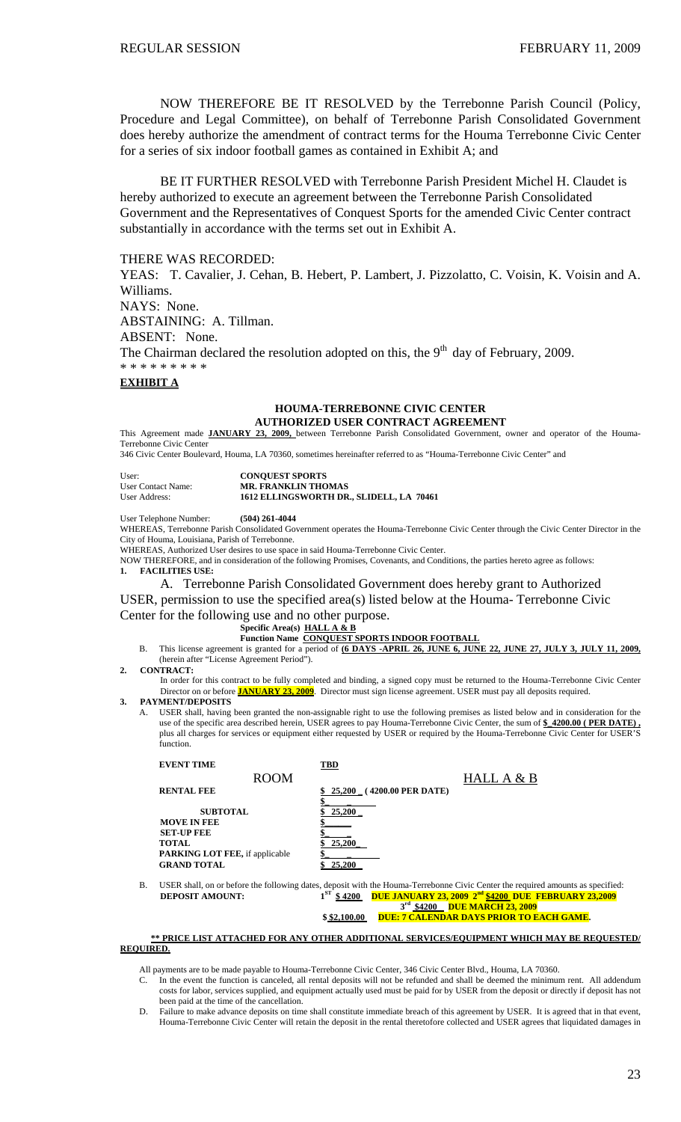NOW THEREFORE BE IT RESOLVED by the Terrebonne Parish Council (Policy, Procedure and Legal Committee), on behalf of Terrebonne Parish Consolidated Government does hereby authorize the amendment of contract terms for the Houma Terrebonne Civic Center for a series of six indoor football games as contained in Exhibit A; and

BE IT FURTHER RESOLVED with Terrebonne Parish President Michel H. Claudet is hereby authorized to execute an agreement between the Terrebonne Parish Consolidated Government and the Representatives of Conquest Sports for the amended Civic Center contract substantially in accordance with the terms set out in Exhibit A.

### THERE WAS RECORDED:

YEAS: T. Cavalier, J. Cehan, B. Hebert, P. Lambert, J. Pizzolatto, C. Voisin, K. Voisin and A. Williams. NAYS: None. ABSTAINING: A. Tillman. ABSENT: None. The Chairman declared the resolution adopted on this, the  $9<sup>th</sup>$  day of February, 2009.

\* \* \* \* \* \* \* \* \*

### **EXHIBIT A**

### **HOUMA-TERREBONNE CIVIC CENTER AUTHORIZED USER CONTRACT AGREEMENT**

This Agreement made **JANUARY 23, 2009,** between Terrebonne Parish Consolidated Government, owner and operator of the Houma-Terrebonne Civic Center

346 Civic Center Boulevard, Houma, LA 70360, sometimes hereinafter referred to as "Houma-Terrebonne Civic Center" and

| User:              | <b>CONOUEST SPORTS</b>                   |
|--------------------|------------------------------------------|
| User Contact Name: | <b>MR. FRANKLIN THOMAS</b>               |
| User Address:      | 1612 ELLINGSWORTH DR., SLIDELL, LA 70461 |

User Telephone Number: **(504) 261-4044**

WHEREAS, Terrebonne Parish Consolidated Government operates the Houma-Terrebonne Civic Center through the Civic Center Director in the City of Houma, Louisiana, Parish of Terrebonne.

WHEREAS, Authorized User desires to use space in said Houma-Terrebonne Civic Center.

NOW THEREFORE, and in consideration of the following Promises, Covenants, and Conditions, the parties hereto agree as follows: **1. FACILITIES USE:** 

A. Terrebonne Parish Consolidated Government does hereby grant to Authorized

USER, permission to use the specified area(s) listed below at the Houma- Terrebonne Civic Center for the following use and no other purpose.

### **Specific Area(s) HALL A & B**

**Function Name CONQUEST SPORTS INDOOR FOOTBAL** 

B. This license agreement is granted for a period of **(6 DAYS -APRIL 26, JUNE 6, JUNE 22, JUNE 27, JULY 3, JULY 11, 2009,** (herein after "License Agreement Period").

#### **2. CONTRACT:**

In order for this contract to be fully completed and binding, a signed copy must be returned to the Houma-Terrebonne Civic Center Director on or before **JANUARY 23, 2009**. Director must sign license agreement. USER must pay all deposits required.

### **3. PAYMENT/DEPOSITS**

A. USER shall, having been granted the non-assignable right to use the following premises as listed below and in consideration for the use of the specific area described herein, USER agrees to pay Houma-Terrebonne Civic Center, the sum of **\$\_4200.00 ( PER DATE) ,** plus all charges for services or equipment either requested by USER or required by the Houma-Terrebonne Civic Center for USER'S function.

|    | <b>EVENT TIME</b>                     | TBD                |                           |                                                                                                                                 |
|----|---------------------------------------|--------------------|---------------------------|---------------------------------------------------------------------------------------------------------------------------------|
|    | <b>ROOM</b>                           |                    |                           | HALL $A & B$                                                                                                                    |
|    | <b>RENTAL FEE</b>                     |                    | 25,200 (4200.00 PER DATE) |                                                                                                                                 |
|    |                                       |                    |                           |                                                                                                                                 |
|    | <b>SUBTOTAL</b>                       | 25,200             |                           |                                                                                                                                 |
|    | <b>MOVE IN FEE</b>                    |                    |                           |                                                                                                                                 |
|    | <b>SET-UP FEE</b>                     |                    |                           |                                                                                                                                 |
|    | <b>TOTAL</b>                          | 25,200             |                           |                                                                                                                                 |
|    | <b>PARKING LOT FEE, if applicable</b> |                    |                           |                                                                                                                                 |
|    | <b>GRAND TOTAL</b>                    | \$25,200           |                           |                                                                                                                                 |
| В. |                                       |                    |                           | USER shall, on or before the following dates, deposit with the Houma-Terrebonne Civic Center the required amounts as specified: |
|    | <b>DEPOSIT AMOUNT:</b>                | $1^{ST}$<br>\$4200 |                           | <b>DUE JANUARY 23, 2009 2<sup>nd</sup> \$4200 DUE FEBRUARY 23,2009</b>                                                          |
|    |                                       |                    |                           |                                                                                                                                 |
|    |                                       |                    |                           | 3rd \$4200 DUE MARCH 23, 2009                                                                                                   |
|    |                                       | \$\$2,100.00       |                           | <b>DUE: 7 CALENDAR DAYS PRIOR TO EACH GAME.</b>                                                                                 |
|    |                                       |                    |                           |                                                                                                                                 |

### **\*\* PRICE LIST ATTACHED FOR ANY OTHER ADDITIONAL SERVICES/EQUIPMENT WHICH MAY BE REQUESTED/ REQUIRED.**

All payments are to be made payable to Houma-Terrebonne Civic Center, 346 Civic Center Blvd., Houma, LA 70360.

In the event the function is canceled, all rental deposits will not be refunded and shall be deemed the minimum rent. All addendum costs for labor, services supplied, and equipment actually used must be paid for by USER from the deposit or directly if deposit has not been paid at the time of the cancellation.

D. Failure to make advance deposits on time shall constitute immediate breach of this agreement by USER. It is agreed that in that event, Houma-Terrebonne Civic Center will retain the deposit in the rental theretofore collected and USER agrees that liquidated damages in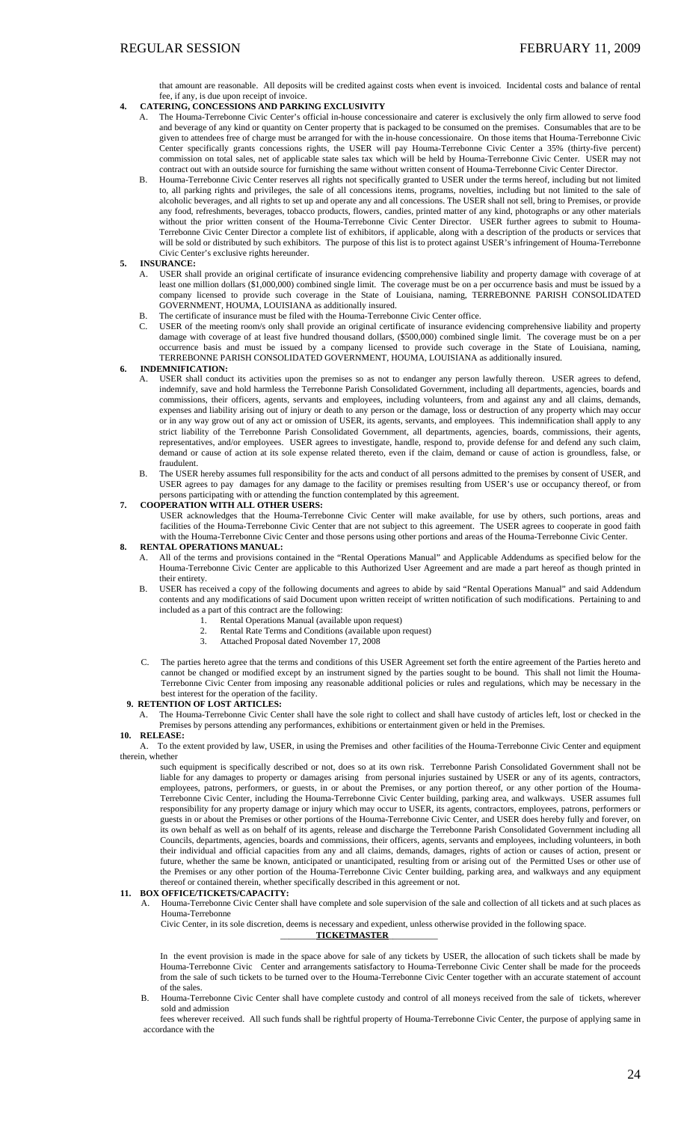that amount are reasonable. All deposits will be credited against costs when event is invoiced. Incidental costs and balance of rental fee, if any, is due upon receipt of invoice.

- **4. CATERING, CONCESSIONS AND PARKING EXCLUSIVITY**
	- A. The Houma-Terrebonne Civic Center's official in-house concessionaire and caterer is exclusively the only firm allowed to serve food and beverage of any kind or quantity on Center property that is packaged to be consumed on the premises. Consumables that are to be given to attendees free of charge must be arranged for with the in-house concessionaire. On those items that Houma-Terrebonne Civic Center specifically grants concessions rights, the USER will pay Houma-Terrebonne Civic Center a 35% (thirty-five percent) commission on total sales, net of applicable state sales tax which will be held by Houma-Terrebonne Civic Center. USER may not contract out with an outside source for furnishing the same without written consent of Houma-Terrebonne Civic Center Director.
	- B. Houma-Terrebonne Civic Center reserves all rights not specifically granted to USER under the terms hereof, including but not limited to, all parking rights and privileges, the sale of all concessions items, programs, novelties, including but not limited to the sale of alcoholic beverages, and all rights to set up and operate any and all concessions. The USER shall not sell, bring to Premises, or provide any food, refreshments, beverages, tobacco products, flowers, candies, printed matter of any kind, photographs or any other materials without the prior written consent of the Houma-Terrebonne Civic Center Director. USER further agrees to submit to Houma-Terrebonne Civic Center Director a complete list of exhibitors, if applicable, along with a description of the products or services that will be sold or distributed by such exhibitors. The purpose of this list is to protect against USER's infringement of Houma-Terrebonne Civic Center's exclusive rights hereunder.
- **5. INSURANCE:**
	- A. USER shall provide an original certificate of insurance evidencing comprehensive liability and property damage with coverage of at least one million dollars (\$1,000,000) combined single limit. The coverage must be on a per occurrence basis and must be issued by a company licensed to provide such coverage in the State of Louisiana, naming, TERREBONNE PARISH CONSOLIDATED GOVERNMENT, HOUMA, LOUISIANA as additionally insured.
	- B. The certificate of insurance must be filed with the Houma-Terrebonne Civic Center office.
	- C. USER of the meeting room/s only shall provide an original certificate of insurance evidencing comprehensive liability and property damage with coverage of at least five hundred thousand dollars, (\$500,000) combined single limit. The coverage must be on a per occurrence basis and must be issued by a company licensed to provide such coverage in the State of Louisiana, naming, TERREBONNE PARISH CONSOLIDATED GOVERNMENT, HOUMA, LOUISIANA as additionally insured.

#### **6. INDEMNIFICATION:**

- A. USER shall conduct its activities upon the premises so as not to endanger any person lawfully thereon. USER agrees to defend, indemnify, save and hold harmless the Terrebonne Parish Consolidated Government, including all departments, agencies, boards and commissions, their officers, agents, servants and employees, including volunteers, from and against any and all claims, demands, expenses and liability arising out of injury or death to any person or the damage, loss or destruction of any property which may occur or in any way grow out of any act or omission of USER, its agents, servants, and employees. This indemnification shall apply to any strict liability of the Terrebonne Parish Consolidated Government, all departments, agencies, boards, commissions, their agents, representatives, and/or employees. USER agrees to investigate, handle, respond to, provide defense for and defend any such claim, demand or cause of action at its sole expense related thereto, even if the claim, demand or cause of action is groundless, false, or fraudulent.
- B. The USER hereby assumes full responsibility for the acts and conduct of all persons admitted to the premises by consent of USER, and USER agrees to pay damages for any damage to the facility or premises resulting from USER's use or occupancy thereof, or from persons participating with or attending the function contemplated by this agreement.

#### **7. COOPERATION WITH ALL OTHER USERS:**

USER acknowledges that the Houma-Terrebonne Civic Center will make available, for use by others, such portions, areas and facilities of the Houma-Terrebonne Civic Center that are not subject to this agreement. The USER agrees to cooperate in good faith with the Houma-Terrebonne Civic Center and those persons using other portions and areas of the Houma-Terrebonne Civic Center.

### **8. RENTAL OPERATIONS MANUAL:**

- A. All of the terms and provisions contained in the "Rental Operations Manual" and Applicable Addendums as specified below for the Houma-Terrebonne Civic Center are applicable to this Authorized User Agreement and are made a part hereof as though printed in their entirety.
- B. USER has received a copy of the following documents and agrees to abide by said "Rental Operations Manual" and said Addendum contents and any modifications of said Document upon written receipt of written notification of such modifications. Pertaining to and included as a part of this contract are the following:
	- Rental Operations Manual (available upon request)
	- 2. Rental Rate Terms and Conditions (available upon request)
	- 3. Attached Proposal dated November 17, 2008
- C. The parties hereto agree that the terms and conditions of this USER Agreement set forth the entire agreement of the Parties hereto and cannot be changed or modified except by an instrument signed by the parties sought to be bound. This shall not limit the Houma-Terrebonne Civic Center from imposing any reasonable additional policies or rules and regulations, which may be necessary in the best interest for the operation of the facility.

#### **9. RETENTION OF LOST ARTICLES:**

A. The Houma-Terrebonne Civic Center shall have the sole right to collect and shall have custody of articles left, lost or checked in the Premises by persons attending any performances, exhibitions or entertainment given or held in the Premises. **10. RELEASE:**

 A. To the extent provided by law, USER, in using the Premises and other facilities of the Houma-Terrebonne Civic Center and equipment therein, whether

such equipment is specifically described or not, does so at its own risk. Terrebonne Parish Consolidated Government shall not be liable for any damages to property or damages arising from personal injuries sustained by USER or any of its agents, contractors, employees, patrons, performers, or guests, in or about the Premises, or any portion thereof, or any other portion of the Houma-Terrebonne Civic Center, including the Houma-Terrebonne Civic Center building, parking area, and walkways. USER assumes full responsibility for any property damage or injury which may occur to USER, its agents, contractors, employees, patrons, performers or guests in or about the Premises or other portions of the Houma-Terrebonne Civic Center, and USER does hereby fully and forever, on its own behalf as well as on behalf of its agents, release and discharge the Terrebonne Parish Consolidated Government including all Councils, departments, agencies, boards and commissions, their officers, agents, servants and employees, including volunteers, in both their individual and official capacities from any and all claims, demands, damages, rights of action or causes of action, present or future, whether the same be known, anticipated or unanticipated, resulting from or arising out of the Permitted Uses or other use of the Premises or any other portion of the Houma-Terrebonne Civic Center building, parking area, and walkways and any equipment thereof or contained therein, whether specifically described in this agreement or not.

#### **11. BOX OFFICE/TICKETS/CAPACITY:**

A. Houma-Terrebonne Civic Center shall have complete and sole supervision of the sale and collection of all tickets and at such places as Houma-Terrebonne

Civic Center, in its sole discretion, deems is necessary and expedient, unless otherwise provided in the following space.

\_\_\_\_\_\_\_\_**TICKETMASTER**\_\_\_\_\_\_\_\_\_\_\_

In the event provision is made in the space above for sale of any tickets by USER, the allocation of such tickets shall be made by Houma-Terrebonne Civic Center and arrangements satisfactory to Houma-Terrebonne Civic Center shall be made for the proceeds from the sale of such tickets to be turned over to the Houma-Terrebonne Civic Center together with an accurate statement of account of the sales.

B. Houma-Terrebonne Civic Center shall have complete custody and control of all moneys received from the sale of tickets, wherever sold and admission

fees wherever received. All such funds shall be rightful property of Houma-Terrebonne Civic Center, the purpose of applying same in accordance with the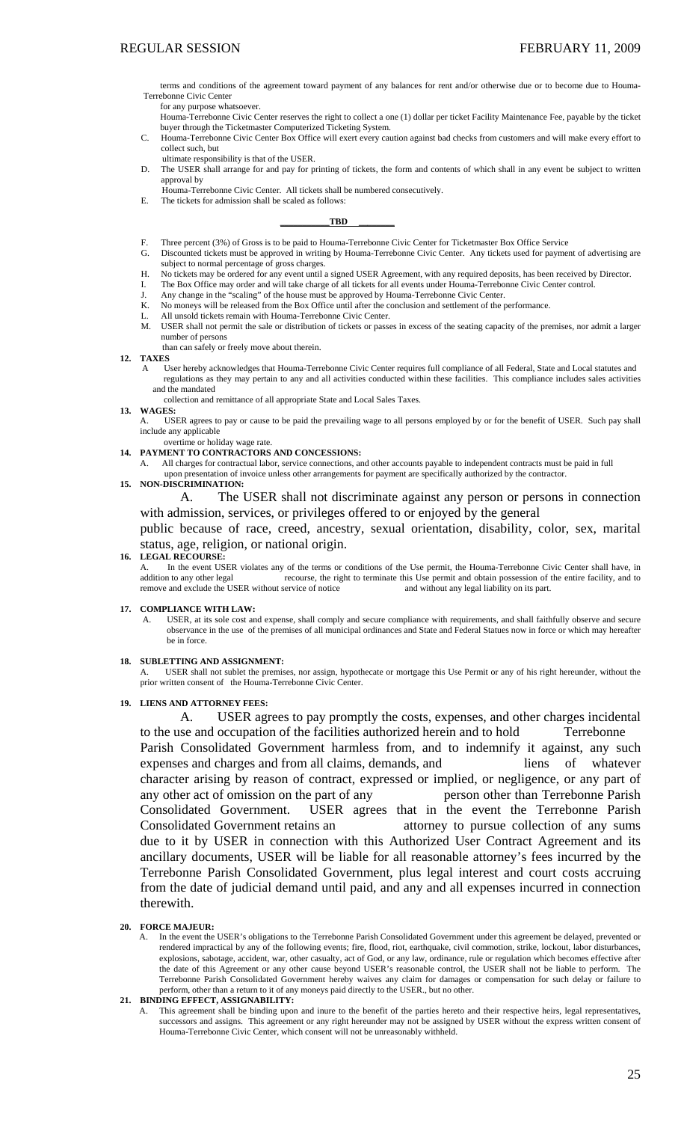terms and conditions of the agreement toward payment of any balances for rent and/or otherwise due or to become due to Houma-Terrebonne Civic Center

for any purpose whatsoever.

Houma-Terrebonne Civic Center reserves the right to collect a one (1) dollar per ticket Facility Maintenance Fee, payable by the ticket buyer through the Ticketmaster Computerized Ticketing System.

- Houma-Terrebonne Civic Center Box Office will exert every caution against bad checks from customers and will make every effort to collect such, but
- ultimate responsibility is that of the USER.
- D. The USER shall arrange for and pay for printing of tickets, the form and contents of which shall in any event be subject to written approval by
- Houma-Terrebonne Civic Center. All tickets shall be numbered consecutively.
- E. The tickets for admission shall be scaled as follows:

**\_\_\_\_\_\_\_\_\_\_\_TBD \_\_\_\_\_\_\_\_**

- F. Three percent (3%) of Gross is to be paid to Houma-Terrebonne Civic Center for Ticketmaster Box Office Service
- G. Discounted tickets must be approved in writing by Houma-Terrebonne Civic Center. Any tickets used for payment of advertising are subject to normal percentage of gross charges
- H. No tickets may be ordered for any event until a signed USER Agreement, with any required deposits, has been received by Director.
- I. The Box Office may order and will take charge of all tickets for all events under Houma-Terrebonne Civic Center control.
- J. Any change in the "scaling" of the house must be approved by Houma-Terrebonne Civic Center.
- K. No moneys will be released from the Box Office until after the conclusion and settlement of the performance.
- L. All unsold tickets remain with Houma-Terrebonne Civic Center. USER shall not permit the sale or distribution of tickets or passes in excess of the seating capacity of the premises, nor admit a larger number of persons
- than can safely or freely move about therein. **12. TAXES** 
	- A User hereby acknowledges that Houma-Terrebonne Civic Center requires full compliance of all Federal, State and Local statutes and regulations as they may pertain to any and all activities conducted within these facilities. This compliance includes sales activities and the mandated
		- collection and remittance of all appropriate State and Local Sales Taxes.

#### **13. WAGES:**

- USER agrees to pay or cause to be paid the prevailing wage to all persons employed by or for the benefit of USER. Such pay shall include any applicable
- overtime or holiday wage rate. **14. PAYMENT TO CONTRACTORS AND CONCESSIONS:**
- All charges for contractual labor, service connections, and other accounts payable to independent contracts must be paid in full
- upon presentation of invoice unless other arrangements for payment are specifically authorized by the contractor.

### **15. NON-DISCRIMINATION:**

A. The USER shall not discriminate against any person or persons in connection with admission, services, or privileges offered to or enjoyed by the general

public because of race, creed, ancestry, sexual orientation, disability, color, sex, marital status, age, religion, or national origin.

#### **16. LEGAL RECOURSE:**

A. In the event USER violates any of the terms or conditions of the Use permit, the Houma-Terrebonne Civic Center shall have, in addition to any other legal recourse, the right to terminate this Use permit and obtain posse recourse, the right to terminate this Use permit and obtain possession of the entire facility, and to remove and exclude the USER without service of notice and without any legal liability on its part.

#### **17. COMPLIANCE WITH LAW:**

- A. USER, at its sole cost and expense, shall comply and secure compliance with requirements, and shall faithfully observe and secure observance in the use of the premises of all municipal ordinances and State and Federal Statues now in force or which may hereafter be in force.
- **18. SUBLETTING AND ASSIGNMENT:**

A. USER shall not sublet the premises, nor assign, hypothecate or mortgage this Use Permit or any of his right hereunder, without the prior written consent of the Houma-Terrebonne Civic Center.

**19. LIENS AND ATTORNEY FEES:**

A. USER agrees to pay promptly the costs, expenses, and other charges incidental to the use and occupation of the facilities authorized herein and to hold Terrebonne Parish Consolidated Government harmless from, and to indemnify it against, any such expenses and charges and from all claims, demands, and liens of whatever character arising by reason of contract, expressed or implied, or negligence, or any part of any other act of omission on the part of any person other than Terrebonne Parish Consolidated Government. USER agrees that in the event the Terrebonne Parish Consolidated Government retains an attorney to pursue collection of any sums due to it by USER in connection with this Authorized User Contract Agreement and its ancillary documents, USER will be liable for all reasonable attorney's fees incurred by the Terrebonne Parish Consolidated Government, plus legal interest and court costs accruing from the date of judicial demand until paid, and any and all expenses incurred in connection therewith.

#### **20. FORCE MAJEUR:**

A. In the event the USER's obligations to the Terrebonne Parish Consolidated Government under this agreement be delayed, prevented or rendered impractical by any of the following events; fire, flood, riot, earthquake, civil commotion, strike, lockout, labor disturbances, explosions, sabotage, accident, war, other casualty, act of God, or any law, ordinance, rule or regulation which becomes effective after the date of this Agreement or any other cause beyond USER's reasonable control, the USER shall not be liable to perform. The Terrebonne Parish Consolidated Government hereby waives any claim for damages or compensation for such delay or failure to perform, other than a return to it of any moneys paid directly to the USER., but no other.

### **21. BINDING EFFECT, ASSIGNABILITY:**

A. This agreement shall be binding upon and inure to the benefit of the parties hereto and their respective heirs, legal representatives, successors and assigns. This agreement or any right hereunder may not be assigned by USER without the express written consent of Houma-Terrebonne Civic Center, which consent will not be unreasonably withheld.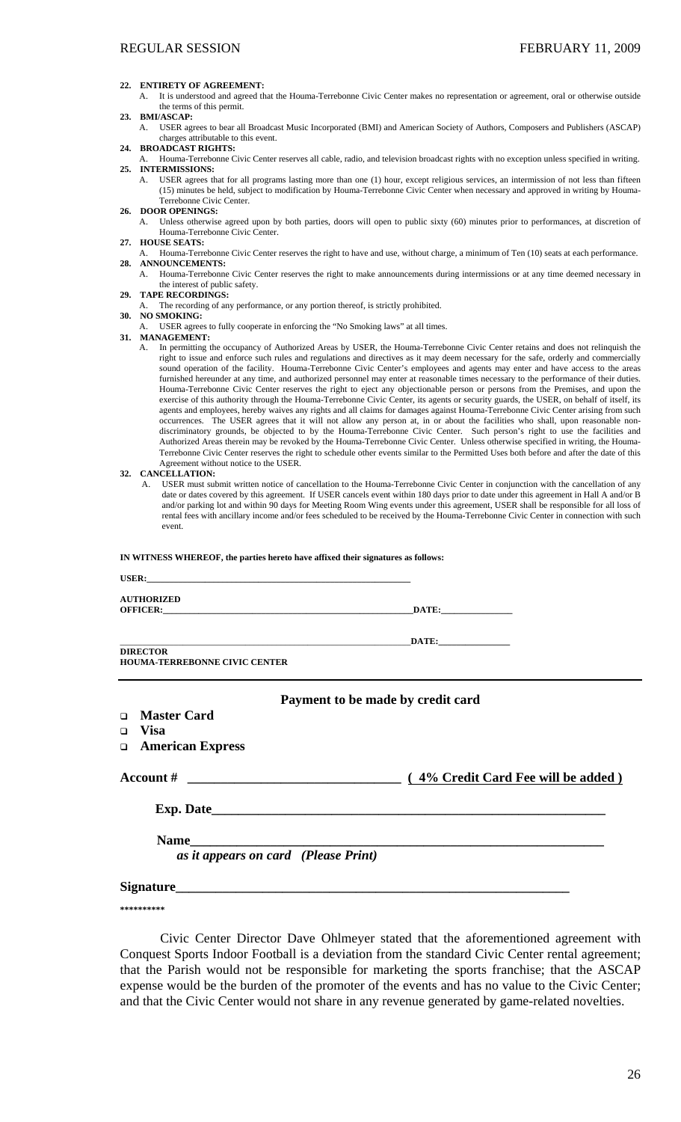#### **22. ENTIRETY OF AGREEMENT:**

A. It is understood and agreed that the Houma-Terrebonne Civic Center makes no representation or agreement, oral or otherwise outside the terms of this permit.

### **23. BMI/ASCAP:**

A. USER agrees to bear all Broadcast Music Incorporated (BMI) and American Society of Authors, Composers and Publishers (ASCAP) charges attributable to this event.

- **24. BROADCAST RIGHTS:**
- A. Houma-Terrebonne Civic Center reserves all cable, radio, and television broadcast rights with no exception unless specified in writing. **25. INTERMISSIONS:** 
	- A. USER agrees that for all programs lasting more than one (1) hour, except religious services, an intermission of not less than fifteen (15) minutes be held, subject to modification by Houma-Terrebonne Civic Center when necessary and approved in writing by Houma-Terrebonne Civic Center.
- **26. DOOR OPENINGS:**

A. Unless otherwise agreed upon by both parties, doors will open to public sixty (60) minutes prior to performances, at discretion of Houma-Terrebonne Civic Center.

- **27. HOUSE SEATS:**
- A. Houma-Terrebonne Civic Center reserves the right to have and use, without charge, a minimum of Ten (10) seats at each performance. **28. ANNOUNCEMENTS:**  A. Houma-Terrebonne Civic Center reserves the right to make announcements during intermissions or at any time deemed necessary in

- the interest of public safety. **29. TAPE RECORDINGS:**
- The recording of any performance, or any portion thereof, is strictly prohibited.

#### **30. NO SMOKING:**

USER agrees to fully cooperate in enforcing the "No Smoking laws" at all times.

### **31. MANAGEMENT:**

A. In permitting the occupancy of Authorized Areas by USER, the Houma-Terrebonne Civic Center retains and does not relinquish the right to issue and enforce such rules and regulations and directives as it may deem necessary for the safe, orderly and commercially sound operation of the facility. Houma-Terrebonne Civic Center's employees and agents may enter and have access to the areas furnished hereunder at any time, and authorized personnel may enter at reasonable times necessary to the performance of their duties. Houma-Terrebonne Civic Center reserves the right to eject any objectionable person or persons from the Premises, and upon the exercise of this authority through the Houma-Terrebonne Civic Center, its agents or security guards, the USER, on behalf of itself, its agents and employees, hereby waives any rights and all claims for damages against Houma-Terrebonne Civic Center arising from such occurrences. The USER agrees that it will not allow any person at, in or about the facilities who shall, upon reasonable nondiscriminatory grounds, be objected to by the Houma-Terrebonne Civic Center. Such person's right to use the facilities and Authorized Areas therein may be revoked by the Houma-Terrebonne Civic Center. Unless otherwise specified in writing, the Houma-Terrebonne Civic Center reserves the right to schedule other events similar to the Permitted Uses both before and after the date of this Agreement without notice to the USER.

#### **32. CANCELLATION:**

A. USER must submit written notice of cancellation to the Houma-Terrebonne Civic Center in conjunction with the cancellation of any date or dates covered by this agreement. If USER cancels event within 180 days prior to date under this agreement in Hall A and/or B and/or parking lot and within 90 days for Meeting Room Wing events under this agreement, USER shall be responsible for all loss of rental fees with ancillary income and/or fees scheduled to be received by the Houma-Terrebonne Civic Center in connection with such event.

### **IN WITNESS WHEREOF, the parties hereto have affixed their signatures as follows:**

| <b>AUTHORIZED</b><br><b>OFFICER:</b> DATE:              |                                     |
|---------------------------------------------------------|-------------------------------------|
| <b>DIRECTOR</b><br><b>HOUMA-TERREBONNE CIVIC CENTER</b> | $\blacksquare$ DATE: $\blacksquare$ |
| □ Master Card                                           | Payment to be made by credit card   |
| $\Box$ Visa<br><b>American Express</b>                  |                                     |
|                                                         |                                     |
|                                                         |                                     |
|                                                         |                                     |
| as it appears on card (Please Print)                    |                                     |

# **Signature\_\_\_\_\_\_\_\_\_\_\_\_\_\_\_\_\_\_\_\_\_\_\_\_\_\_\_\_\_\_\_\_\_\_\_\_\_\_\_\_\_\_\_\_\_\_\_\_\_\_\_\_\_\_\_\_\_\_\_**

**\*\*\*\*\*\*\*\*\*\*** 

Civic Center Director Dave Ohlmeyer stated that the aforementioned agreement with Conquest Sports Indoor Football is a deviation from the standard Civic Center rental agreement; that the Parish would not be responsible for marketing the sports franchise; that the ASCAP expense would be the burden of the promoter of the events and has no value to the Civic Center; and that the Civic Center would not share in any revenue generated by game-related novelties.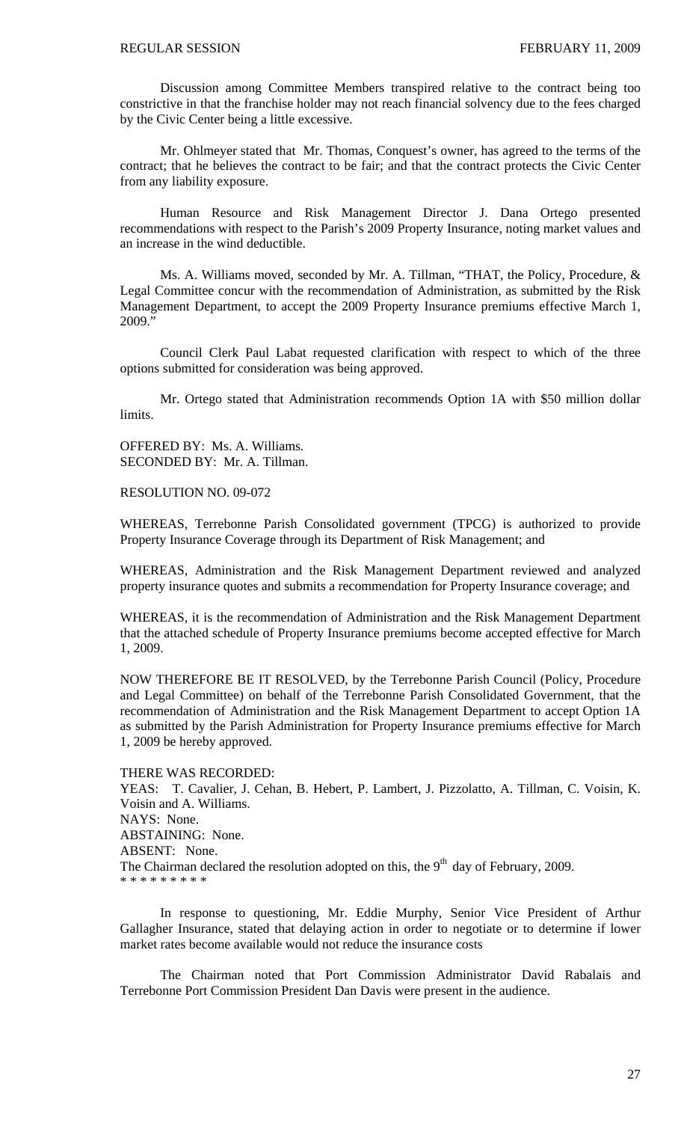Discussion among Committee Members transpired relative to the contract being too constrictive in that the franchise holder may not reach financial solvency due to the fees charged by the Civic Center being a little excessive.

Mr. Ohlmeyer stated that Mr. Thomas, Conquest's owner, has agreed to the terms of the contract; that he believes the contract to be fair; and that the contract protects the Civic Center from any liability exposure.

Human Resource and Risk Management Director J. Dana Ortego presented recommendations with respect to the Parish's 2009 Property Insurance, noting market values and an increase in the wind deductible.

Ms. A. Williams moved, seconded by Mr. A. Tillman, "THAT, the Policy, Procedure, & Legal Committee concur with the recommendation of Administration, as submitted by the Risk Management Department, to accept the 2009 Property Insurance premiums effective March 1, 2009."

Council Clerk Paul Labat requested clarification with respect to which of the three options submitted for consideration was being approved.

Mr. Ortego stated that Administration recommends Option 1A with \$50 million dollar limits.

OFFERED BY: Ms. A. Williams. SECONDED BY: Mr. A. Tillman.

RESOLUTION NO. 09-072

WHEREAS, Terrebonne Parish Consolidated government (TPCG) is authorized to provide Property Insurance Coverage through its Department of Risk Management; and

WHEREAS, Administration and the Risk Management Department reviewed and analyzed property insurance quotes and submits a recommendation for Property Insurance coverage; and

WHEREAS, it is the recommendation of Administration and the Risk Management Department that the attached schedule of Property Insurance premiums become accepted effective for March 1, 2009.

NOW THEREFORE BE IT RESOLVED, by the Terrebonne Parish Council (Policy, Procedure and Legal Committee) on behalf of the Terrebonne Parish Consolidated Government, that the recommendation of Administration and the Risk Management Department to accept Option 1A as submitted by the Parish Administration for Property Insurance premiums effective for March 1, 2009 be hereby approved.

THERE WAS RECORDED:

YEAS: T. Cavalier, J. Cehan, B. Hebert, P. Lambert, J. Pizzolatto, A. Tillman, C. Voisin, K. Voisin and A. Williams. NAYS: None. ABSTAINING: None. ABSENT: None. The Chairman declared the resolution adopted on this, the  $9<sup>th</sup>$  day of February, 2009. \* \* \* \* \* \* \* \* \*

In response to questioning, Mr. Eddie Murphy, Senior Vice President of Arthur Gallagher Insurance, stated that delaying action in order to negotiate or to determine if lower market rates become available would not reduce the insurance costs

The Chairman noted that Port Commission Administrator David Rabalais and Terrebonne Port Commission President Dan Davis were present in the audience.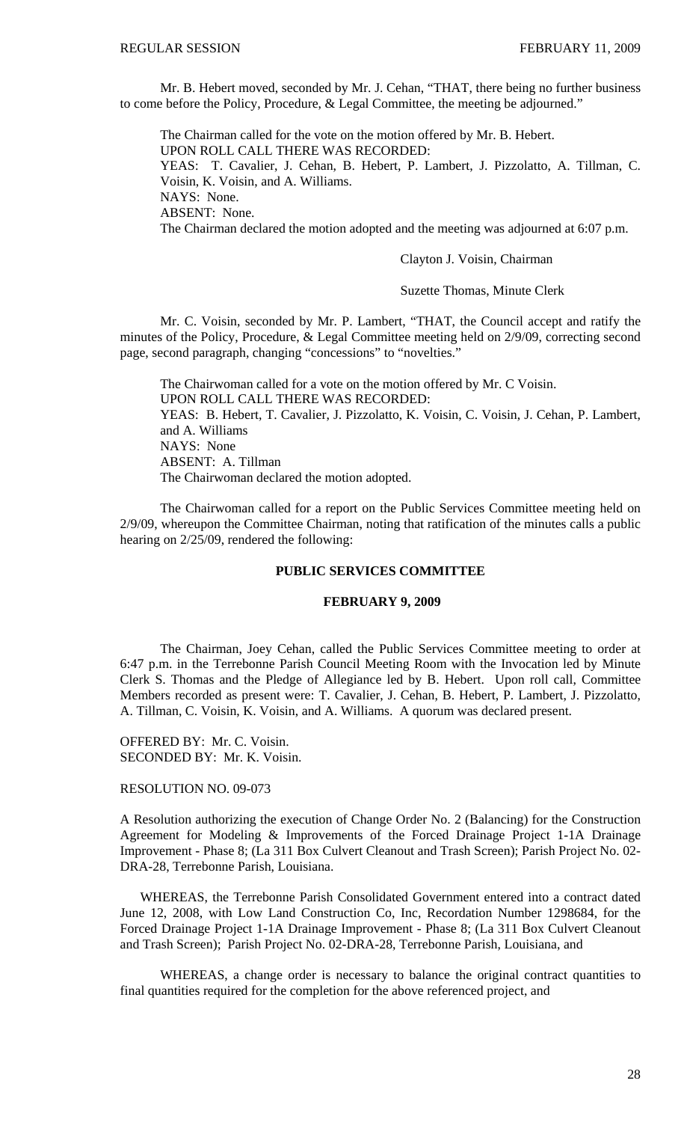Mr. B. Hebert moved, seconded by Mr. J. Cehan, "THAT, there being no further business to come before the Policy, Procedure, & Legal Committee, the meeting be adjourned."

 The Chairman called for the vote on the motion offered by Mr. B. Hebert. UPON ROLL CALL THERE WAS RECORDED: YEAS: T. Cavalier, J. Cehan, B. Hebert, P. Lambert, J. Pizzolatto, A. Tillman, C. Voisin, K. Voisin, and A. Williams. NAYS: None. ABSENT: None. The Chairman declared the motion adopted and the meeting was adjourned at 6:07 p.m.

Clayton J. Voisin, Chairman

Suzette Thomas, Minute Clerk

 Mr. C. Voisin, seconded by Mr. P. Lambert, "THAT, the Council accept and ratify the minutes of the Policy, Procedure, & Legal Committee meeting held on 2/9/09, correcting second page, second paragraph, changing "concessions" to "novelties."

 The Chairwoman called for a vote on the motion offered by Mr. C Voisin. UPON ROLL CALL THERE WAS RECORDED: YEAS: B. Hebert, T. Cavalier, J. Pizzolatto, K. Voisin, C. Voisin, J. Cehan, P. Lambert, and A. Williams NAYS: None ABSENT: A. Tillman The Chairwoman declared the motion adopted.

 The Chairwoman called for a report on the Public Services Committee meeting held on 2/9/09, whereupon the Committee Chairman, noting that ratification of the minutes calls a public hearing on 2/25/09, rendered the following:

# **PUBLIC SERVICES COMMITTEE**

# **FEBRUARY 9, 2009**

 The Chairman, Joey Cehan, called the Public Services Committee meeting to order at 6:47 p.m. in the Terrebonne Parish Council Meeting Room with the Invocation led by Minute Clerk S. Thomas and the Pledge of Allegiance led by B. Hebert. Upon roll call, Committee Members recorded as present were: T. Cavalier, J. Cehan, B. Hebert, P. Lambert, J. Pizzolatto, A. Tillman, C. Voisin, K. Voisin, and A. Williams. A quorum was declared present.

OFFERED BY: Mr. C. Voisin. SECONDED BY: Mr. K. Voisin.

# RESOLUTION NO. 09-073

A Resolution authorizing the execution of Change Order No. 2 (Balancing) for the Construction Agreement for Modeling & Improvements of the Forced Drainage Project 1-1A Drainage Improvement - Phase 8; (La 311 Box Culvert Cleanout and Trash Screen); Parish Project No. 02- DRA-28, Terrebonne Parish, Louisiana.

 WHEREAS, the Terrebonne Parish Consolidated Government entered into a contract dated June 12, 2008, with Low Land Construction Co, Inc, Recordation Number 1298684, for the Forced Drainage Project 1-1A Drainage Improvement - Phase 8; (La 311 Box Culvert Cleanout and Trash Screen); Parish Project No. 02-DRA-28, Terrebonne Parish, Louisiana, and

WHEREAS, a change order is necessary to balance the original contract quantities to final quantities required for the completion for the above referenced project, and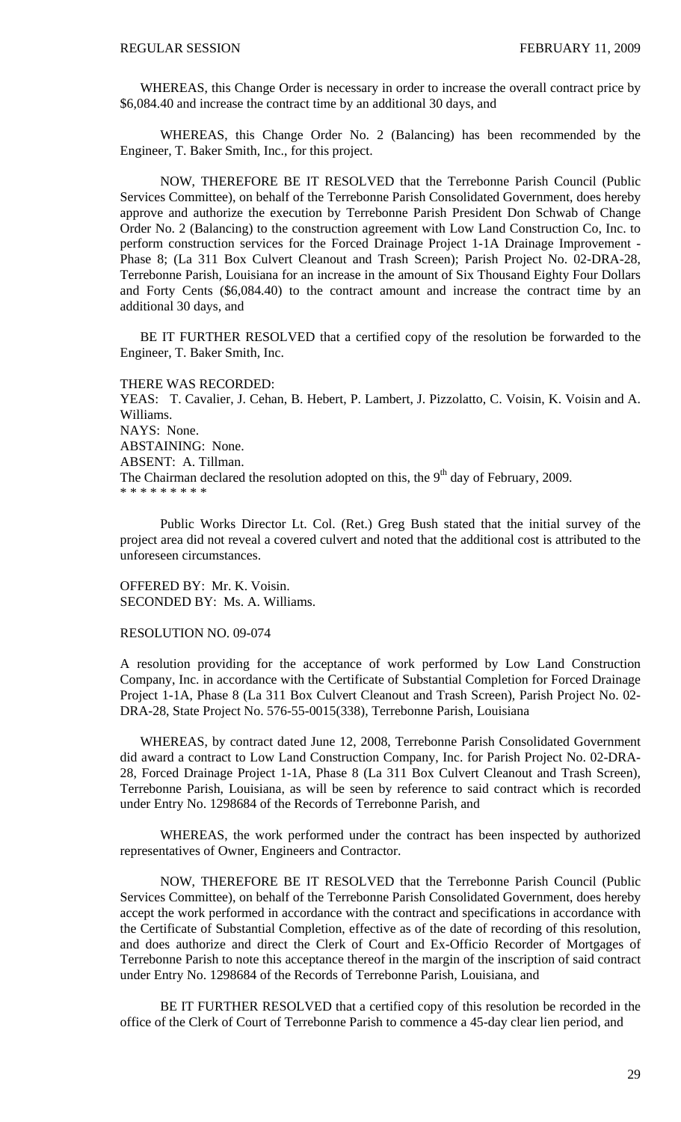WHEREAS, this Change Order is necessary in order to increase the overall contract price by \$6,084.40 and increase the contract time by an additional 30 days, and

 WHEREAS, this Change Order No. 2 (Balancing) has been recommended by the Engineer, T. Baker Smith, Inc., for this project.

 NOW, THEREFORE BE IT RESOLVED that the Terrebonne Parish Council (Public Services Committee), on behalf of the Terrebonne Parish Consolidated Government, does hereby approve and authorize the execution by Terrebonne Parish President Don Schwab of Change Order No. 2 (Balancing) to the construction agreement with Low Land Construction Co, Inc. to perform construction services for the Forced Drainage Project 1-1A Drainage Improvement - Phase 8; (La 311 Box Culvert Cleanout and Trash Screen); Parish Project No. 02-DRA-28, Terrebonne Parish, Louisiana for an increase in the amount of Six Thousand Eighty Four Dollars and Forty Cents (\$6,084.40) to the contract amount and increase the contract time by an additional 30 days, and

 BE IT FURTHER RESOLVED that a certified copy of the resolution be forwarded to the Engineer, T. Baker Smith, Inc.

THERE WAS RECORDED:

YEAS: T. Cavalier, J. Cehan, B. Hebert, P. Lambert, J. Pizzolatto, C. Voisin, K. Voisin and A. Williams. NAYS: None. ABSTAINING: None. ABSENT: A. Tillman. The Chairman declared the resolution adopted on this, the  $9<sup>th</sup>$  day of February, 2009. \* \* \* \* \* \* \* \* \*

 Public Works Director Lt. Col. (Ret.) Greg Bush stated that the initial survey of the project area did not reveal a covered culvert and noted that the additional cost is attributed to the unforeseen circumstances.

OFFERED BY: Mr. K. Voisin. SECONDED BY: Ms. A. Williams.

# RESOLUTION NO. 09-074

A resolution providing for the acceptance of work performed by Low Land Construction Company, Inc. in accordance with the Certificate of Substantial Completion for Forced Drainage Project 1-1A, Phase 8 (La 311 Box Culvert Cleanout and Trash Screen), Parish Project No. 02- DRA-28, State Project No. 576-55-0015(338), Terrebonne Parish, Louisiana

 WHEREAS, by contract dated June 12, 2008, Terrebonne Parish Consolidated Government did award a contract to Low Land Construction Company, Inc. for Parish Project No. 02-DRA-28, Forced Drainage Project 1-1A, Phase 8 (La 311 Box Culvert Cleanout and Trash Screen), Terrebonne Parish, Louisiana, as will be seen by reference to said contract which is recorded under Entry No. 1298684 of the Records of Terrebonne Parish, and

 WHEREAS, the work performed under the contract has been inspected by authorized representatives of Owner, Engineers and Contractor.

 NOW, THEREFORE BE IT RESOLVED that the Terrebonne Parish Council (Public Services Committee), on behalf of the Terrebonne Parish Consolidated Government, does hereby accept the work performed in accordance with the contract and specifications in accordance with the Certificate of Substantial Completion, effective as of the date of recording of this resolution, and does authorize and direct the Clerk of Court and Ex-Officio Recorder of Mortgages of Terrebonne Parish to note this acceptance thereof in the margin of the inscription of said contract under Entry No. 1298684 of the Records of Terrebonne Parish, Louisiana, and

 BE IT FURTHER RESOLVED that a certified copy of this resolution be recorded in the office of the Clerk of Court of Terrebonne Parish to commence a 45-day clear lien period, and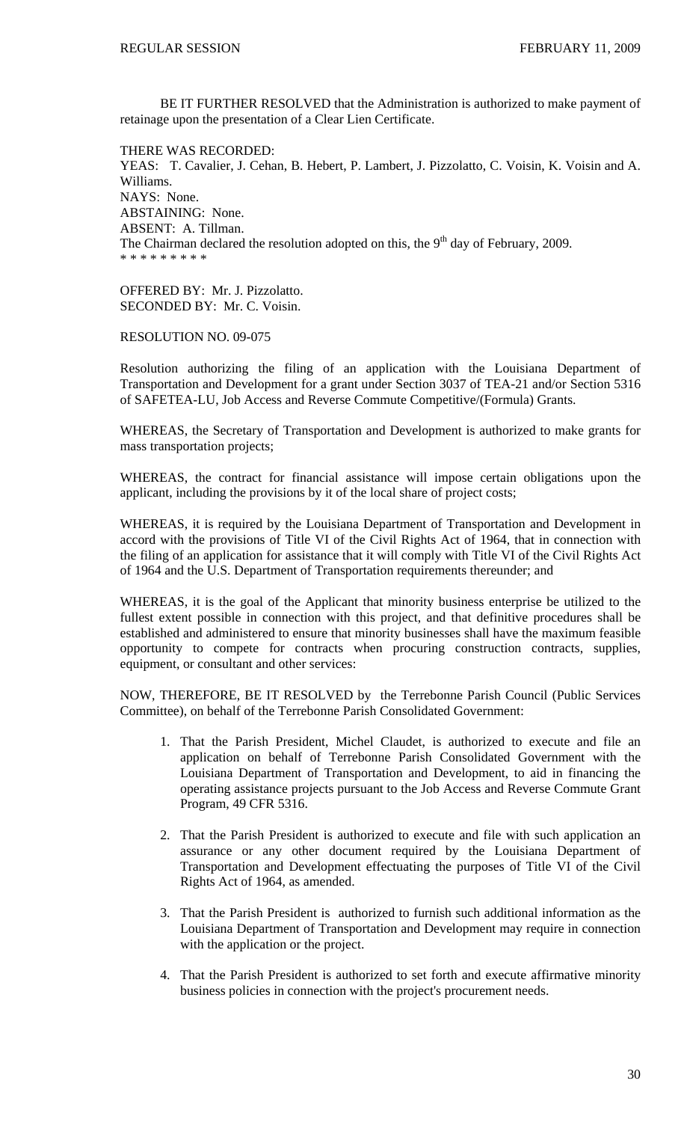BE IT FURTHER RESOLVED that the Administration is authorized to make payment of retainage upon the presentation of a Clear Lien Certificate.

THERE WAS RECORDED: YEAS: T. Cavalier, J. Cehan, B. Hebert, P. Lambert, J. Pizzolatto, C. Voisin, K. Voisin and A. Williams. NAYS: None. ABSTAINING: None. ABSENT: A. Tillman. The Chairman declared the resolution adopted on this, the  $9<sup>th</sup>$  day of February, 2009. \* \* \* \* \* \* \* \* \*

OFFERED BY: Mr. J. Pizzolatto. SECONDED BY: Mr. C. Voisin.

RESOLUTION NO. 09-075

Resolution authorizing the filing of an application with the Louisiana Department of Transportation and Development for a grant under Section 3037 of TEA-21 and/or Section 5316 of SAFETEA-LU, Job Access and Reverse Commute Competitive/(Formula) Grants.

WHEREAS, the Secretary of Transportation and Development is authorized to make grants for mass transportation projects;

WHEREAS, the contract for financial assistance will impose certain obligations upon the applicant, including the provisions by it of the local share of project costs;

WHEREAS, it is required by the Louisiana Department of Transportation and Development in accord with the provisions of Title VI of the Civil Rights Act of 1964, that in connection with the filing of an application for assistance that it will comply with Title VI of the Civil Rights Act of 1964 and the U.S. Department of Transportation requirements thereunder; and

WHEREAS, it is the goal of the Applicant that minority business enterprise be utilized to the fullest extent possible in connection with this project, and that definitive procedures shall be established and administered to ensure that minority businesses shall have the maximum feasible opportunity to compete for contracts when procuring construction contracts, supplies, equipment, or consultant and other services:

NOW, THEREFORE, BE IT RESOLVED by the Terrebonne Parish Council (Public Services Committee), on behalf of the Terrebonne Parish Consolidated Government:

- 1. That the Parish President, Michel Claudet, is authorized to execute and file an application on behalf of Terrebonne Parish Consolidated Government with the Louisiana Department of Transportation and Development, to aid in financing the operating assistance projects pursuant to the Job Access and Reverse Commute Grant Program, 49 CFR 5316.
- 2. That the Parish President is authorized to execute and file with such application an assurance or any other document required by the Louisiana Department of Transportation and Development effectuating the purposes of Title VI of the Civil Rights Act of 1964, as amended.
- 3. That the Parish President is authorized to furnish such additional information as the Louisiana Department of Transportation and Development may require in connection with the application or the project.
- 4. That the Parish President is authorized to set forth and execute affirmative minority business policies in connection with the project's procurement needs.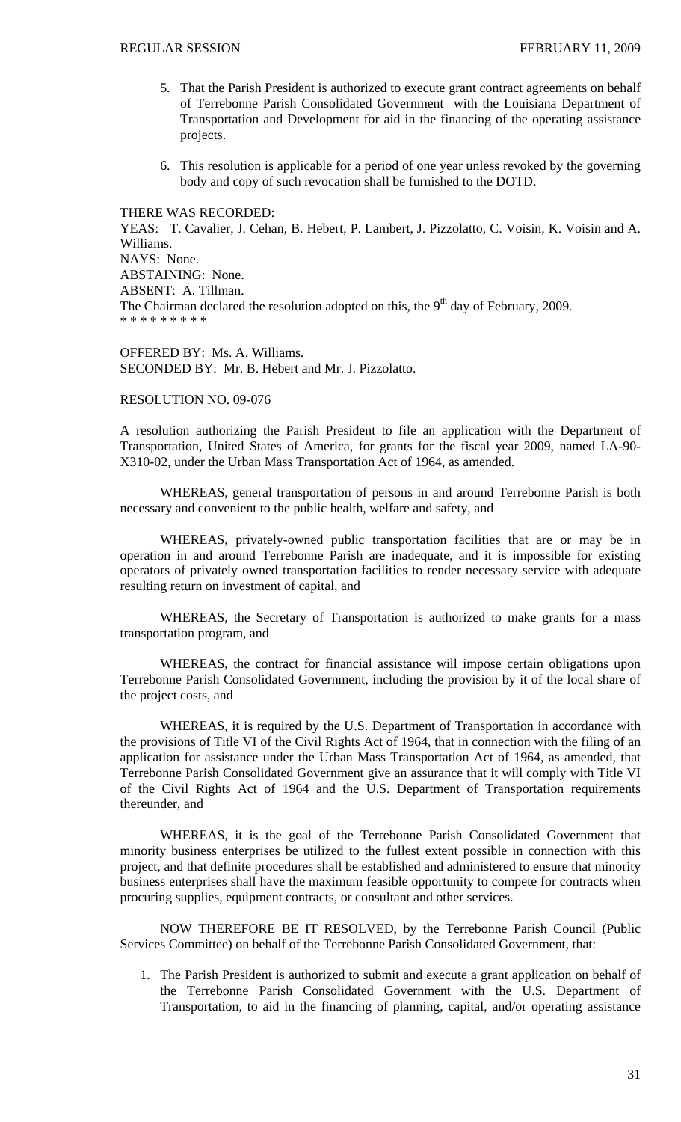- 5. That the Parish President is authorized to execute grant contract agreements on behalf of Terrebonne Parish Consolidated Government with the Louisiana Department of Transportation and Development for aid in the financing of the operating assistance projects.
- 6. This resolution is applicable for a period of one year unless revoked by the governing body and copy of such revocation shall be furnished to the DOTD.

# THERE WAS RECORDED:

YEAS: T. Cavalier, J. Cehan, B. Hebert, P. Lambert, J. Pizzolatto, C. Voisin, K. Voisin and A. Williams. NAYS: None. ABSTAINING: None. ABSENT: A. Tillman. The Chairman declared the resolution adopted on this, the  $9<sup>th</sup>$  day of February, 2009. \* \* \* \* \* \* \* \* \*

# OFFERED BY: Ms. A. Williams. SECONDED BY: Mr. B. Hebert and Mr. J. Pizzolatto.

# RESOLUTION NO. 09-076

A resolution authorizing the Parish President to file an application with the Department of Transportation, United States of America, for grants for the fiscal year 2009, named LA-90- X310-02, under the Urban Mass Transportation Act of 1964, as amended.

 WHEREAS, general transportation of persons in and around Terrebonne Parish is both necessary and convenient to the public health, welfare and safety, and

 WHEREAS, privately-owned public transportation facilities that are or may be in operation in and around Terrebonne Parish are inadequate, and it is impossible for existing operators of privately owned transportation facilities to render necessary service with adequate resulting return on investment of capital, and

 WHEREAS, the Secretary of Transportation is authorized to make grants for a mass transportation program, and

 WHEREAS, the contract for financial assistance will impose certain obligations upon Terrebonne Parish Consolidated Government, including the provision by it of the local share of the project costs, and

WHEREAS, it is required by the U.S. Department of Transportation in accordance with the provisions of Title VI of the Civil Rights Act of 1964, that in connection with the filing of an application for assistance under the Urban Mass Transportation Act of 1964, as amended, that Terrebonne Parish Consolidated Government give an assurance that it will comply with Title VI of the Civil Rights Act of 1964 and the U.S. Department of Transportation requirements thereunder, and

 WHEREAS, it is the goal of the Terrebonne Parish Consolidated Government that minority business enterprises be utilized to the fullest extent possible in connection with this project, and that definite procedures shall be established and administered to ensure that minority business enterprises shall have the maximum feasible opportunity to compete for contracts when procuring supplies, equipment contracts, or consultant and other services.

 NOW THEREFORE BE IT RESOLVED, by the Terrebonne Parish Council (Public Services Committee) on behalf of the Terrebonne Parish Consolidated Government, that:

1. The Parish President is authorized to submit and execute a grant application on behalf of the Terrebonne Parish Consolidated Government with the U.S. Department of Transportation, to aid in the financing of planning, capital, and/or operating assistance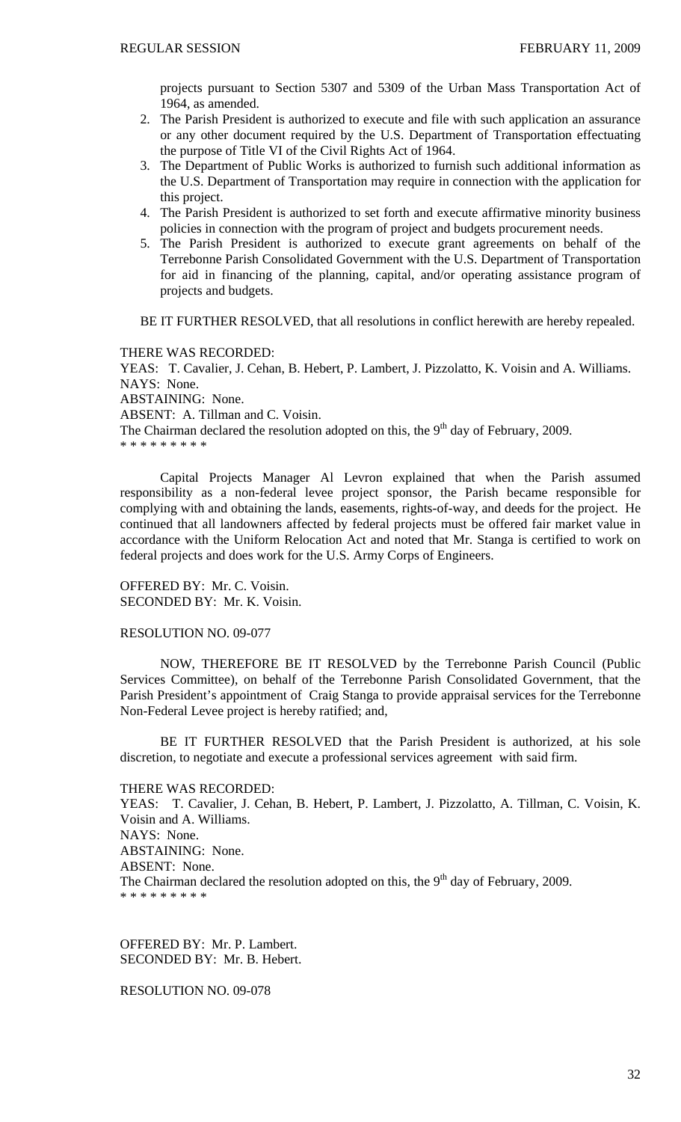projects pursuant to Section 5307 and 5309 of the Urban Mass Transportation Act of 1964, as amended.

- 2. The Parish President is authorized to execute and file with such application an assurance or any other document required by the U.S. Department of Transportation effectuating the purpose of Title VI of the Civil Rights Act of 1964.
- 3. The Department of Public Works is authorized to furnish such additional information as the U.S. Department of Transportation may require in connection with the application for this project.
- 4. The Parish President is authorized to set forth and execute affirmative minority business policies in connection with the program of project and budgets procurement needs.
- 5. The Parish President is authorized to execute grant agreements on behalf of the Terrebonne Parish Consolidated Government with the U.S. Department of Transportation for aid in financing of the planning, capital, and/or operating assistance program of projects and budgets.

BE IT FURTHER RESOLVED, that all resolutions in conflict herewith are hereby repealed.

THERE WAS RECORDED:

YEAS: T. Cavalier, J. Cehan, B. Hebert, P. Lambert, J. Pizzolatto, K. Voisin and A. Williams. NAYS: None.

ABSTAINING: None.

ABSENT: A. Tillman and C. Voisin.

The Chairman declared the resolution adopted on this, the  $9<sup>th</sup>$  day of February, 2009.

\* \* \* \* \* \* \* \* \*

 Capital Projects Manager Al Levron explained that when the Parish assumed responsibility as a non-federal levee project sponsor, the Parish became responsible for complying with and obtaining the lands, easements, rights-of-way, and deeds for the project. He continued that all landowners affected by federal projects must be offered fair market value in accordance with the Uniform Relocation Act and noted that Mr. Stanga is certified to work on federal projects and does work for the U.S. Army Corps of Engineers.

OFFERED BY: Mr. C. Voisin. SECONDED BY: Mr. K. Voisin.

RESOLUTION NO. 09-077

 NOW, THEREFORE BE IT RESOLVED by the Terrebonne Parish Council (Public Services Committee), on behalf of the Terrebonne Parish Consolidated Government, that the Parish President's appointment of Craig Stanga to provide appraisal services for the Terrebonne Non-Federal Levee project is hereby ratified; and,

 BE IT FURTHER RESOLVED that the Parish President is authorized, at his sole discretion, to negotiate and execute a professional services agreement with said firm.

THERE WAS RECORDED:

YEAS: T. Cavalier, J. Cehan, B. Hebert, P. Lambert, J. Pizzolatto, A. Tillman, C. Voisin, K. Voisin and A. Williams. NAYS: None. ABSTAINING: None. ABSENT: None. The Chairman declared the resolution adopted on this, the  $9<sup>th</sup>$  day of February, 2009. \* \* \* \* \* \* \* \* \*

OFFERED BY: Mr. P. Lambert. SECONDED BY: Mr. B. Hebert.

RESOLUTION NO. 09-078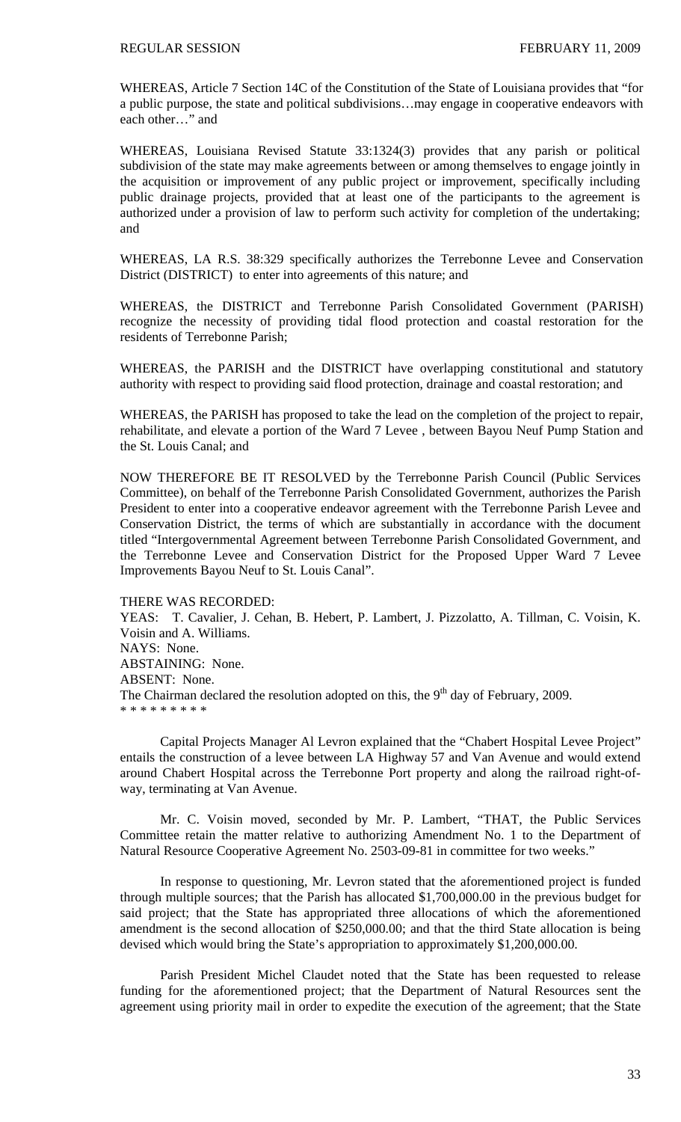WHEREAS, Article 7 Section 14C of the Constitution of the State of Louisiana provides that "for a public purpose, the state and political subdivisions…may engage in cooperative endeavors with each other…" and

WHEREAS, Louisiana Revised Statute 33:1324(3) provides that any parish or political subdivision of the state may make agreements between or among themselves to engage jointly in the acquisition or improvement of any public project or improvement, specifically including public drainage projects, provided that at least one of the participants to the agreement is authorized under a provision of law to perform such activity for completion of the undertaking; and

WHEREAS, LA R.S. 38:329 specifically authorizes the Terrebonne Levee and Conservation District (DISTRICT) to enter into agreements of this nature; and

WHEREAS, the DISTRICT and Terrebonne Parish Consolidated Government (PARISH) recognize the necessity of providing tidal flood protection and coastal restoration for the residents of Terrebonne Parish;

WHEREAS, the PARISH and the DISTRICT have overlapping constitutional and statutory authority with respect to providing said flood protection, drainage and coastal restoration; and

WHEREAS, the PARISH has proposed to take the lead on the completion of the project to repair, rehabilitate, and elevate a portion of the Ward 7 Levee , between Bayou Neuf Pump Station and the St. Louis Canal; and

NOW THEREFORE BE IT RESOLVED by the Terrebonne Parish Council (Public Services Committee), on behalf of the Terrebonne Parish Consolidated Government, authorizes the Parish President to enter into a cooperative endeavor agreement with the Terrebonne Parish Levee and Conservation District, the terms of which are substantially in accordance with the document titled "Intergovernmental Agreement between Terrebonne Parish Consolidated Government, and the Terrebonne Levee and Conservation District for the Proposed Upper Ward 7 Levee Improvements Bayou Neuf to St. Louis Canal".

THERE WAS RECORDED:

YEAS: T. Cavalier, J. Cehan, B. Hebert, P. Lambert, J. Pizzolatto, A. Tillman, C. Voisin, K. Voisin and A. Williams. NAYS: None. ABSTAINING: None. ABSENT: None. The Chairman declared the resolution adopted on this, the  $9<sup>th</sup>$  day of February, 2009. \* \* \* \* \* \* \* \* \*

 Capital Projects Manager Al Levron explained that the "Chabert Hospital Levee Project" entails the construction of a levee between LA Highway 57 and Van Avenue and would extend around Chabert Hospital across the Terrebonne Port property and along the railroad right-ofway, terminating at Van Avenue.

 Mr. C. Voisin moved, seconded by Mr. P. Lambert, "THAT, the Public Services Committee retain the matter relative to authorizing Amendment No. 1 to the Department of Natural Resource Cooperative Agreement No. 2503-09-81 in committee for two weeks."

 In response to questioning, Mr. Levron stated that the aforementioned project is funded through multiple sources; that the Parish has allocated \$1,700,000.00 in the previous budget for said project; that the State has appropriated three allocations of which the aforementioned amendment is the second allocation of \$250,000.00; and that the third State allocation is being devised which would bring the State's appropriation to approximately \$1,200,000.00.

 Parish President Michel Claudet noted that the State has been requested to release funding for the aforementioned project; that the Department of Natural Resources sent the agreement using priority mail in order to expedite the execution of the agreement; that the State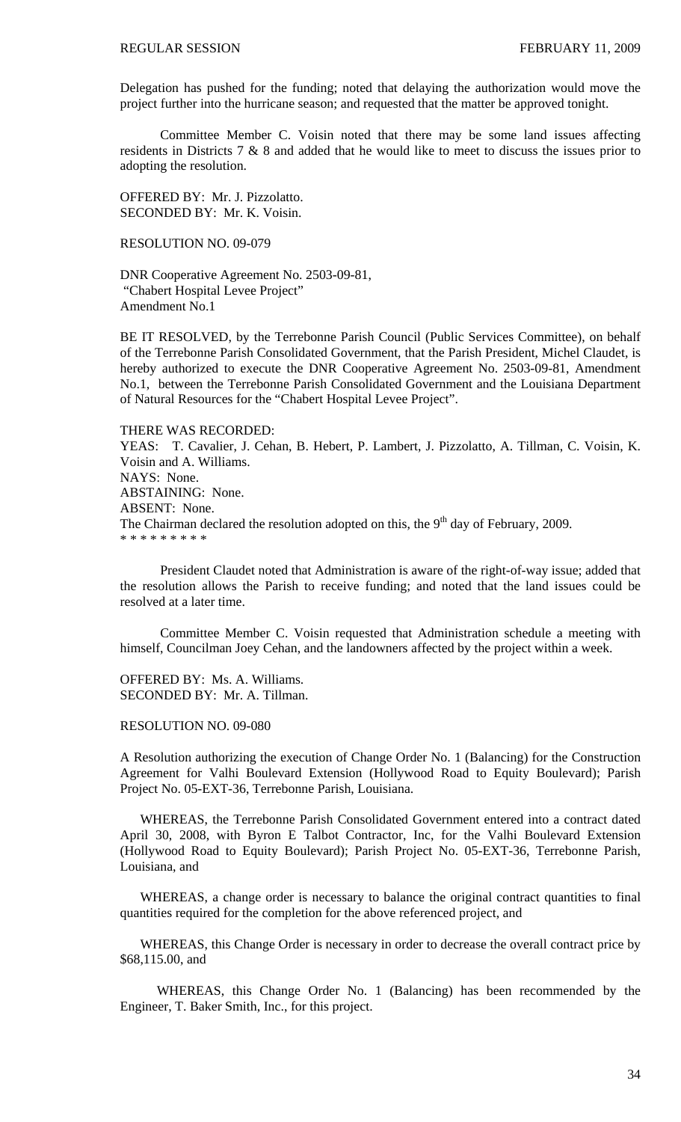Delegation has pushed for the funding; noted that delaying the authorization would move the project further into the hurricane season; and requested that the matter be approved tonight.

 Committee Member C. Voisin noted that there may be some land issues affecting residents in Districts 7 & 8 and added that he would like to meet to discuss the issues prior to adopting the resolution.

OFFERED BY: Mr. J. Pizzolatto. SECONDED BY: Mr. K. Voisin.

# RESOLUTION NO. 09-079

DNR Cooperative Agreement No. 2503-09-81, "Chabert Hospital Levee Project" Amendment No.1

BE IT RESOLVED, by the Terrebonne Parish Council (Public Services Committee), on behalf of the Terrebonne Parish Consolidated Government, that the Parish President, Michel Claudet, is hereby authorized to execute the DNR Cooperative Agreement No. 2503-09-81, Amendment No.1, between the Terrebonne Parish Consolidated Government and the Louisiana Department of Natural Resources for the "Chabert Hospital Levee Project".

# THERE WAS RECORDED:

YEAS: T. Cavalier, J. Cehan, B. Hebert, P. Lambert, J. Pizzolatto, A. Tillman, C. Voisin, K. Voisin and A. Williams. NAYS: None. ABSTAINING: None. ABSENT: None. The Chairman declared the resolution adopted on this, the  $9<sup>th</sup>$  day of February, 2009. \* \* \* \* \* \* \* \* \*

 President Claudet noted that Administration is aware of the right-of-way issue; added that the resolution allows the Parish to receive funding; and noted that the land issues could be resolved at a later time.

 Committee Member C. Voisin requested that Administration schedule a meeting with himself, Councilman Joey Cehan, and the landowners affected by the project within a week.

OFFERED BY: Ms. A. Williams. SECONDED BY: Mr. A. Tillman.

## RESOLUTION NO. 09-080

A Resolution authorizing the execution of Change Order No. 1 (Balancing) for the Construction Agreement for Valhi Boulevard Extension (Hollywood Road to Equity Boulevard); Parish Project No. 05-EXT-36, Terrebonne Parish, Louisiana.

 WHEREAS, the Terrebonne Parish Consolidated Government entered into a contract dated April 30, 2008, with Byron E Talbot Contractor, Inc, for the Valhi Boulevard Extension (Hollywood Road to Equity Boulevard); Parish Project No. 05-EXT-36, Terrebonne Parish, Louisiana, and

 WHEREAS, a change order is necessary to balance the original contract quantities to final quantities required for the completion for the above referenced project, and

 WHEREAS, this Change Order is necessary in order to decrease the overall contract price by \$68,115.00, and

 WHEREAS, this Change Order No. 1 (Balancing) has been recommended by the Engineer, T. Baker Smith, Inc., for this project.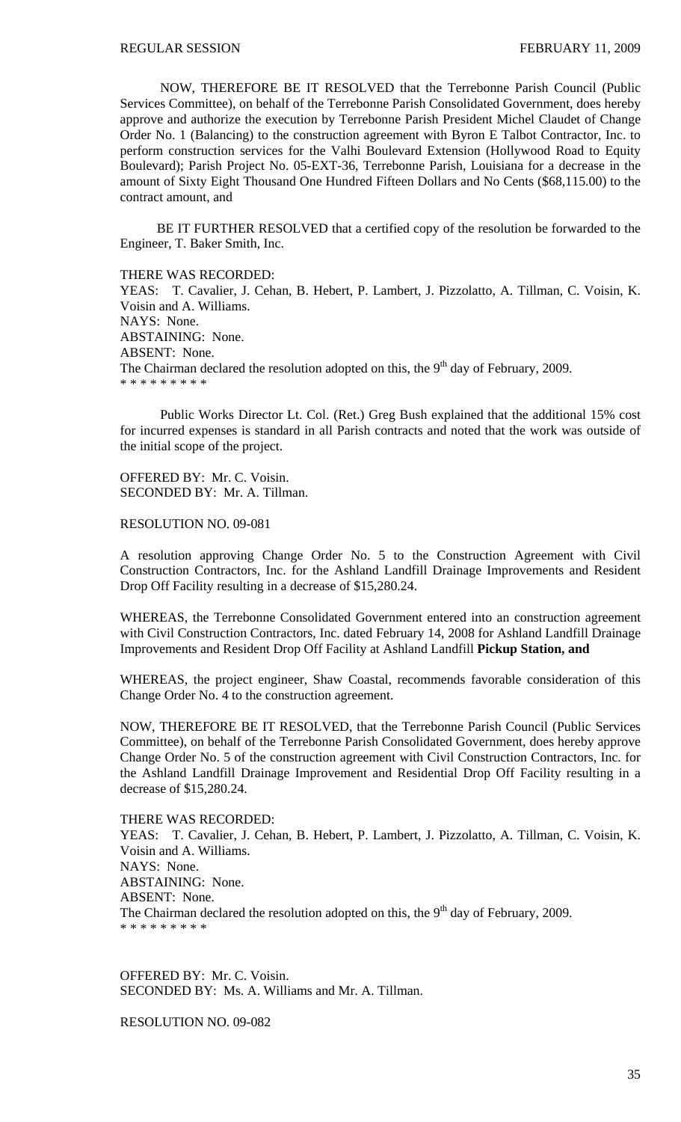NOW, THEREFORE BE IT RESOLVED that the Terrebonne Parish Council (Public Services Committee), on behalf of the Terrebonne Parish Consolidated Government, does hereby approve and authorize the execution by Terrebonne Parish President Michel Claudet of Change Order No. 1 (Balancing) to the construction agreement with Byron E Talbot Contractor, Inc. to perform construction services for the Valhi Boulevard Extension (Hollywood Road to Equity Boulevard); Parish Project No. 05-EXT-36, Terrebonne Parish, Louisiana for a decrease in the amount of Sixty Eight Thousand One Hundred Fifteen Dollars and No Cents (\$68,115.00) to the contract amount, and

 BE IT FURTHER RESOLVED that a certified copy of the resolution be forwarded to the Engineer, T. Baker Smith, Inc.

THERE WAS RECORDED:

YEAS: T. Cavalier, J. Cehan, B. Hebert, P. Lambert, J. Pizzolatto, A. Tillman, C. Voisin, K. Voisin and A. Williams. NAYS: None. ABSTAINING: None. ABSENT: None. The Chairman declared the resolution adopted on this, the  $9<sup>th</sup>$  day of February, 2009. \* \* \* \* \* \* \* \* \*

 Public Works Director Lt. Col. (Ret.) Greg Bush explained that the additional 15% cost for incurred expenses is standard in all Parish contracts and noted that the work was outside of the initial scope of the project.

OFFERED BY: Mr. C. Voisin. SECONDED BY: Mr. A. Tillman.

RESOLUTION NO. 09-081

A resolution approving Change Order No. 5 to the Construction Agreement with Civil Construction Contractors, Inc. for the Ashland Landfill Drainage Improvements and Resident Drop Off Facility resulting in a decrease of \$15,280.24.

WHEREAS, the Terrebonne Consolidated Government entered into an construction agreement with Civil Construction Contractors, Inc. dated February 14, 2008 for Ashland Landfill Drainage Improvements and Resident Drop Off Facility at Ashland Landfill **Pickup Station, and** 

WHEREAS, the project engineer, Shaw Coastal, recommends favorable consideration of this Change Order No. 4 to the construction agreement.

NOW, THEREFORE BE IT RESOLVED, that the Terrebonne Parish Council (Public Services Committee), on behalf of the Terrebonne Parish Consolidated Government, does hereby approve Change Order No. 5 of the construction agreement with Civil Construction Contractors, Inc. for the Ashland Landfill Drainage Improvement and Residential Drop Off Facility resulting in a decrease of \$15,280.24.

THERE WAS RECORDED: YEAS: T. Cavalier, J. Cehan, B. Hebert, P. Lambert, J. Pizzolatto, A. Tillman, C. Voisin, K. Voisin and A. Williams. NAYS: None. ABSTAINING: None. ABSENT: None. The Chairman declared the resolution adopted on this, the  $9<sup>th</sup>$  day of February, 2009. \* \* \* \* \* \* \* \* \*

OFFERED BY: Mr. C. Voisin. SECONDED BY: Ms. A. Williams and Mr. A. Tillman.

RESOLUTION NO. 09-082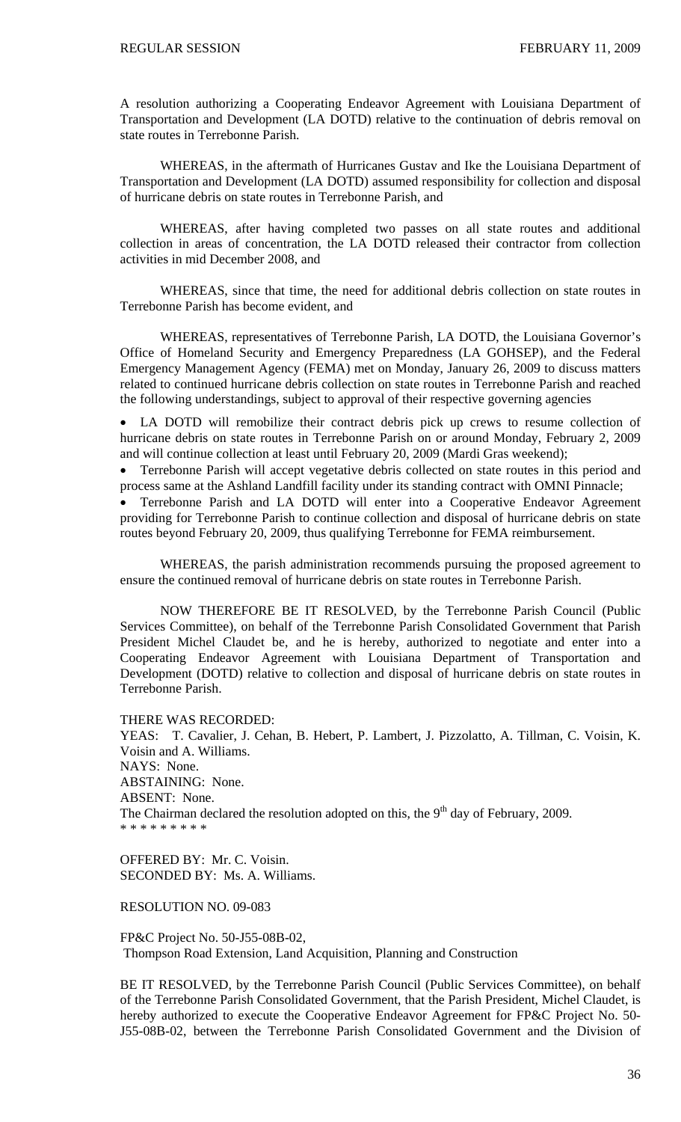A resolution authorizing a Cooperating Endeavor Agreement with Louisiana Department of Transportation and Development (LA DOTD) relative to the continuation of debris removal on state routes in Terrebonne Parish.

 WHEREAS, in the aftermath of Hurricanes Gustav and Ike the Louisiana Department of Transportation and Development (LA DOTD) assumed responsibility for collection and disposal of hurricane debris on state routes in Terrebonne Parish, and

 WHEREAS, after having completed two passes on all state routes and additional collection in areas of concentration, the LA DOTD released their contractor from collection activities in mid December 2008, and

 WHEREAS, since that time, the need for additional debris collection on state routes in Terrebonne Parish has become evident, and

 WHEREAS, representatives of Terrebonne Parish, LA DOTD, the Louisiana Governor's Office of Homeland Security and Emergency Preparedness (LA GOHSEP), and the Federal Emergency Management Agency (FEMA) met on Monday, January 26, 2009 to discuss matters related to continued hurricane debris collection on state routes in Terrebonne Parish and reached the following understandings, subject to approval of their respective governing agencies

• LA DOTD will remobilize their contract debris pick up crews to resume collection of hurricane debris on state routes in Terrebonne Parish on or around Monday, February 2, 2009 and will continue collection at least until February 20, 2009 (Mardi Gras weekend);

• Terrebonne Parish will accept vegetative debris collected on state routes in this period and process same at the Ashland Landfill facility under its standing contract with OMNI Pinnacle;

• Terrebonne Parish and LA DOTD will enter into a Cooperative Endeavor Agreement providing for Terrebonne Parish to continue collection and disposal of hurricane debris on state routes beyond February 20, 2009, thus qualifying Terrebonne for FEMA reimbursement.

 WHEREAS, the parish administration recommends pursuing the proposed agreement to ensure the continued removal of hurricane debris on state routes in Terrebonne Parish.

NOW THEREFORE BE IT RESOLVED, by the Terrebonne Parish Council (Public Services Committee), on behalf of the Terrebonne Parish Consolidated Government that Parish President Michel Claudet be, and he is hereby, authorized to negotiate and enter into a Cooperating Endeavor Agreement with Louisiana Department of Transportation and Development (DOTD) relative to collection and disposal of hurricane debris on state routes in Terrebonne Parish.

THERE WAS RECORDED:

YEAS: T. Cavalier, J. Cehan, B. Hebert, P. Lambert, J. Pizzolatto, A. Tillman, C. Voisin, K. Voisin and A. Williams. NAYS: None. ABSTAINING: None. ABSENT: None. The Chairman declared the resolution adopted on this, the  $9<sup>th</sup>$  day of February, 2009. \* \* \* \* \* \* \* \* \*

OFFERED BY: Mr. C. Voisin. SECONDED BY: Ms. A. Williams.

# RESOLUTION NO. 09-083

FP&C Project No. 50-J55-08B-02, Thompson Road Extension, Land Acquisition, Planning and Construction

BE IT RESOLVED, by the Terrebonne Parish Council (Public Services Committee), on behalf of the Terrebonne Parish Consolidated Government, that the Parish President, Michel Claudet, is hereby authorized to execute the Cooperative Endeavor Agreement for FP&C Project No. 50- J55-08B-02, between the Terrebonne Parish Consolidated Government and the Division of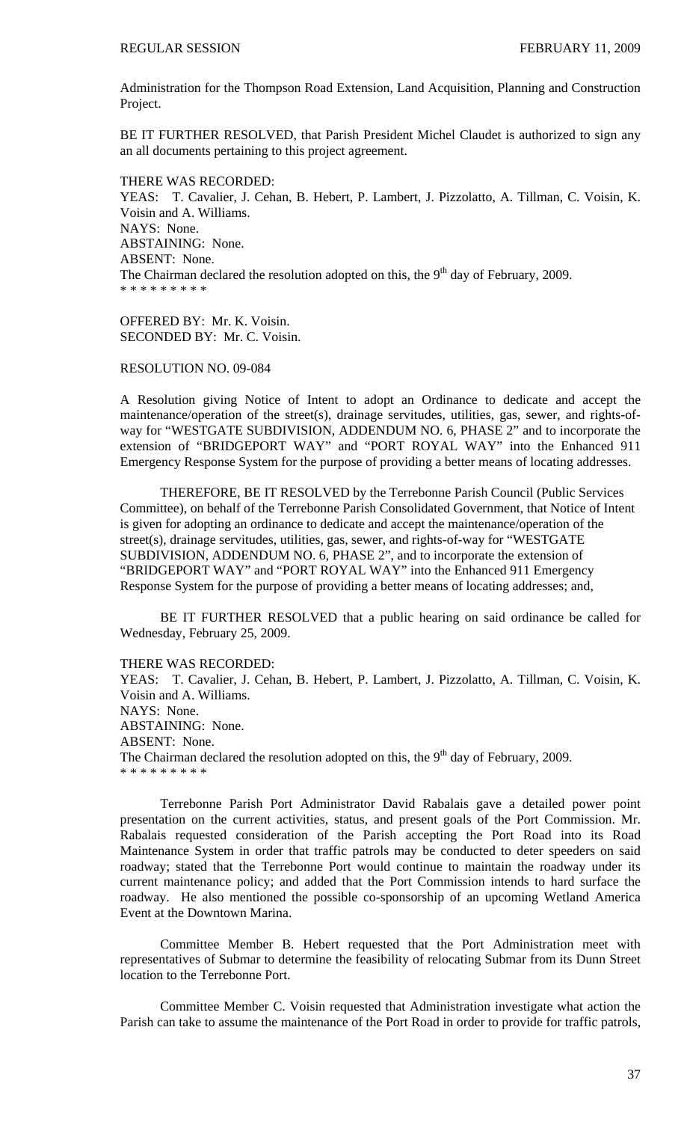Administration for the Thompson Road Extension, Land Acquisition, Planning and Construction Project.

BE IT FURTHER RESOLVED, that Parish President Michel Claudet is authorized to sign any an all documents pertaining to this project agreement.

THERE WAS RECORDED:

YEAS: T. Cavalier, J. Cehan, B. Hebert, P. Lambert, J. Pizzolatto, A. Tillman, C. Voisin, K. Voisin and A. Williams. NAYS: None. ABSTAINING: None. ABSENT: None. The Chairman declared the resolution adopted on this, the  $9<sup>th</sup>$  day of February, 2009. \* \* \* \* \* \* \* \* \*

OFFERED BY: Mr. K. Voisin. SECONDED BY: Mr. C. Voisin.

RESOLUTION NO. 09-084

A Resolution giving Notice of Intent to adopt an Ordinance to dedicate and accept the maintenance/operation of the street(s), drainage servitudes, utilities, gas, sewer, and rights-ofway for "WESTGATE SUBDIVISION, ADDENDUM NO. 6, PHASE 2" and to incorporate the extension of "BRIDGEPORT WAY" and "PORT ROYAL WAY" into the Enhanced 911 Emergency Response System for the purpose of providing a better means of locating addresses.

THEREFORE, BE IT RESOLVED by the Terrebonne Parish Council (Public Services Committee), on behalf of the Terrebonne Parish Consolidated Government, that Notice of Intent is given for adopting an ordinance to dedicate and accept the maintenance/operation of the street(s), drainage servitudes, utilities, gas, sewer, and rights-of-way for "WESTGATE SUBDIVISION, ADDENDUM NO. 6, PHASE 2", and to incorporate the extension of "BRIDGEPORT WAY" and "PORT ROYAL WAY" into the Enhanced 911 Emergency Response System for the purpose of providing a better means of locating addresses; and,

 BE IT FURTHER RESOLVED that a public hearing on said ordinance be called for Wednesday, February 25, 2009.

THERE WAS RECORDED:

YEAS: T. Cavalier, J. Cehan, B. Hebert, P. Lambert, J. Pizzolatto, A. Tillman, C. Voisin, K. Voisin and A. Williams. NAYS: None. ABSTAINING: None. ABSENT: None. The Chairman declared the resolution adopted on this, the  $9<sup>th</sup>$  day of February, 2009. \* \* \* \* \* \* \* \* \*

 Terrebonne Parish Port Administrator David Rabalais gave a detailed power point presentation on the current activities, status, and present goals of the Port Commission. Mr. Rabalais requested consideration of the Parish accepting the Port Road into its Road Maintenance System in order that traffic patrols may be conducted to deter speeders on said roadway; stated that the Terrebonne Port would continue to maintain the roadway under its current maintenance policy; and added that the Port Commission intends to hard surface the roadway. He also mentioned the possible co-sponsorship of an upcoming Wetland America Event at the Downtown Marina.

Committee Member B. Hebert requested that the Port Administration meet with representatives of Submar to determine the feasibility of relocating Submar from its Dunn Street location to the Terrebonne Port.

Committee Member C. Voisin requested that Administration investigate what action the Parish can take to assume the maintenance of the Port Road in order to provide for traffic patrols,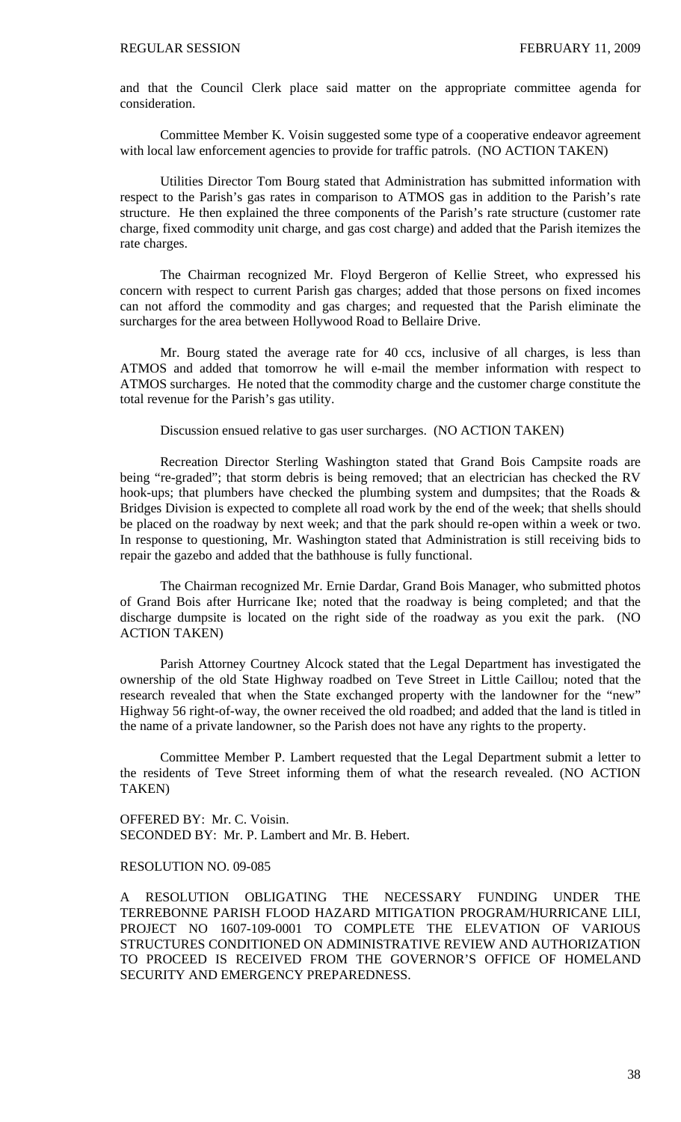and that the Council Clerk place said matter on the appropriate committee agenda for consideration.

Committee Member K. Voisin suggested some type of a cooperative endeavor agreement with local law enforcement agencies to provide for traffic patrols. (NO ACTION TAKEN)

 Utilities Director Tom Bourg stated that Administration has submitted information with respect to the Parish's gas rates in comparison to ATMOS gas in addition to the Parish's rate structure. He then explained the three components of the Parish's rate structure (customer rate charge, fixed commodity unit charge, and gas cost charge) and added that the Parish itemizes the rate charges.

 The Chairman recognized Mr. Floyd Bergeron of Kellie Street, who expressed his concern with respect to current Parish gas charges; added that those persons on fixed incomes can not afford the commodity and gas charges; and requested that the Parish eliminate the surcharges for the area between Hollywood Road to Bellaire Drive.

 Mr. Bourg stated the average rate for 40 ccs, inclusive of all charges, is less than ATMOS and added that tomorrow he will e-mail the member information with respect to ATMOS surcharges. He noted that the commodity charge and the customer charge constitute the total revenue for the Parish's gas utility.

Discussion ensued relative to gas user surcharges. (NO ACTION TAKEN)

 Recreation Director Sterling Washington stated that Grand Bois Campsite roads are being "re-graded"; that storm debris is being removed; that an electrician has checked the RV hook-ups; that plumbers have checked the plumbing system and dumpsites; that the Roads & Bridges Division is expected to complete all road work by the end of the week; that shells should be placed on the roadway by next week; and that the park should re-open within a week or two. In response to questioning, Mr. Washington stated that Administration is still receiving bids to repair the gazebo and added that the bathhouse is fully functional.

 The Chairman recognized Mr. Ernie Dardar, Grand Bois Manager, who submitted photos of Grand Bois after Hurricane Ike; noted that the roadway is being completed; and that the discharge dumpsite is located on the right side of the roadway as you exit the park. (NO ACTION TAKEN)

 Parish Attorney Courtney Alcock stated that the Legal Department has investigated the ownership of the old State Highway roadbed on Teve Street in Little Caillou; noted that the research revealed that when the State exchanged property with the landowner for the "new" Highway 56 right-of-way, the owner received the old roadbed; and added that the land is titled in the name of a private landowner, so the Parish does not have any rights to the property.

 Committee Member P. Lambert requested that the Legal Department submit a letter to the residents of Teve Street informing them of what the research revealed. (NO ACTION TAKEN)

OFFERED BY: Mr. C. Voisin. SECONDED BY: Mr. P. Lambert and Mr. B. Hebert.

### RESOLUTION NO. 09-085

A RESOLUTION OBLIGATING THE NECESSARY FUNDING UNDER THE TERREBONNE PARISH FLOOD HAZARD MITIGATION PROGRAM/HURRICANE LILI, PROJECT NO 1607-109-0001 TO COMPLETE THE ELEVATION OF VARIOUS STRUCTURES CONDITIONED ON ADMINISTRATIVE REVIEW AND AUTHORIZATION TO PROCEED IS RECEIVED FROM THE GOVERNOR'S OFFICE OF HOMELAND SECURITY AND EMERGENCY PREPAREDNESS.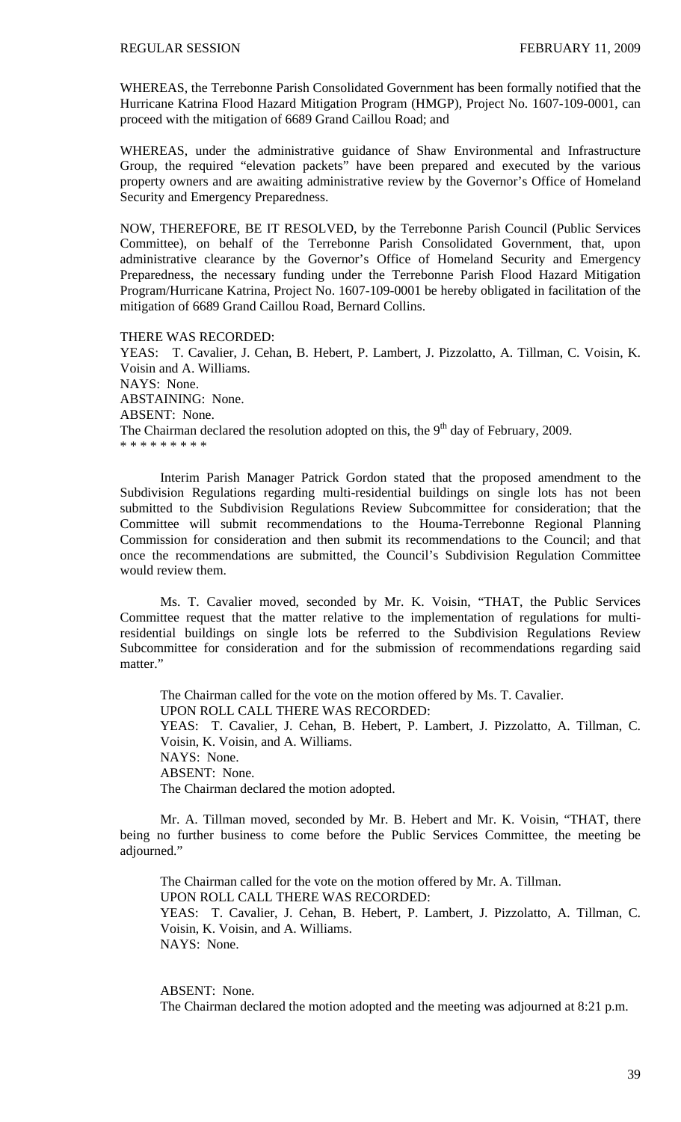WHEREAS, the Terrebonne Parish Consolidated Government has been formally notified that the Hurricane Katrina Flood Hazard Mitigation Program (HMGP), Project No. 1607-109-0001, can proceed with the mitigation of 6689 Grand Caillou Road; and

WHEREAS, under the administrative guidance of Shaw Environmental and Infrastructure Group, the required "elevation packets" have been prepared and executed by the various property owners and are awaiting administrative review by the Governor's Office of Homeland Security and Emergency Preparedness.

NOW, THEREFORE, BE IT RESOLVED, by the Terrebonne Parish Council (Public Services Committee), on behalf of the Terrebonne Parish Consolidated Government, that, upon administrative clearance by the Governor's Office of Homeland Security and Emergency Preparedness, the necessary funding under the Terrebonne Parish Flood Hazard Mitigation Program/Hurricane Katrina, Project No. 1607-109-0001 be hereby obligated in facilitation of the mitigation of 6689 Grand Caillou Road, Bernard Collins.

THERE WAS RECORDED:

YEAS: T. Cavalier, J. Cehan, B. Hebert, P. Lambert, J. Pizzolatto, A. Tillman, C. Voisin, K. Voisin and A. Williams. NAYS: None. ABSTAINING: None. ABSENT: None. The Chairman declared the resolution adopted on this, the  $9<sup>th</sup>$  day of February, 2009. \* \* \* \* \* \* \* \* \*

 Interim Parish Manager Patrick Gordon stated that the proposed amendment to the Subdivision Regulations regarding multi-residential buildings on single lots has not been submitted to the Subdivision Regulations Review Subcommittee for consideration; that the Committee will submit recommendations to the Houma-Terrebonne Regional Planning Commission for consideration and then submit its recommendations to the Council; and that once the recommendations are submitted, the Council's Subdivision Regulation Committee would review them.

Ms. T. Cavalier moved, seconded by Mr. K. Voisin, "THAT, the Public Services Committee request that the matter relative to the implementation of regulations for multiresidential buildings on single lots be referred to the Subdivision Regulations Review Subcommittee for consideration and for the submission of recommendations regarding said matter."

 The Chairman called for the vote on the motion offered by Ms. T. Cavalier. UPON ROLL CALL THERE WAS RECORDED: YEAS: T. Cavalier, J. Cehan, B. Hebert, P. Lambert, J. Pizzolatto, A. Tillman, C. Voisin, K. Voisin, and A. Williams. NAYS: None. ABSENT: None. The Chairman declared the motion adopted.

 Mr. A. Tillman moved, seconded by Mr. B. Hebert and Mr. K. Voisin, "THAT, there being no further business to come before the Public Services Committee, the meeting be adjourned."

 The Chairman called for the vote on the motion offered by Mr. A. Tillman. UPON ROLL CALL THERE WAS RECORDED: YEAS: T. Cavalier, J. Cehan, B. Hebert, P. Lambert, J. Pizzolatto, A. Tillman, C. Voisin, K. Voisin, and A. Williams. NAYS: None.

ABSENT: None.

The Chairman declared the motion adopted and the meeting was adjourned at 8:21 p.m.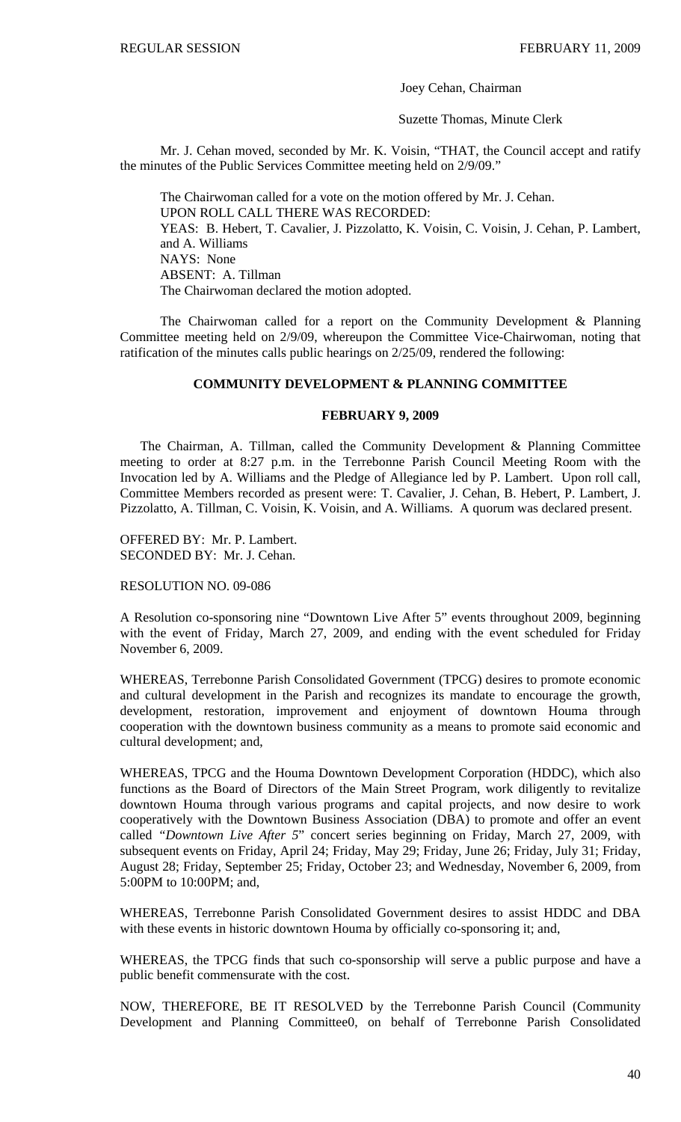Joey Cehan, Chairman

Suzette Thomas, Minute Clerk

 Mr. J. Cehan moved, seconded by Mr. K. Voisin, "THAT, the Council accept and ratify the minutes of the Public Services Committee meeting held on 2/9/09."

 The Chairwoman called for a vote on the motion offered by Mr. J. Cehan. UPON ROLL CALL THERE WAS RECORDED: YEAS: B. Hebert, T. Cavalier, J. Pizzolatto, K. Voisin, C. Voisin, J. Cehan, P. Lambert, and A. Williams NAYS: None ABSENT: A. Tillman The Chairwoman declared the motion adopted.

 The Chairwoman called for a report on the Community Development & Planning Committee meeting held on 2/9/09, whereupon the Committee Vice-Chairwoman, noting that ratification of the minutes calls public hearings on 2/25/09, rendered the following:

# **COMMUNITY DEVELOPMENT & PLANNING COMMITTEE**

### **FEBRUARY 9, 2009**

 The Chairman, A. Tillman, called the Community Development & Planning Committee meeting to order at 8:27 p.m. in the Terrebonne Parish Council Meeting Room with the Invocation led by A. Williams and the Pledge of Allegiance led by P. Lambert. Upon roll call, Committee Members recorded as present were: T. Cavalier, J. Cehan, B. Hebert, P. Lambert, J. Pizzolatto, A. Tillman, C. Voisin, K. Voisin, and A. Williams. A quorum was declared present.

OFFERED BY: Mr. P. Lambert. SECONDED BY: Mr. J. Cehan.

RESOLUTION NO. 09-086

A Resolution co-sponsoring nine "Downtown Live After 5" events throughout 2009, beginning with the event of Friday, March 27, 2009, and ending with the event scheduled for Friday November 6, 2009.

WHEREAS, Terrebonne Parish Consolidated Government (TPCG) desires to promote economic and cultural development in the Parish and recognizes its mandate to encourage the growth, development, restoration, improvement and enjoyment of downtown Houma through cooperation with the downtown business community as a means to promote said economic and cultural development; and,

WHEREAS, TPCG and the Houma Downtown Development Corporation (HDDC), which also functions as the Board of Directors of the Main Street Program, work diligently to revitalize downtown Houma through various programs and capital projects, and now desire to work cooperatively with the Downtown Business Association (DBA) to promote and offer an event called *"Downtown Live After 5*" concert series beginning on Friday, March 27, 2009, with subsequent events on Friday, April 24; Friday, May 29; Friday, June 26; Friday, July 31; Friday, August 28; Friday, September 25; Friday, October 23; and Wednesday, November 6, 2009, from 5:00PM to 10:00PM; and,

WHEREAS, Terrebonne Parish Consolidated Government desires to assist HDDC and DBA with these events in historic downtown Houma by officially co-sponsoring it; and,

WHEREAS, the TPCG finds that such co-sponsorship will serve a public purpose and have a public benefit commensurate with the cost.

NOW, THEREFORE, BE IT RESOLVED by the Terrebonne Parish Council (Community Development and Planning Committee0, on behalf of Terrebonne Parish Consolidated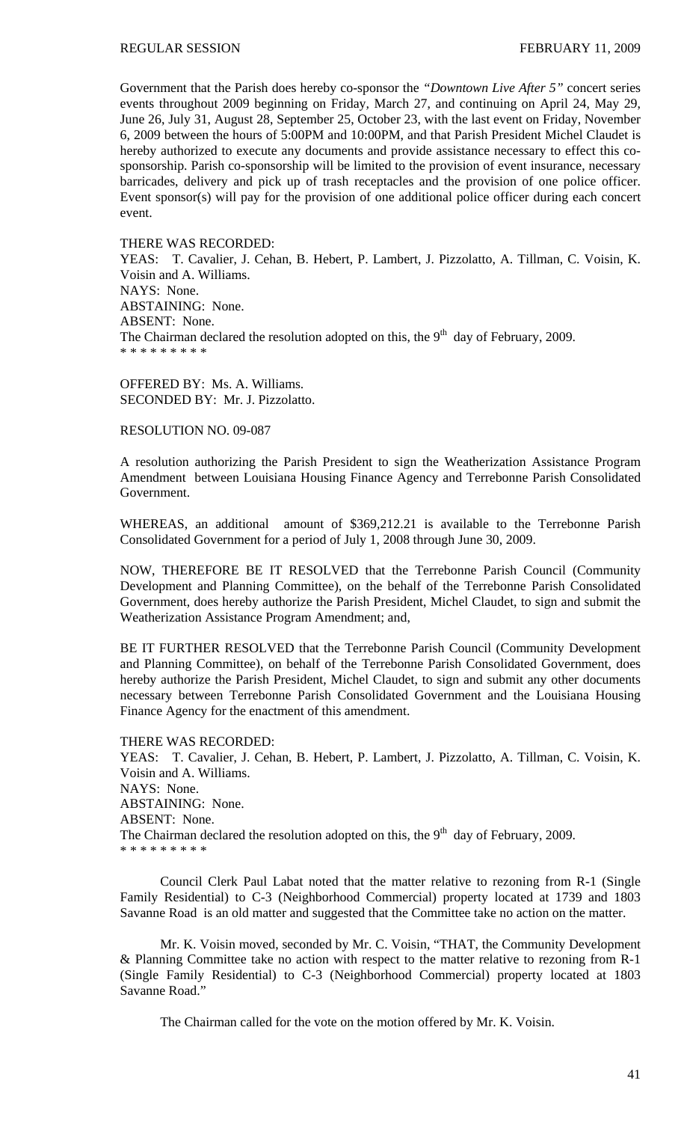Government that the Parish does hereby co-sponsor the *"Downtown Live After 5"* concert series events throughout 2009 beginning on Friday*,* March 27, and continuing on April 24, May 29, June 26, July 31, August 28, September 25, October 23, with the last event on Friday, November 6, 2009 between the hours of 5:00PM and 10:00PM, and that Parish President Michel Claudet is hereby authorized to execute any documents and provide assistance necessary to effect this cosponsorship. Parish co-sponsorship will be limited to the provision of event insurance, necessary barricades, delivery and pick up of trash receptacles and the provision of one police officer. Event sponsor(s) will pay for the provision of one additional police officer during each concert event.

### THERE WAS RECORDED:

YEAS: T. Cavalier, J. Cehan, B. Hebert, P. Lambert, J. Pizzolatto, A. Tillman, C. Voisin, K. Voisin and A. Williams. NAYS: None. ABSTAINING: None. ABSENT: None. The Chairman declared the resolution adopted on this, the  $9<sup>th</sup>$  day of February, 2009. \* \* \* \* \* \* \* \* \*

OFFERED BY: Ms. A. Williams. SECONDED BY: Mr. J. Pizzolatto.

# RESOLUTION NO. 09-087

A resolution authorizing the Parish President to sign the Weatherization Assistance Program Amendment between Louisiana Housing Finance Agency and Terrebonne Parish Consolidated Government.

WHEREAS, an additional amount of \$369,212.21 is available to the Terrebonne Parish Consolidated Government for a period of July 1, 2008 through June 30, 2009.

NOW, THEREFORE BE IT RESOLVED that the Terrebonne Parish Council (Community Development and Planning Committee), on the behalf of the Terrebonne Parish Consolidated Government, does hereby authorize the Parish President, Michel Claudet, to sign and submit the Weatherization Assistance Program Amendment; and,

BE IT FURTHER RESOLVED that the Terrebonne Parish Council (Community Development and Planning Committee), on behalf of the Terrebonne Parish Consolidated Government, does hereby authorize the Parish President, Michel Claudet, to sign and submit any other documents necessary between Terrebonne Parish Consolidated Government and the Louisiana Housing Finance Agency for the enactment of this amendment.

THERE WAS RECORDED: YEAS: T. Cavalier, J. Cehan, B. Hebert, P. Lambert, J. Pizzolatto, A. Tillman, C. Voisin, K. Voisin and A. Williams. NAYS: None. ABSTAINING: None. ABSENT: None. The Chairman declared the resolution adopted on this, the  $9<sup>th</sup>$  day of February, 2009. \* \* \* \* \* \* \* \* \*

 Council Clerk Paul Labat noted that the matter relative to rezoning from R-1 (Single Family Residential) to C-3 (Neighborhood Commercial) property located at 1739 and 1803 Savanne Road is an old matter and suggested that the Committee take no action on the matter.

Mr. K. Voisin moved, seconded by Mr. C. Voisin, "THAT, the Community Development & Planning Committee take no action with respect to the matter relative to rezoning from R-1 (Single Family Residential) to C-3 (Neighborhood Commercial) property located at 1803 Savanne Road."

The Chairman called for the vote on the motion offered by Mr. K. Voisin.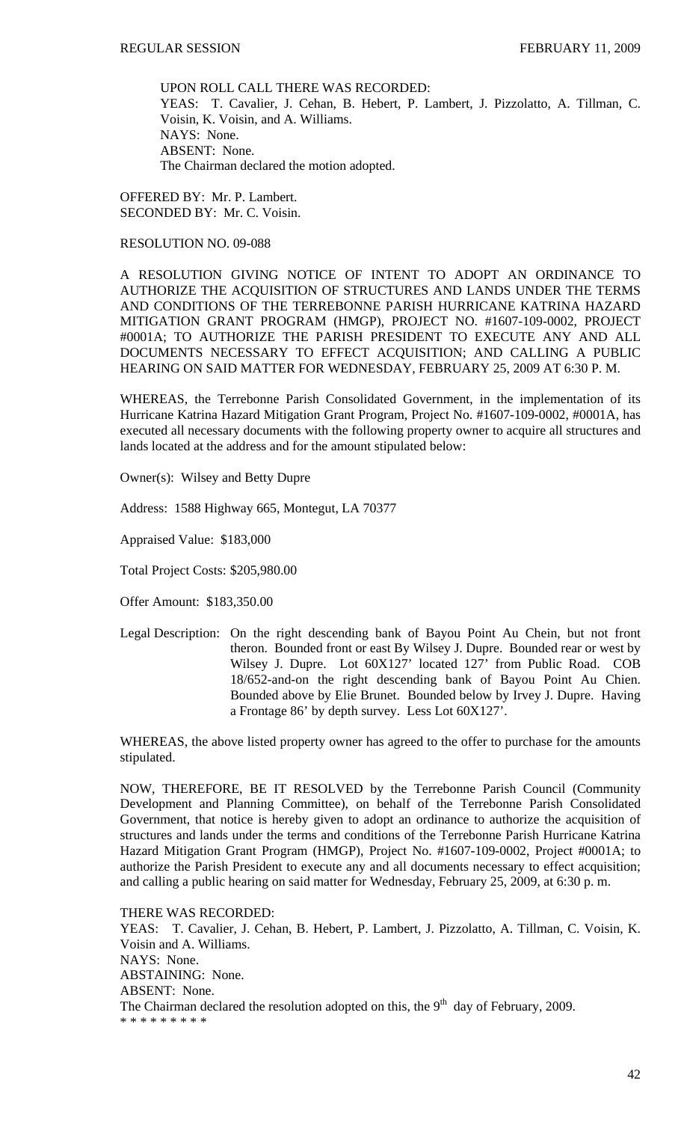UPON ROLL CALL THERE WAS RECORDED: YEAS: T. Cavalier, J. Cehan, B. Hebert, P. Lambert, J. Pizzolatto, A. Tillman, C. Voisin, K. Voisin, and A. Williams. NAYS: None. ABSENT: None. The Chairman declared the motion adopted.

OFFERED BY: Mr. P. Lambert. SECONDED BY: Mr. C. Voisin.

# RESOLUTION NO. 09-088

A RESOLUTION GIVING NOTICE OF INTENT TO ADOPT AN ORDINANCE TO AUTHORIZE THE ACQUISITION OF STRUCTURES AND LANDS UNDER THE TERMS AND CONDITIONS OF THE TERREBONNE PARISH HURRICANE KATRINA HAZARD MITIGATION GRANT PROGRAM (HMGP), PROJECT NO. #1607-109-0002, PROJECT #0001A; TO AUTHORIZE THE PARISH PRESIDENT TO EXECUTE ANY AND ALL DOCUMENTS NECESSARY TO EFFECT ACQUISITION; AND CALLING A PUBLIC HEARING ON SAID MATTER FOR WEDNESDAY, FEBRUARY 25, 2009 AT 6:30 P. M.

WHEREAS, the Terrebonne Parish Consolidated Government, in the implementation of its Hurricane Katrina Hazard Mitigation Grant Program, Project No. #1607-109-0002, #0001A, has executed all necessary documents with the following property owner to acquire all structures and lands located at the address and for the amount stipulated below:

Owner(s): Wilsey and Betty Dupre

Address: 1588 Highway 665, Montegut, LA 70377

Appraised Value: \$183,000

Total Project Costs: \$205,980.00

Offer Amount: \$183,350.00

Legal Description: On the right descending bank of Bayou Point Au Chein, but not front theron. Bounded front or east By Wilsey J. Dupre. Bounded rear or west by Wilsey J. Dupre. Lot 60X127' located 127' from Public Road. COB 18/652-and-on the right descending bank of Bayou Point Au Chien. Bounded above by Elie Brunet. Bounded below by Irvey J. Dupre. Having a Frontage 86' by depth survey. Less Lot 60X127'.

WHEREAS, the above listed property owner has agreed to the offer to purchase for the amounts stipulated.

NOW, THEREFORE, BE IT RESOLVED by the Terrebonne Parish Council (Community Development and Planning Committee), on behalf of the Terrebonne Parish Consolidated Government, that notice is hereby given to adopt an ordinance to authorize the acquisition of structures and lands under the terms and conditions of the Terrebonne Parish Hurricane Katrina Hazard Mitigation Grant Program (HMGP), Project No. #1607-109-0002, Project #0001A; to authorize the Parish President to execute any and all documents necessary to effect acquisition; and calling a public hearing on said matter for Wednesday, February 25, 2009, at 6:30 p. m.

THERE WAS RECORDED: YEAS: T. Cavalier, J. Cehan, B. Hebert, P. Lambert, J. Pizzolatto, A. Tillman, C. Voisin, K. Voisin and A. Williams. NAYS: None. ABSTAINING: None. ABSENT: None. The Chairman declared the resolution adopted on this, the  $9<sup>th</sup>$  day of February, 2009. \* \* \* \* \* \* \* \* \*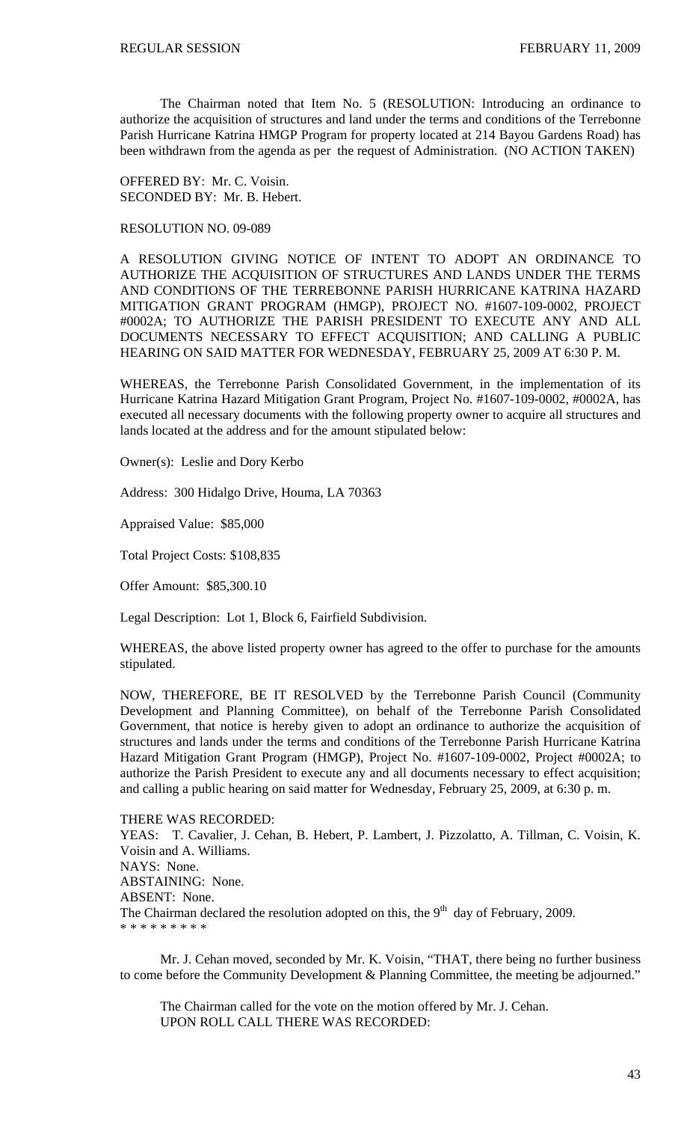The Chairman noted that Item No. 5 (RESOLUTION: Introducing an ordinance to authorize the acquisition of structures and land under the terms and conditions of the Terrebonne Parish Hurricane Katrina HMGP Program for property located at 214 Bayou Gardens Road) has been withdrawn from the agenda as per the request of Administration. (NO ACTION TAKEN)

OFFERED BY: Mr. C. Voisin. SECONDED BY: Mr. B. Hebert.

## RESOLUTION NO. 09-089

A RESOLUTION GIVING NOTICE OF INTENT TO ADOPT AN ORDINANCE TO AUTHORIZE THE ACQUISITION OF STRUCTURES AND LANDS UNDER THE TERMS AND CONDITIONS OF THE TERREBONNE PARISH HURRICANE KATRINA HAZARD MITIGATION GRANT PROGRAM (HMGP), PROJECT NO. #1607-109-0002, PROJECT #0002A; TO AUTHORIZE THE PARISH PRESIDENT TO EXECUTE ANY AND ALL DOCUMENTS NECESSARY TO EFFECT ACQUISITION; AND CALLING A PUBLIC HEARING ON SAID MATTER FOR WEDNESDAY, FEBRUARY 25, 2009 AT 6:30 P. M.

WHEREAS, the Terrebonne Parish Consolidated Government, in the implementation of its Hurricane Katrina Hazard Mitigation Grant Program, Project No. #1607-109-0002, #0002A, has executed all necessary documents with the following property owner to acquire all structures and lands located at the address and for the amount stipulated below:

Owner(s): Leslie and Dory Kerbo

Address: 300 Hidalgo Drive, Houma, LA 70363

Appraised Value: \$85,000

Total Project Costs: \$108,835

Offer Amount: \$85,300.10

Legal Description: Lot 1, Block 6, Fairfield Subdivision.

WHEREAS, the above listed property owner has agreed to the offer to purchase for the amounts stipulated.

NOW, THEREFORE, BE IT RESOLVED by the Terrebonne Parish Council (Community Development and Planning Committee), on behalf of the Terrebonne Parish Consolidated Government, that notice is hereby given to adopt an ordinance to authorize the acquisition of structures and lands under the terms and conditions of the Terrebonne Parish Hurricane Katrina Hazard Mitigation Grant Program (HMGP), Project No. #1607-109-0002, Project #0002A; to authorize the Parish President to execute any and all documents necessary to effect acquisition; and calling a public hearing on said matter for Wednesday, February 25, 2009, at 6:30 p. m.

### THERE WAS RECORDED:

YEAS: T. Cavalier, J. Cehan, B. Hebert, P. Lambert, J. Pizzolatto, A. Tillman, C. Voisin, K. Voisin and A. Williams. NAYS: None. ABSTAINING: None. ABSENT: None. The Chairman declared the resolution adopted on this, the  $9<sup>th</sup>$  day of February, 2009. \* \* \* \* \* \* \* \* \*

 Mr. J. Cehan moved, seconded by Mr. K. Voisin, "THAT, there being no further business to come before the Community Development & Planning Committee, the meeting be adjourned."

 The Chairman called for the vote on the motion offered by Mr. J. Cehan. UPON ROLL CALL THERE WAS RECORDED: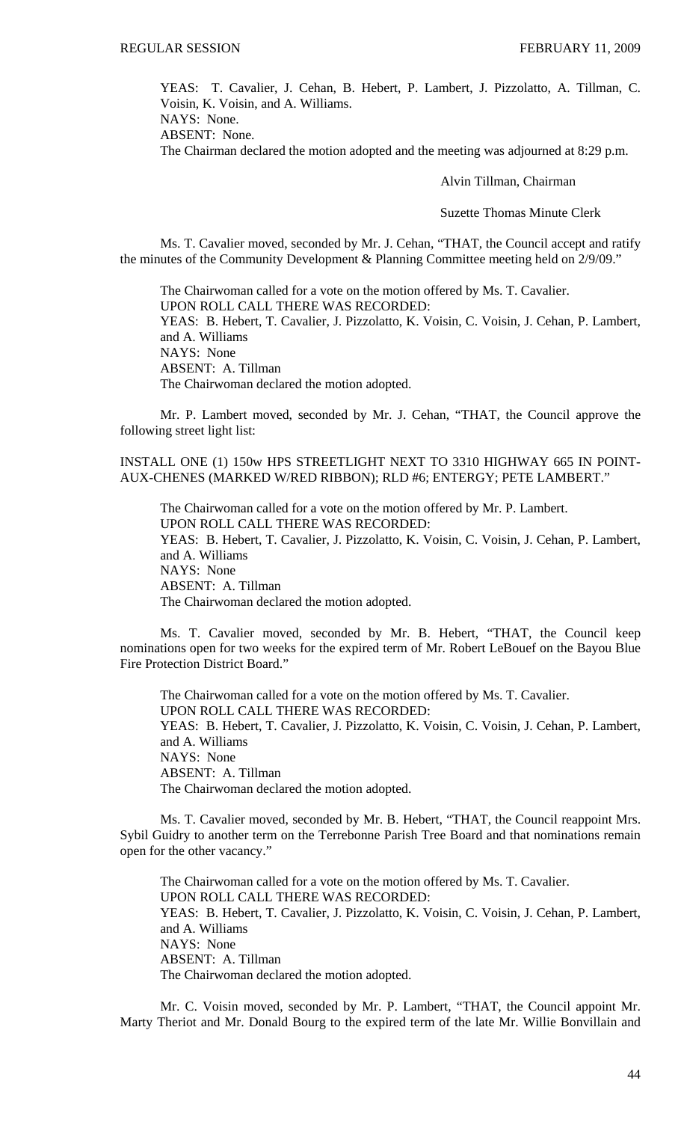YEAS: T. Cavalier, J. Cehan, B. Hebert, P. Lambert, J. Pizzolatto, A. Tillman, C. Voisin, K. Voisin, and A. Williams.

NAYS: None. ABSENT: None.

The Chairman declared the motion adopted and the meeting was adjourned at 8:29 p.m.

Alvin Tillman, Chairman

Suzette Thomas Minute Clerk

Ms. T. Cavalier moved, seconded by Mr. J. Cehan, "THAT, the Council accept and ratify the minutes of the Community Development & Planning Committee meeting held on 2/9/09."

 The Chairwoman called for a vote on the motion offered by Ms. T. Cavalier. UPON ROLL CALL THERE WAS RECORDED: YEAS: B. Hebert, T. Cavalier, J. Pizzolatto, K. Voisin, C. Voisin, J. Cehan, P. Lambert, and A. Williams NAYS: None ABSENT: A. Tillman The Chairwoman declared the motion adopted.

 Mr. P. Lambert moved, seconded by Mr. J. Cehan, "THAT, the Council approve the following street light list:

INSTALL ONE (1) 150w HPS STREETLIGHT NEXT TO 3310 HIGHWAY 665 IN POINT-AUX-CHENES (MARKED W/RED RIBBON); RLD #6; ENTERGY; PETE LAMBERT."

The Chairwoman called for a vote on the motion offered by Mr. P. Lambert. UPON ROLL CALL THERE WAS RECORDED: YEAS: B. Hebert, T. Cavalier, J. Pizzolatto, K. Voisin, C. Voisin, J. Cehan, P. Lambert, and A. Williams NAYS: None ABSENT: A. Tillman The Chairwoman declared the motion adopted.

 Ms. T. Cavalier moved, seconded by Mr. B. Hebert, "THAT, the Council keep nominations open for two weeks for the expired term of Mr. Robert LeBouef on the Bayou Blue Fire Protection District Board."

 The Chairwoman called for a vote on the motion offered by Ms. T. Cavalier. UPON ROLL CALL THERE WAS RECORDED: YEAS: B. Hebert, T. Cavalier, J. Pizzolatto, K. Voisin, C. Voisin, J. Cehan, P. Lambert, and A. Williams NAYS: None ABSENT: A. Tillman The Chairwoman declared the motion adopted.

Ms. T. Cavalier moved, seconded by Mr. B. Hebert, "THAT, the Council reappoint Mrs. Sybil Guidry to another term on the Terrebonne Parish Tree Board and that nominations remain open for the other vacancy."

 The Chairwoman called for a vote on the motion offered by Ms. T. Cavalier. UPON ROLL CALL THERE WAS RECORDED: YEAS: B. Hebert, T. Cavalier, J. Pizzolatto, K. Voisin, C. Voisin, J. Cehan, P. Lambert, and A. Williams NAYS: None ABSENT: A. Tillman The Chairwoman declared the motion adopted.

Mr. C. Voisin moved, seconded by Mr. P. Lambert, "THAT, the Council appoint Mr. Marty Theriot and Mr. Donald Bourg to the expired term of the late Mr. Willie Bonvillain and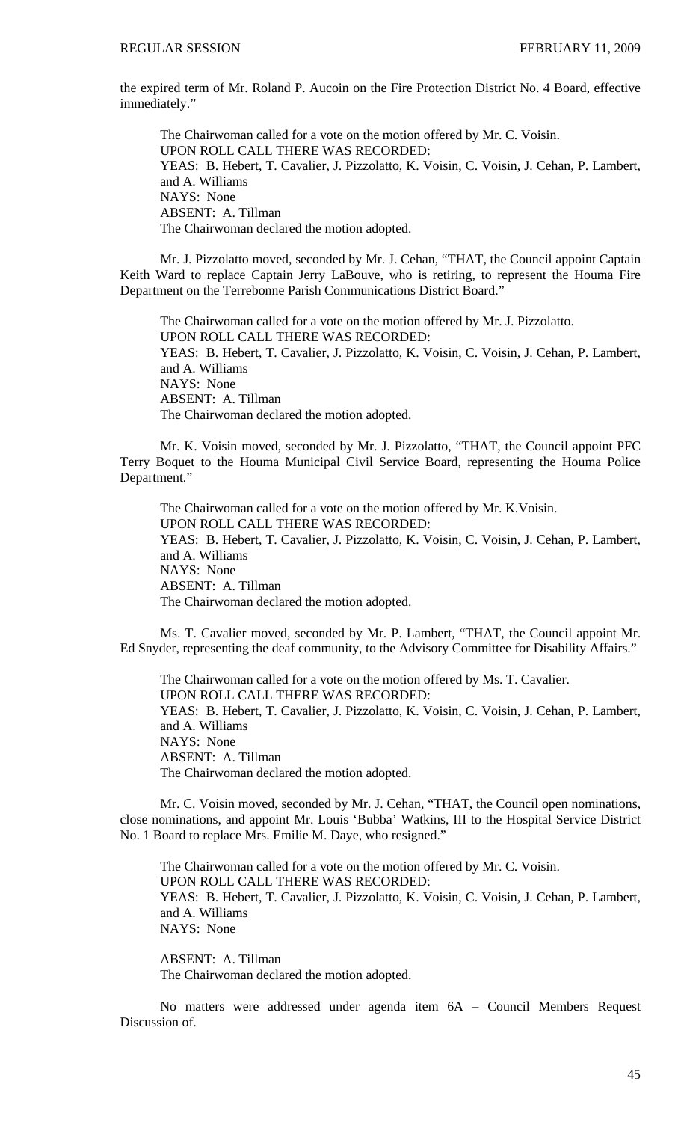the expired term of Mr. Roland P. Aucoin on the Fire Protection District No. 4 Board, effective immediately."

 The Chairwoman called for a vote on the motion offered by Mr. C. Voisin. UPON ROLL CALL THERE WAS RECORDED: YEAS: B. Hebert, T. Cavalier, J. Pizzolatto, K. Voisin, C. Voisin, J. Cehan, P. Lambert, and A. Williams NAYS: None ABSENT: A. Tillman The Chairwoman declared the motion adopted.

Mr. J. Pizzolatto moved, seconded by Mr. J. Cehan, "THAT, the Council appoint Captain Keith Ward to replace Captain Jerry LaBouve, who is retiring, to represent the Houma Fire Department on the Terrebonne Parish Communications District Board."

 The Chairwoman called for a vote on the motion offered by Mr. J. Pizzolatto. UPON ROLL CALL THERE WAS RECORDED: YEAS: B. Hebert, T. Cavalier, J. Pizzolatto, K. Voisin, C. Voisin, J. Cehan, P. Lambert, and A. Williams NAYS: None ABSENT: A. Tillman The Chairwoman declared the motion adopted.

Mr. K. Voisin moved, seconded by Mr. J. Pizzolatto, "THAT, the Council appoint PFC Terry Boquet to the Houma Municipal Civil Service Board, representing the Houma Police Department."

 The Chairwoman called for a vote on the motion offered by Mr. K.Voisin. UPON ROLL CALL THERE WAS RECORDED: YEAS: B. Hebert, T. Cavalier, J. Pizzolatto, K. Voisin, C. Voisin, J. Cehan, P. Lambert, and A. Williams NAYS: None ABSENT: A. Tillman The Chairwoman declared the motion adopted.

 Ms. T. Cavalier moved, seconded by Mr. P. Lambert, "THAT, the Council appoint Mr. Ed Snyder, representing the deaf community, to the Advisory Committee for Disability Affairs."

 The Chairwoman called for a vote on the motion offered by Ms. T. Cavalier. UPON ROLL CALL THERE WAS RECORDED: YEAS: B. Hebert, T. Cavalier, J. Pizzolatto, K. Voisin, C. Voisin, J. Cehan, P. Lambert, and A. Williams NAYS: None ABSENT: A. Tillman The Chairwoman declared the motion adopted.

 Mr. C. Voisin moved, seconded by Mr. J. Cehan, "THAT, the Council open nominations, close nominations, and appoint Mr. Louis 'Bubba' Watkins, III to the Hospital Service District No. 1 Board to replace Mrs. Emilie M. Daye, who resigned."

 The Chairwoman called for a vote on the motion offered by Mr. C. Voisin. UPON ROLL CALL THERE WAS RECORDED: YEAS: B. Hebert, T. Cavalier, J. Pizzolatto, K. Voisin, C. Voisin, J. Cehan, P. Lambert, and A. Williams NAYS: None

ABSENT: A. Tillman The Chairwoman declared the motion adopted.

No matters were addressed under agenda item 6A – Council Members Request Discussion of.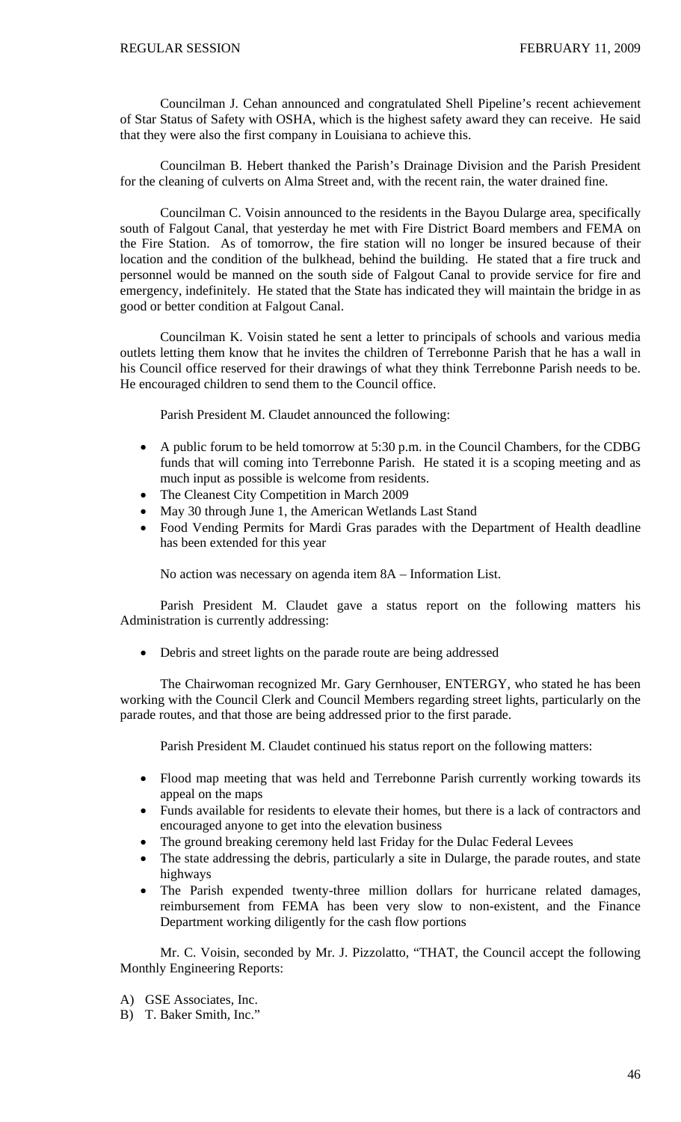Councilman J. Cehan announced and congratulated Shell Pipeline's recent achievement of Star Status of Safety with OSHA, which is the highest safety award they can receive. He said that they were also the first company in Louisiana to achieve this.

Councilman B. Hebert thanked the Parish's Drainage Division and the Parish President for the cleaning of culverts on Alma Street and, with the recent rain, the water drained fine.

Councilman C. Voisin announced to the residents in the Bayou Dularge area, specifically south of Falgout Canal, that yesterday he met with Fire District Board members and FEMA on the Fire Station. As of tomorrow, the fire station will no longer be insured because of their location and the condition of the bulkhead, behind the building. He stated that a fire truck and personnel would be manned on the south side of Falgout Canal to provide service for fire and emergency, indefinitely. He stated that the State has indicated they will maintain the bridge in as good or better condition at Falgout Canal.

Councilman K. Voisin stated he sent a letter to principals of schools and various media outlets letting them know that he invites the children of Terrebonne Parish that he has a wall in his Council office reserved for their drawings of what they think Terrebonne Parish needs to be. He encouraged children to send them to the Council office.

Parish President M. Claudet announced the following:

- A public forum to be held tomorrow at 5:30 p.m. in the Council Chambers, for the CDBG funds that will coming into Terrebonne Parish. He stated it is a scoping meeting and as much input as possible is welcome from residents.
- The Cleanest City Competition in March 2009
- May 30 through June 1, the American Wetlands Last Stand
- Food Vending Permits for Mardi Gras parades with the Department of Health deadline has been extended for this year

No action was necessary on agenda item 8A – Information List.

 Parish President M. Claudet gave a status report on the following matters his Administration is currently addressing:

• Debris and street lights on the parade route are being addressed

The Chairwoman recognized Mr. Gary Gernhouser, ENTERGY, who stated he has been working with the Council Clerk and Council Members regarding street lights, particularly on the parade routes, and that those are being addressed prior to the first parade.

Parish President M. Claudet continued his status report on the following matters:

- Flood map meeting that was held and Terrebonne Parish currently working towards its appeal on the maps
- Funds available for residents to elevate their homes, but there is a lack of contractors and encouraged anyone to get into the elevation business
- The ground breaking ceremony held last Friday for the Dulac Federal Levees
- The state addressing the debris, particularly a site in Dularge, the parade routes, and state highways
- The Parish expended twenty-three million dollars for hurricane related damages, reimbursement from FEMA has been very slow to non-existent, and the Finance Department working diligently for the cash flow portions

 Mr. C. Voisin, seconded by Mr. J. Pizzolatto, "THAT, the Council accept the following Monthly Engineering Reports:

- A) GSE Associates, Inc.
- B) T. Baker Smith, Inc."